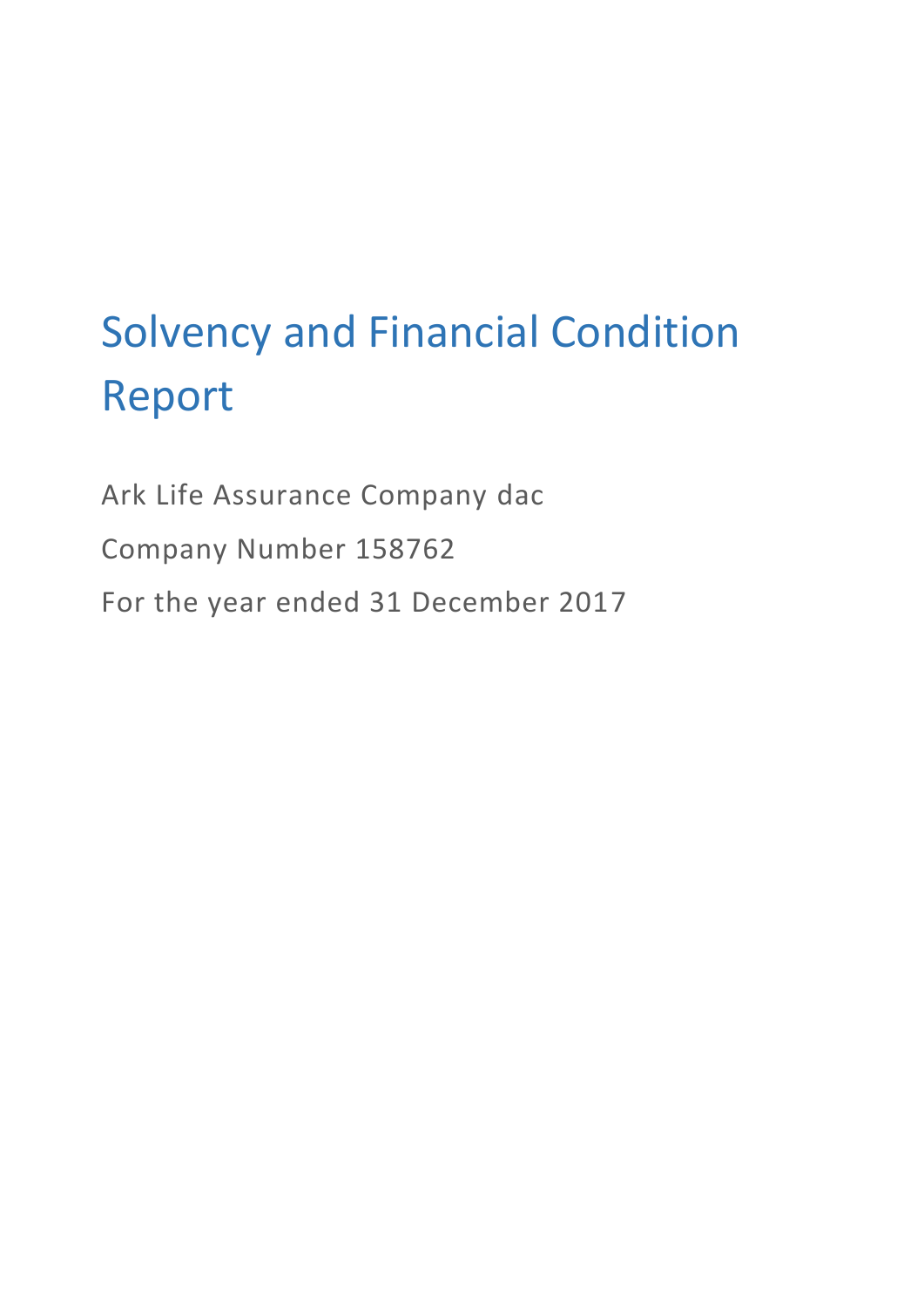# Solvency and Financial Condition Report

Ark Life Assurance Company dac Company Number 158762 For the year ended 31 December 2017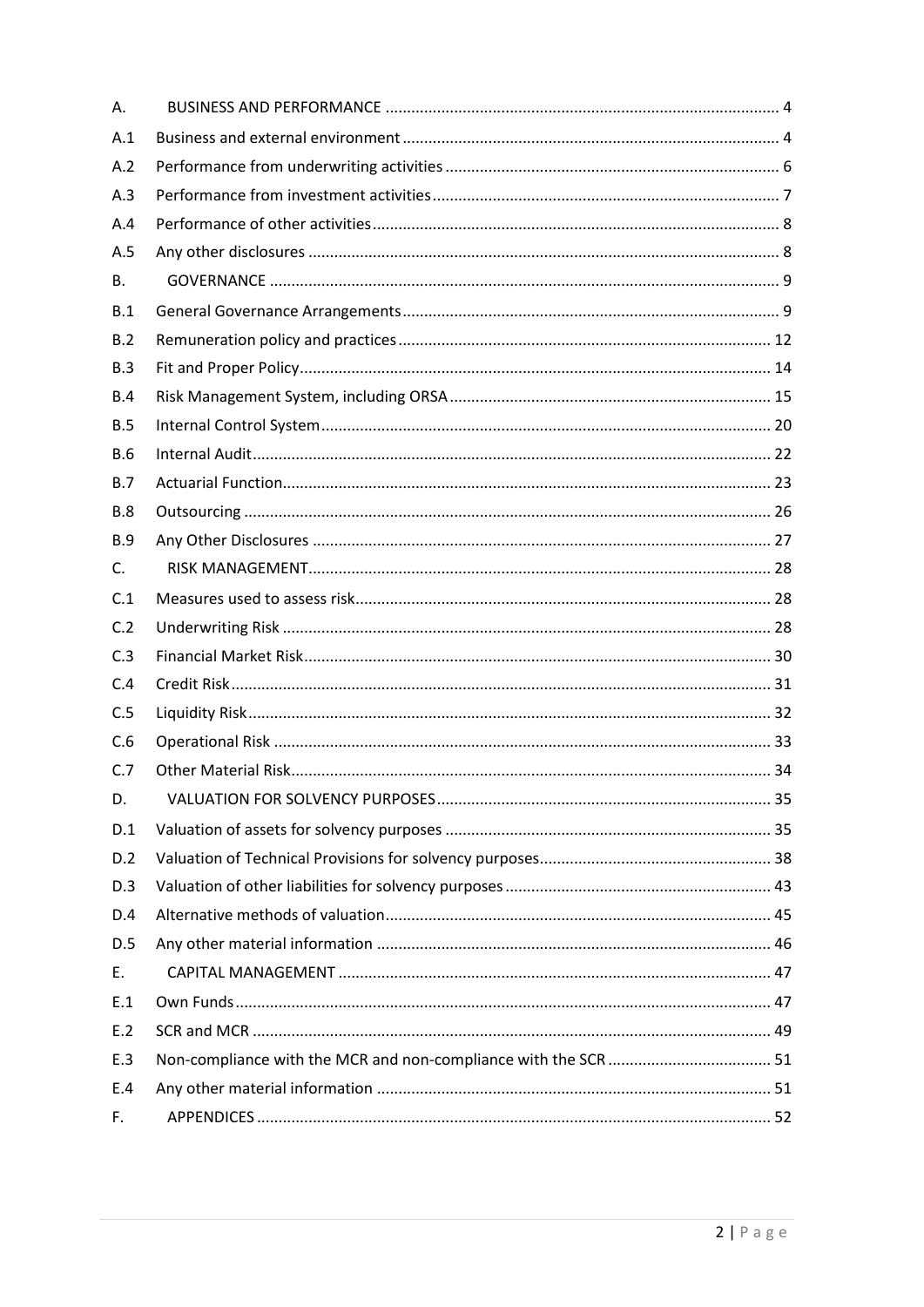| Α.         |  |
|------------|--|
| A.1        |  |
| A.2        |  |
| A.3        |  |
| A.4        |  |
| A.5        |  |
| B.         |  |
| B.1        |  |
| B.2        |  |
| B.3        |  |
| B.4        |  |
| B.5        |  |
| <b>B.6</b> |  |
| <b>B.7</b> |  |
| <b>B.8</b> |  |
| <b>B.9</b> |  |
| C.         |  |
| C.1        |  |
| C.2        |  |
| C.3        |  |
| C.4        |  |
| C.5        |  |
| C.6        |  |
| C.7        |  |
| D.         |  |
| D.1        |  |
| D.2        |  |
| D.3        |  |
| D.4        |  |
| D.5        |  |
| E.         |  |
| E.1        |  |
| E.2        |  |
| E.3        |  |
| E.4        |  |
| F.         |  |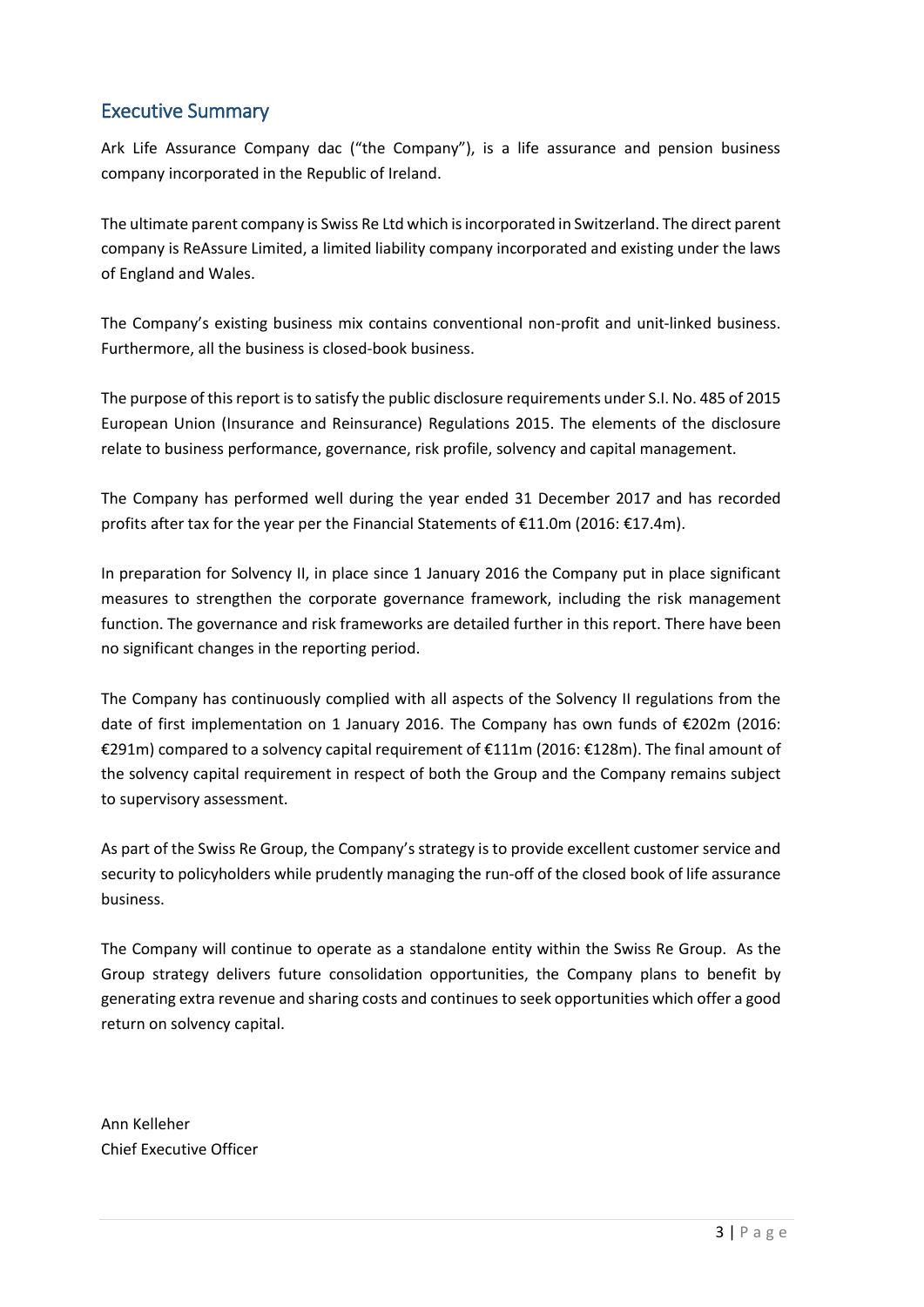# Executive Summary

Ark Life Assurance Company dac ("the Company"), is a life assurance and pension business company incorporated in the Republic of Ireland.

The ultimate parent company is Swiss Re Ltd which is incorporated in Switzerland. The direct parent company is ReAssure Limited, a limited liability company incorporated and existing under the laws of England and Wales.

The Company's existing business mix contains conventional non-profit and unit-linked business. Furthermore, all the business is closed-book business.

The purpose of this report is to satisfy the public disclosure requirements under S.I. No. 485 of 2015 European Union (Insurance and Reinsurance) Regulations 2015. The elements of the disclosure relate to business performance, governance, risk profile, solvency and capital management.

The Company has performed well during the year ended 31 December 2017 and has recorded profits after tax for the year per the Financial Statements of €11.0m (2016: €17.4m).

In preparation for Solvency II, in place since 1 January 2016 the Company put in place significant measures to strengthen the corporate governance framework, including the risk management function. The governance and risk frameworks are detailed further in this report. There have been no significant changes in the reporting period.

The Company has continuously complied with all aspects of the Solvency II regulations from the date of first implementation on 1 January 2016. The Company has own funds of €202m (2016: €291m) compared to a solvency capital requirement of €111m (2016: €128m). The final amount of the solvency capital requirement in respect of both the Group and the Company remains subject to supervisory assessment.

As part of the Swiss Re Group, the Company's strategy is to provide excellent customer service and security to policyholders while prudently managing the run-off of the closed book of life assurance business.

The Company will continue to operate as a standalone entity within the Swiss Re Group. As the Group strategy delivers future consolidation opportunities, the Company plans to benefit by generating extra revenue and sharing costs and continues to seek opportunities which offer a good return on solvency capital.

Ann Kelleher Chief Executive Officer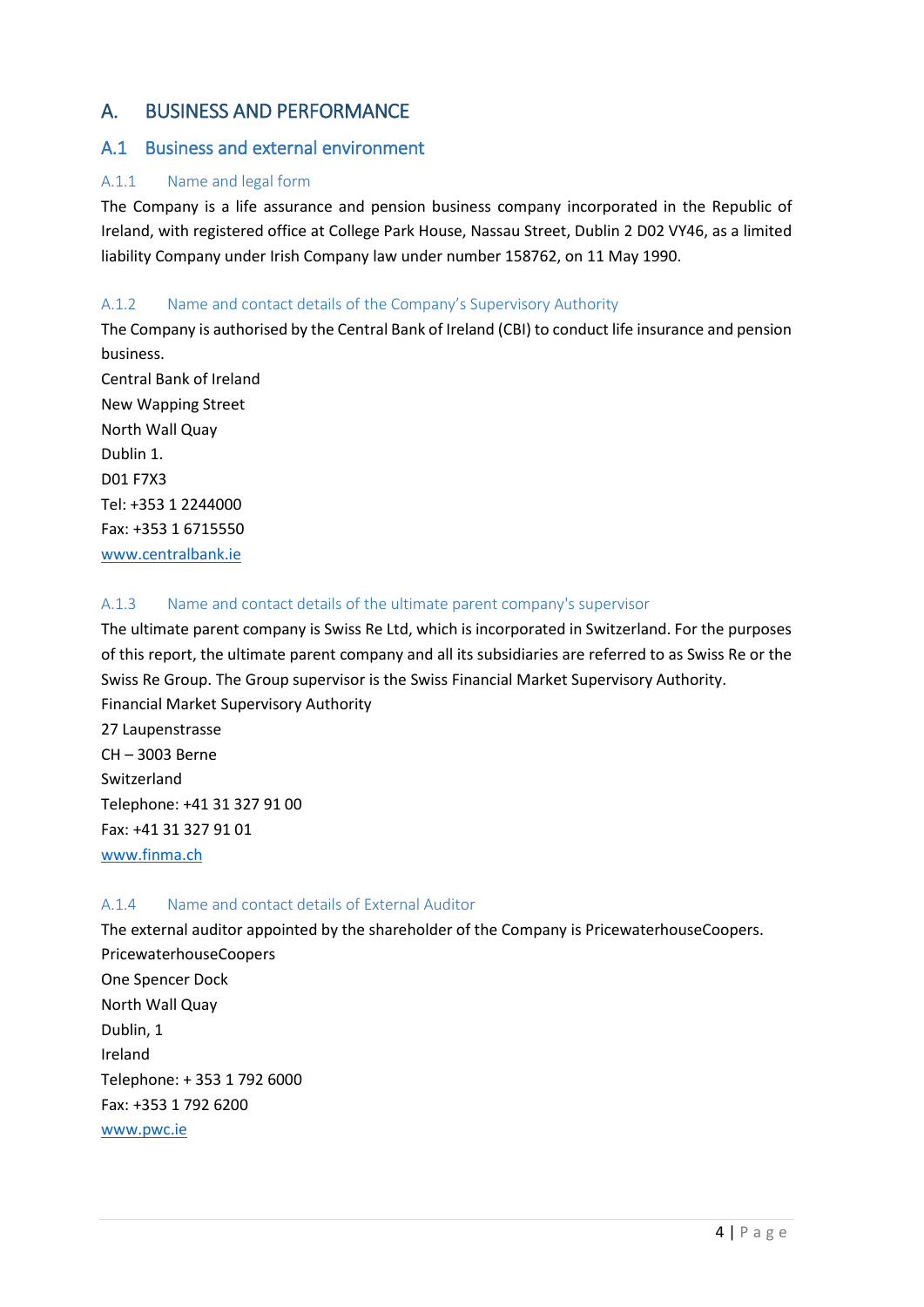# <span id="page-3-0"></span>A. BUSINESS AND PERFORMANCE

## <span id="page-3-1"></span>A.1 Business and external environment

## A.1.1 Name and legal form

The Company is a life assurance and pension business company incorporated in the Republic of Ireland, with registered office at College Park House, Nassau Street, Dublin 2 D02 VY46, as a limited liability Company under Irish Company law under number 158762, on 11 May 1990.

## A.1.2 Name and contact details of the Company's Supervisory Authority

The Company is authorised by the Central Bank of Ireland (CBI) to conduct life insurance and pension business.

Central Bank of Ireland New Wapping Street North Wall Quay Dublin 1. D01 F7X3 Tel: +353 1 2244000 Fax: +353 1 6715550 [www.centralbank.ie](http://www.centralbank.ie/)

## A.1.3 Name and contact details of the ultimate parent company's supervisor

The ultimate parent company is Swiss Re Ltd, which is incorporated in Switzerland. For the purposes of this report, the ultimate parent company and all its subsidiaries are referred to as Swiss Re or the Swiss Re Group. The Group supervisor is the Swiss Financial Market Supervisory Authority. Financial Market Supervisory Authority

27 Laupenstrasse CH – 3003 Berne Switzerland Telephone: +41 31 327 91 00 Fax: +41 31 327 91 01 www.finma.ch

## A.1.4 Name and contact details of External Auditor

The external auditor appointed by the shareholder of the Company is PricewaterhouseCoopers. PricewaterhouseCoopers One Spencer Dock North Wall Quay Dublin, 1 Ireland Telephone: + 353 1 792 6000 Fax: +353 1 792 6200 [www.pwc.ie](http://www.pwc.ie/)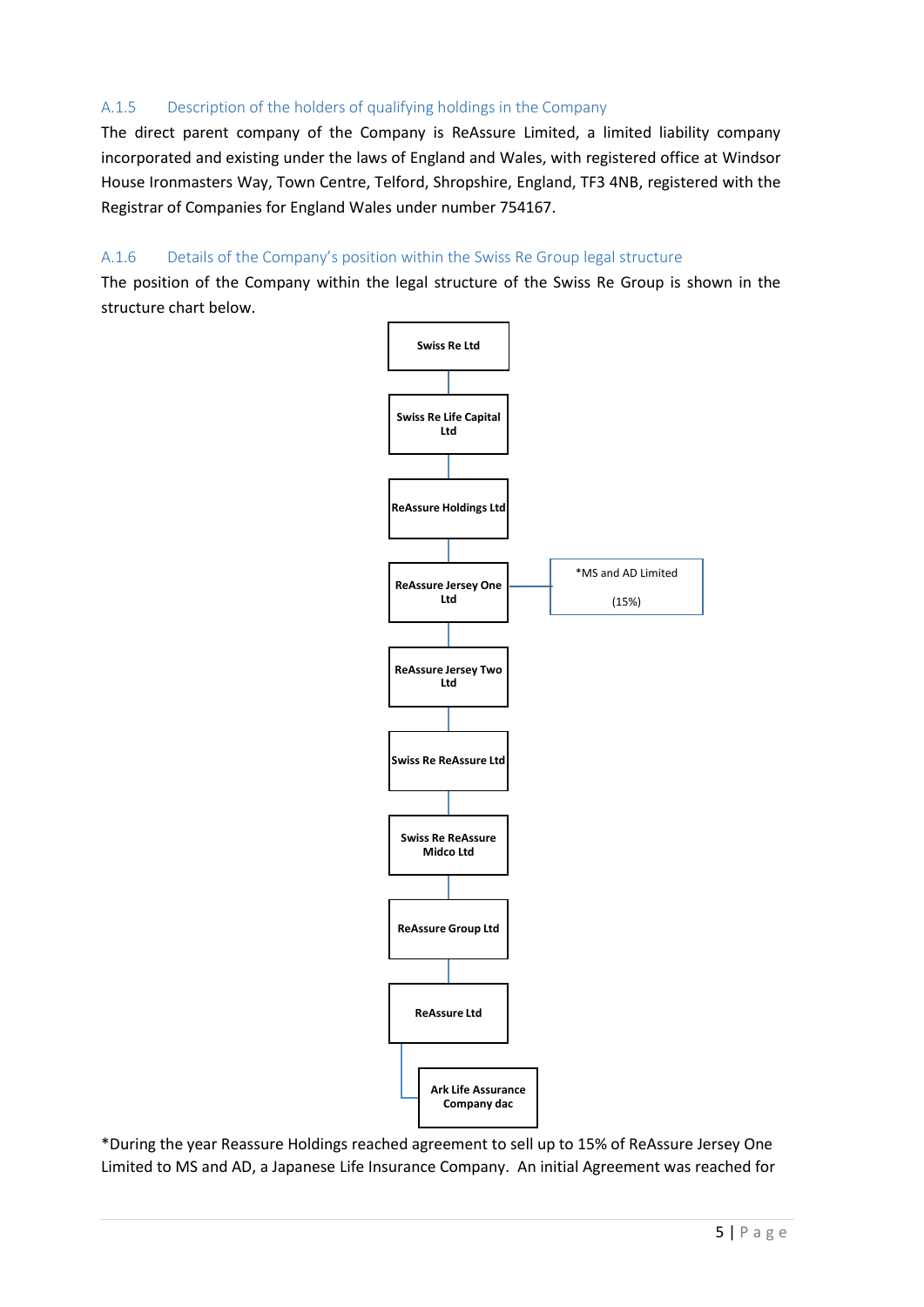## A.1.5 Description of the holders of qualifying holdings in the Company

The direct parent company of the Company is ReAssure Limited, a limited liability company incorporated and existing under the laws of England and Wales, with registered office at Windsor House Ironmasters Way, Town Centre, Telford, Shropshire, England, TF3 4NB, registered with the Registrar of Companies for England Wales under number 754167.

## A.1.6 Details of the Company's position within the Swiss Re Group legal structure

The position of the Company within the legal structure of the Swiss Re Group is shown in the structure chart below.



\*During the year Reassure Holdings reached agreement to sell up to 15% of ReAssure Jersey One Limited to MS and AD, a Japanese Life Insurance Company. An initial Agreement was reached for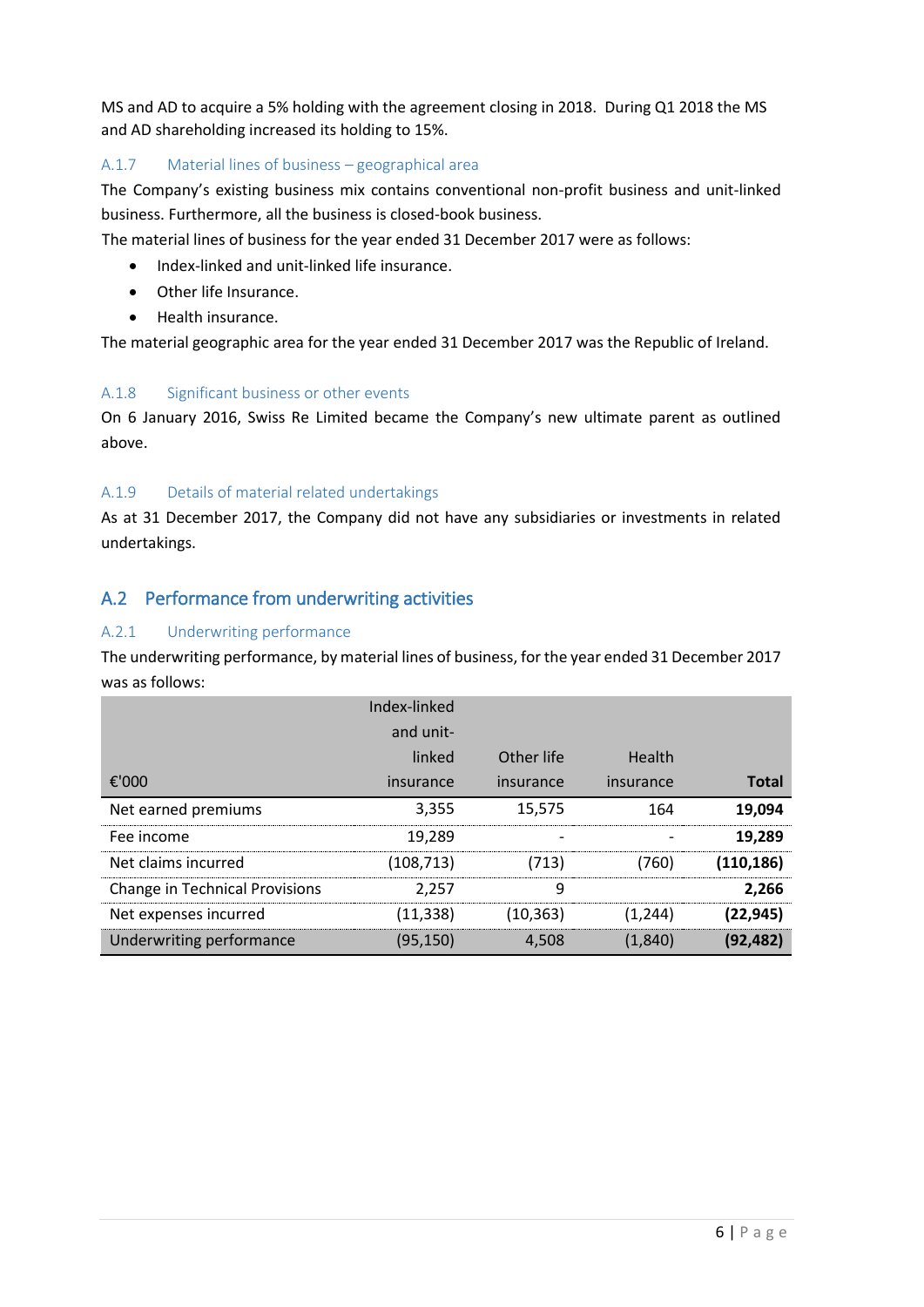MS and AD to acquire a 5% holding with the agreement closing in 2018. During Q1 2018 the MS and AD shareholding increased its holding to 15%.

## A.1.7 Material lines of business – geographical area

The Company's existing business mix contains conventional non-profit business and unit-linked business. Furthermore, all the business is closed-book business.

The material lines of business for the year ended 31 December 2017 were as follows:

- Index-linked and unit-linked life insurance.
- Other life Insurance.
- Health insurance.

The material geographic area for the year ended 31 December 2017 was the Republic of Ireland.

## A.1.8 Significant business or other events

On 6 January 2016, Swiss Re Limited became the Company's new ultimate parent as outlined above.

## A.1.9 Details of material related undertakings

As at 31 December 2017, the Company did not have any subsidiaries or investments in related undertakings.

# <span id="page-5-0"></span>A.2 Performance from underwriting activities

## A.2.1 Underwriting performance

The underwriting performance, by material lines of business, for the year ended 31 December 2017 was as follows:

|                                       | Index-linked |            |           |              |
|---------------------------------------|--------------|------------|-----------|--------------|
|                                       | and unit-    |            |           |              |
|                                       | linked       | Other life | Health    |              |
| €'000                                 | insurance    | insurance  | insurance | <b>Total</b> |
| Net earned premiums                   | 3,355        | 15,575     | 164       | 19,094       |
| Fee income                            | 19,289       |            |           | 19.289       |
| Net claims incurred                   | (108,713)    | (713)      | (760)     | (110, 186)   |
| <b>Change in Technical Provisions</b> | 2.257        | 9          |           | 2,266        |
| Net expenses incurred                 | (11, 338)    | (10, 363)  | (1.244)   | (22, 945)    |
| Underwriting performance              | (95,150)     | 4.508      | (1,840)   | (92, 482)    |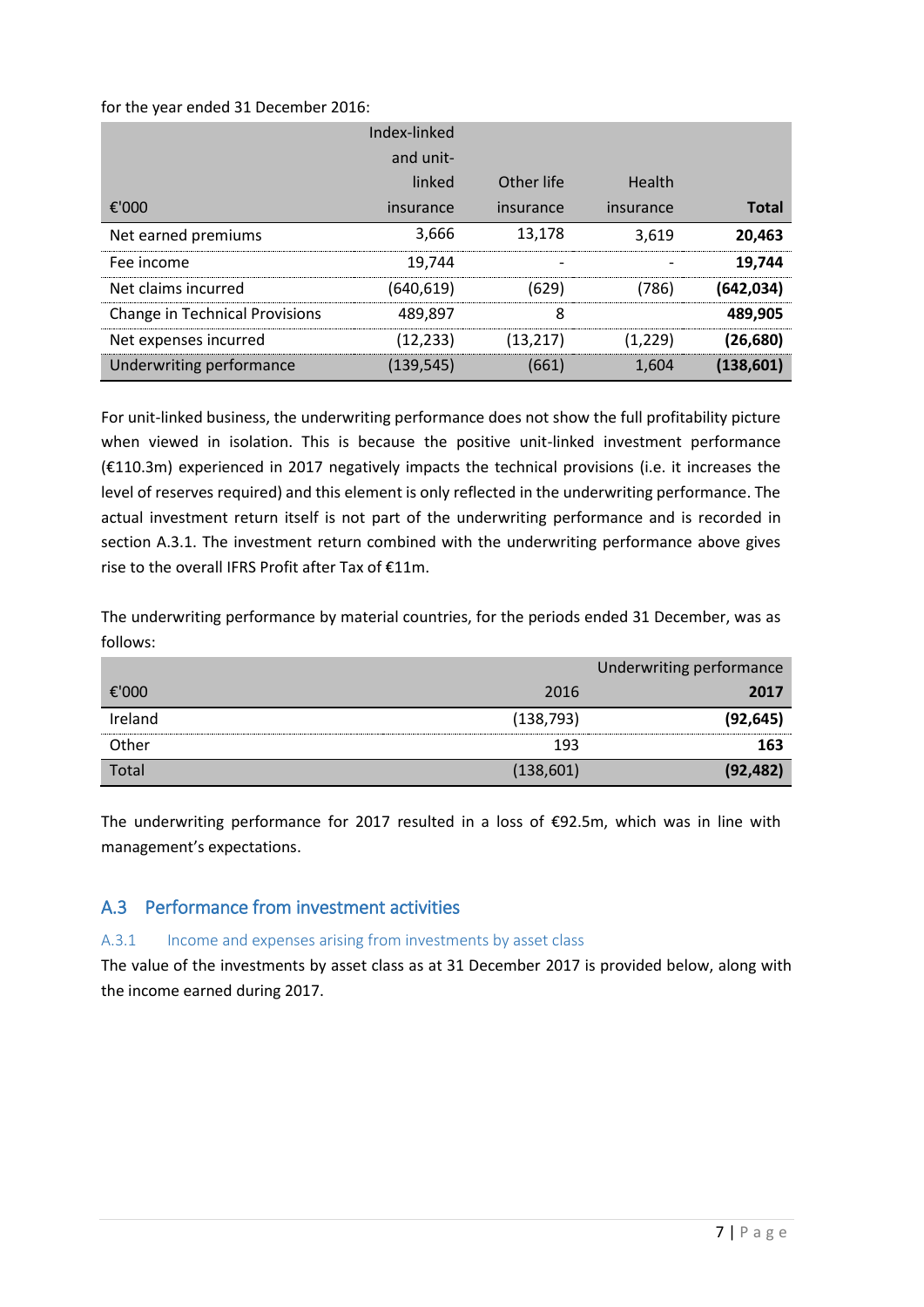for the year ended 31 December 2016:

|                                       | Index-linked |            |           |              |
|---------------------------------------|--------------|------------|-----------|--------------|
|                                       | and unit-    |            |           |              |
|                                       | linked       | Other life | Health    |              |
| €'000                                 | insurance    | insurance  | insurance | <b>Total</b> |
| Net earned premiums                   | 3,666        | 13,178     | 3,619     | 20,463       |
| Fee income                            | 19.744       |            |           | 19,744       |
| Net claims incurred                   | (640,619)    | (629)      | (786)     | (642,034)    |
| <b>Change in Technical Provisions</b> | 489.897      | 8          |           | 489,905      |
| Net expenses incurred                 | (12, 233)    | (13,217)   | (1,229)   | (26,680)     |
| Underwriting performance              | (139,545)    | (661)      | 1.604     | (138, 601)   |

For unit-linked business, the underwriting performance does not show the full profitability picture when viewed in isolation. This is because the positive unit-linked investment performance (€110.3m) experienced in 2017 negatively impacts the technical provisions (i.e. it increases the level of reserves required) and this element is only reflected in the underwriting performance. The actual investment return itself is not part of the underwriting performance and is recorded in section A.3.1. The investment return combined with the underwriting performance above gives rise to the overall IFRS Profit after Tax of €11m.

The underwriting performance by material countries, for the periods ended 31 December, was as follows:

|         |            | Underwriting performance |
|---------|------------|--------------------------|
| €'000   | 2016       | 2017                     |
| Ireland | (138, 793) | (92, 645)                |
| Other   | 193        | 163                      |
| Total   | (138, 601) | (92, 482)                |

The underwriting performance for 2017 resulted in a loss of €92.5m, which was in line with management's expectations.

# <span id="page-6-0"></span>A.3 Performance from investment activities

## A.3.1 Income and expenses arising from investments by asset class

The value of the investments by asset class as at 31 December 2017 is provided below, along with the income earned during 2017.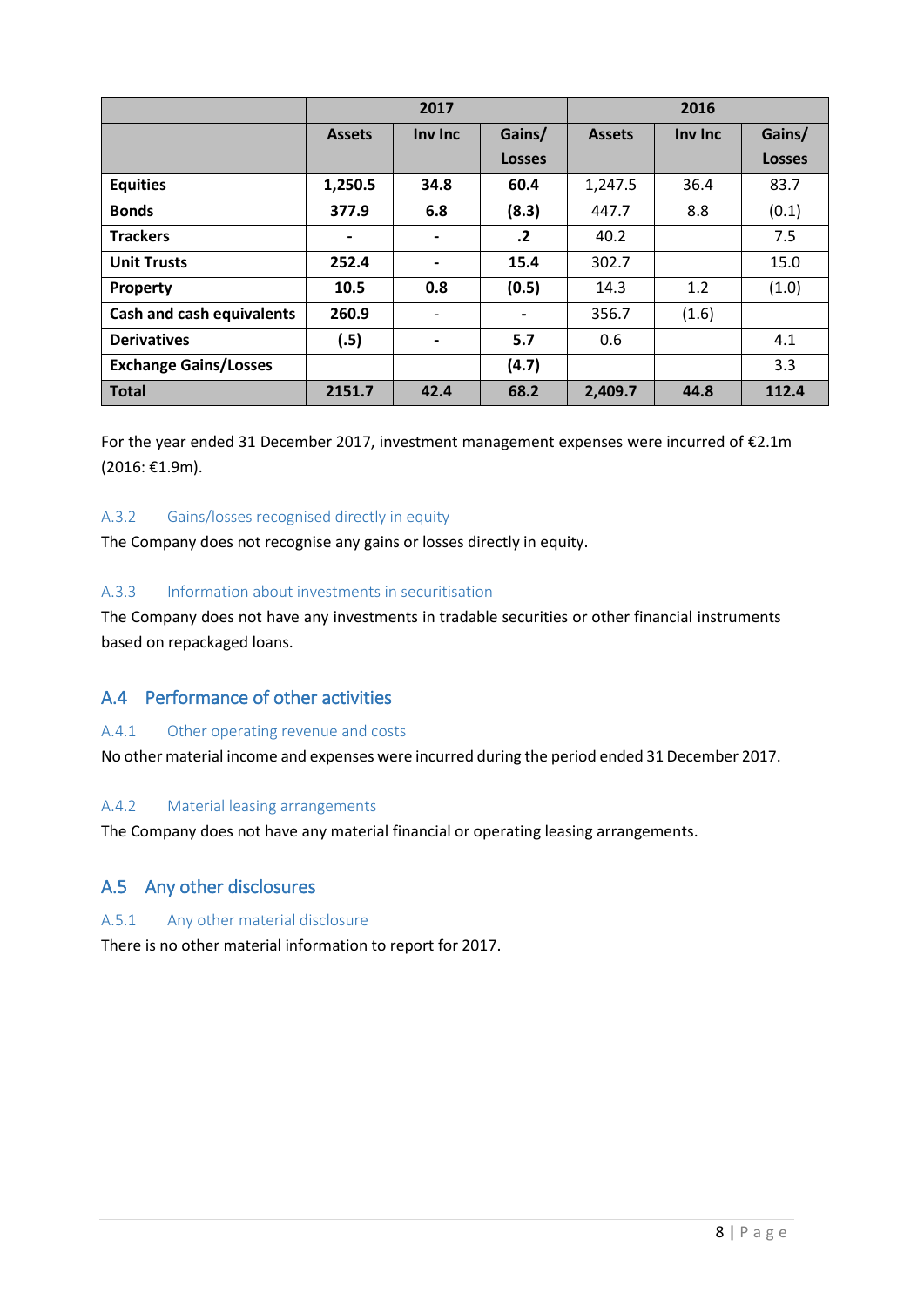|                                  | 2017                     |                          |               | 2016          |         |               |
|----------------------------------|--------------------------|--------------------------|---------------|---------------|---------|---------------|
|                                  | <b>Assets</b>            | Inv Inc                  | Gains/        | <b>Assets</b> | Inv Inc | Gains/        |
|                                  |                          |                          | <b>Losses</b> |               |         | <b>Losses</b> |
| <b>Equities</b>                  | 1,250.5                  | 34.8                     | 60.4          | 1,247.5       | 36.4    | 83.7          |
| <b>Bonds</b>                     | 377.9                    | 6.8                      | (8.3)         | 447.7         | 8.8     | (0.1)         |
| <b>Trackers</b>                  | $\overline{\phantom{a}}$ | $\blacksquare$           | $\cdot$       | 40.2          |         | 7.5           |
| <b>Unit Trusts</b>               | 252.4                    | $\blacksquare$           | 15.4          | 302.7         |         | 15.0          |
| <b>Property</b>                  | 10.5                     | 0.8                      | (0.5)         | 14.3          | 1.2     | (1.0)         |
| <b>Cash and cash equivalents</b> | 260.9                    | $\overline{\phantom{a}}$ |               | 356.7         | (1.6)   |               |
| <b>Derivatives</b>               | (.5)                     | $\blacksquare$           | 5.7           | 0.6           |         | 4.1           |
| <b>Exchange Gains/Losses</b>     |                          |                          | (4.7)         |               |         | 3.3           |
| <b>Total</b>                     | 2151.7                   | 42.4                     | 68.2          | 2,409.7       | 44.8    | 112.4         |

For the year ended 31 December 2017, investment management expenses were incurred of €2.1m (2016: €1.9m).

## A.3.2 Gains/losses recognised directly in equity

The Company does not recognise any gains or losses directly in equity.

## A.3.3 Information about investments in securitisation

The Company does not have any investments in tradable securities or other financial instruments based on repackaged loans.

# <span id="page-7-0"></span>A.4 Performance of other activities

#### A.4.1 Other operating revenue and costs

No other material income and expenses were incurred during the period ended 31 December 2017.

## A.4.2 Material leasing arrangements

The Company does not have any material financial or operating leasing arrangements.

## <span id="page-7-1"></span>A.5 Any other disclosures

## A.5.1 Any other material disclosure

There is no other material information to report for 2017.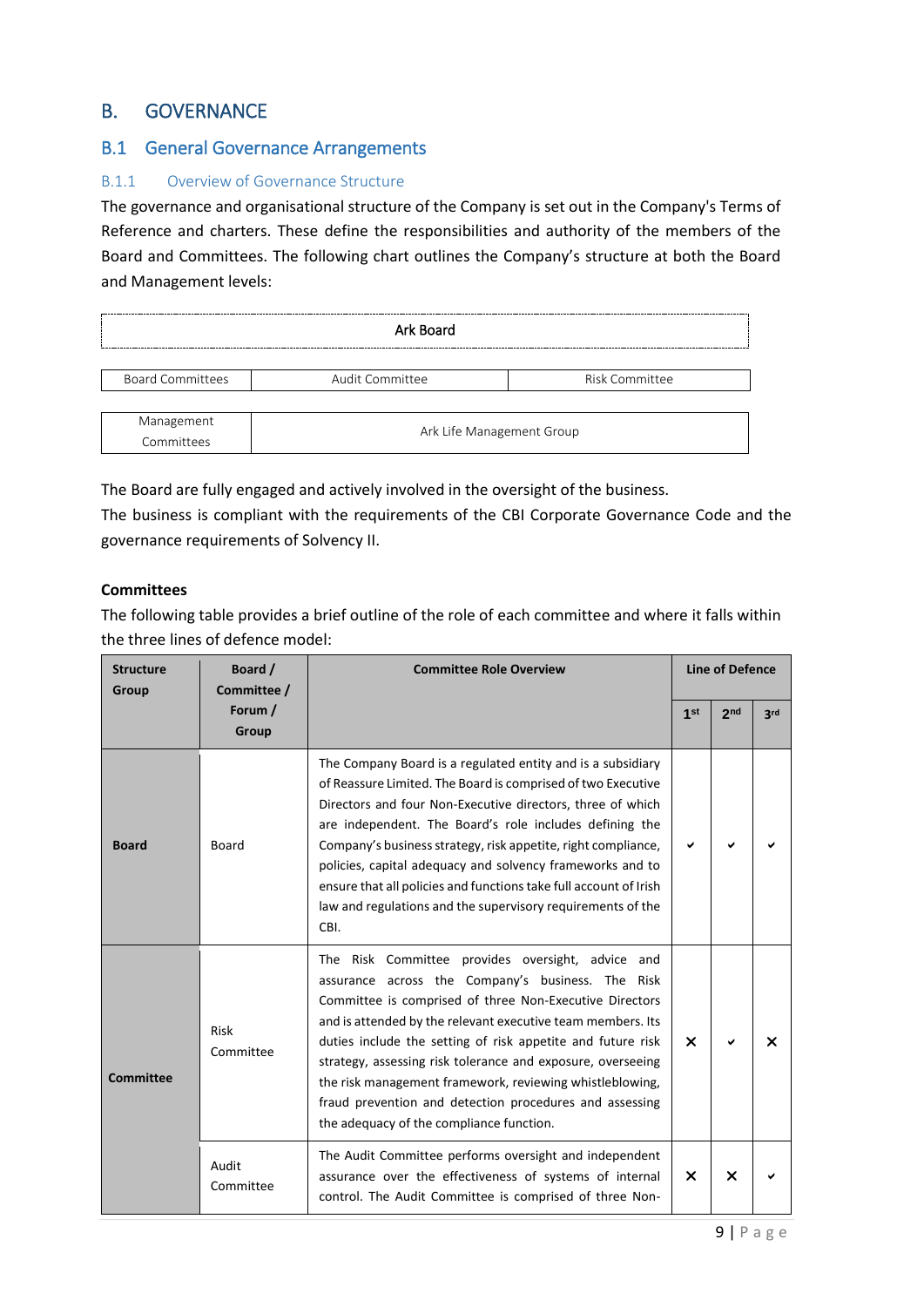# <span id="page-8-0"></span>B. GOVERNANCE

## <span id="page-8-1"></span>B.1 General Governance Arrangements

## B.1.1 Overview of Governance Structure

The governance and organisational structure of the Company is set out in the Company's Terms of Reference and charters. These define the responsibilities and authority of the members of the Board and Committees. The following chart outlines the Company's structure at both the Board and Management levels:

| Ark Board                |                           |                |  |  |  |
|--------------------------|---------------------------|----------------|--|--|--|
| <b>Board Committees</b>  | Audit Committee           | Risk Committee |  |  |  |
| Management<br>Committees | Ark Life Management Group |                |  |  |  |

The Board are fully engaged and actively involved in the oversight of the business.

The business is compliant with the requirements of the CBI Corporate Governance Code and the governance requirements of Solvency II.

#### **Committees**

The following table provides a brief outline of the role of each committee and where it falls within the three lines of defence model:

| <b>Structure</b><br>Group | Board /<br><b>Committee Role Overview</b><br>Committee / |                                                                                                                                                                                                                                                                                                                                                                                                                                                                                                                                   | <b>Line of Defence</b>    |                 |     |
|---------------------------|----------------------------------------------------------|-----------------------------------------------------------------------------------------------------------------------------------------------------------------------------------------------------------------------------------------------------------------------------------------------------------------------------------------------------------------------------------------------------------------------------------------------------------------------------------------------------------------------------------|---------------------------|-----------------|-----|
|                           | Forum /<br>Group                                         |                                                                                                                                                                                                                                                                                                                                                                                                                                                                                                                                   | 1 <sup>st</sup>           | 2 <sub>nd</sub> | 3rd |
| <b>Board</b>              | Board                                                    | The Company Board is a regulated entity and is a subsidiary<br>of Reassure Limited. The Board is comprised of two Executive<br>Directors and four Non-Executive directors, three of which<br>are independent. The Board's role includes defining the<br>Company's business strategy, risk appetite, right compliance,<br>policies, capital adequacy and solvency frameworks and to<br>ensure that all policies and functions take full account of Irish<br>law and regulations and the supervisory requirements of the<br>CBI.    | ✔                         |                 |     |
| <b>Committee</b>          | Risk<br>Committee                                        | The Risk Committee provides oversight, advice and<br>assurance across the Company's business. The Risk<br>Committee is comprised of three Non-Executive Directors<br>and is attended by the relevant executive team members. Its<br>duties include the setting of risk appetite and future risk<br>strategy, assessing risk tolerance and exposure, overseeing<br>the risk management framework, reviewing whistleblowing,<br>fraud prevention and detection procedures and assessing<br>the adequacy of the compliance function. | $\boldsymbol{\mathsf{x}}$ | ✔               | x   |
|                           | Audit<br>Committee                                       | The Audit Committee performs oversight and independent<br>assurance over the effectiveness of systems of internal<br>control. The Audit Committee is comprised of three Non-                                                                                                                                                                                                                                                                                                                                                      | $\boldsymbol{\mathsf{x}}$ | ×               |     |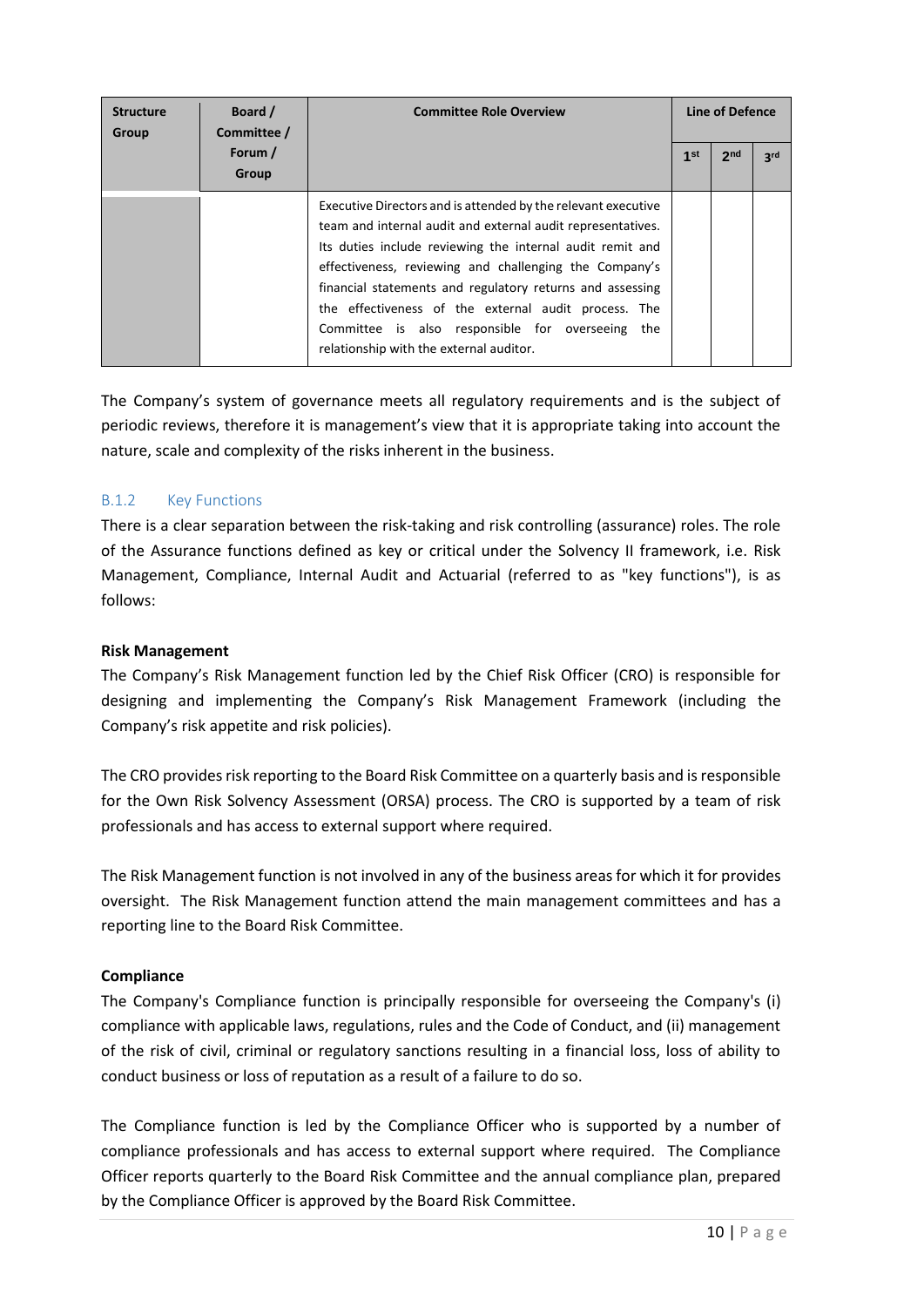| <b>Structure</b><br>Group | Board /<br>Committee / | <b>Committee Role Overview</b>                                                                                                                                                                                                                                                                                                                                                                                                                                          |                 | Line of Defence |                 |
|---------------------------|------------------------|-------------------------------------------------------------------------------------------------------------------------------------------------------------------------------------------------------------------------------------------------------------------------------------------------------------------------------------------------------------------------------------------------------------------------------------------------------------------------|-----------------|-----------------|-----------------|
|                           | Forum /<br>Group       |                                                                                                                                                                                                                                                                                                                                                                                                                                                                         | 1 <sup>st</sup> | 2 <sub>nd</sub> | 3 <sup>rd</sup> |
|                           |                        | Executive Directors and is attended by the relevant executive<br>team and internal audit and external audit representatives.<br>Its duties include reviewing the internal audit remit and<br>effectiveness, reviewing and challenging the Company's<br>financial statements and regulatory returns and assessing<br>the effectiveness of the external audit process. The<br>Committee is also responsible for overseeing the<br>relationship with the external auditor. |                 |                 |                 |

The Company's system of governance meets all regulatory requirements and is the subject of periodic reviews, therefore it is management's view that it is appropriate taking into account the nature, scale and complexity of the risks inherent in the business.

## B.1.2 Key Functions

There is a clear separation between the risk-taking and risk controlling (assurance) roles. The role of the Assurance functions defined as key or critical under the Solvency II framework, i.e. Risk Management, Compliance, Internal Audit and Actuarial (referred to as "key functions"), is as follows:

## **Risk Management**

The Company's Risk Management function led by the Chief Risk Officer (CRO) is responsible for designing and implementing the Company's Risk Management Framework (including the Company's risk appetite and risk policies).

The CRO provides risk reporting to the Board Risk Committee on a quarterly basis and is responsible for the Own Risk Solvency Assessment (ORSA) process. The CRO is supported by a team of risk professionals and has access to external support where required.

The Risk Management function is not involved in any of the business areas for which it for provides oversight. The Risk Management function attend the main management committees and has a reporting line to the Board Risk Committee.

## **Compliance**

The Company's Compliance function is principally responsible for overseeing the Company's (i) compliance with applicable laws, regulations, rules and the Code of Conduct, and (ii) management of the risk of civil, criminal or regulatory sanctions resulting in a financial loss, loss of ability to conduct business or loss of reputation as a result of a failure to do so.

The Compliance function is led by the Compliance Officer who is supported by a number of compliance professionals and has access to external support where required. The Compliance Officer reports quarterly to the Board Risk Committee and the annual compliance plan, prepared by the Compliance Officer is approved by the Board Risk Committee.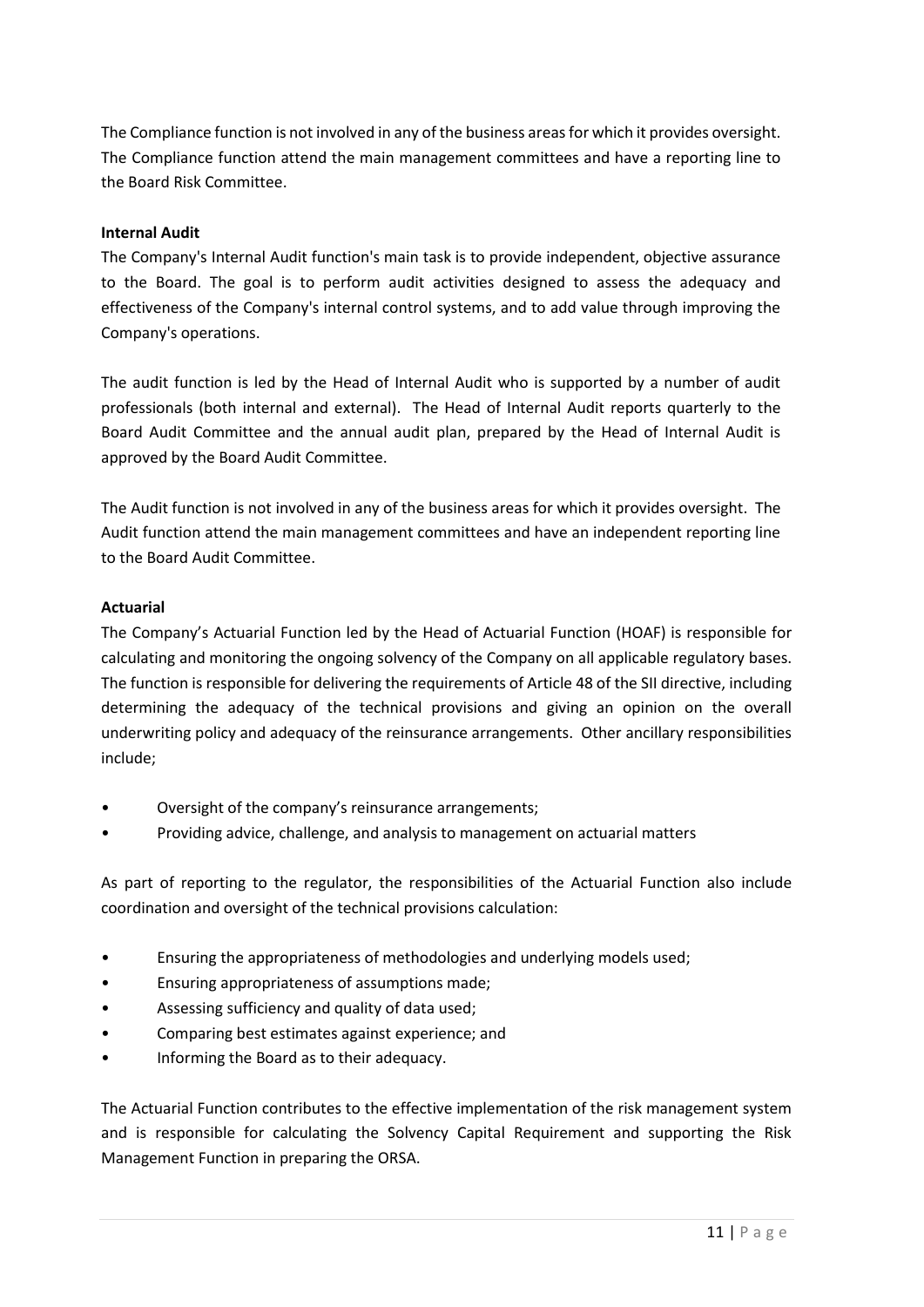The Compliance function is not involved in any of the business areas for which it provides oversight. The Compliance function attend the main management committees and have a reporting line to the Board Risk Committee.

#### **Internal Audit**

The Company's Internal Audit function's main task is to provide independent, objective assurance to the Board. The goal is to perform audit activities designed to assess the adequacy and effectiveness of the Company's internal control systems, and to add value through improving the Company's operations.

The audit function is led by the Head of Internal Audit who is supported by a number of audit professionals (both internal and external). The Head of Internal Audit reports quarterly to the Board Audit Committee and the annual audit plan, prepared by the Head of Internal Audit is approved by the Board Audit Committee.

The Audit function is not involved in any of the business areas for which it provides oversight. The Audit function attend the main management committees and have an independent reporting line to the Board Audit Committee.

#### **Actuarial**

The Company's Actuarial Function led by the Head of Actuarial Function (HOAF) is responsible for calculating and monitoring the ongoing solvency of the Company on all applicable regulatory bases. The function is responsible for delivering the requirements of Article 48 of the SII directive, including determining the adequacy of the technical provisions and giving an opinion on the overall underwriting policy and adequacy of the reinsurance arrangements. Other ancillary responsibilities include;

- Oversight of the company's reinsurance arrangements;
- Providing advice, challenge, and analysis to management on actuarial matters

As part of reporting to the regulator, the responsibilities of the Actuarial Function also include coordination and oversight of the technical provisions calculation:

- Ensuring the appropriateness of methodologies and underlying models used;
- Ensuring appropriateness of assumptions made;
- Assessing sufficiency and quality of data used;
- Comparing best estimates against experience; and
- Informing the Board as to their adequacy.

The Actuarial Function contributes to the effective implementation of the risk management system and is responsible for calculating the Solvency Capital Requirement and supporting the Risk Management Function in preparing the ORSA.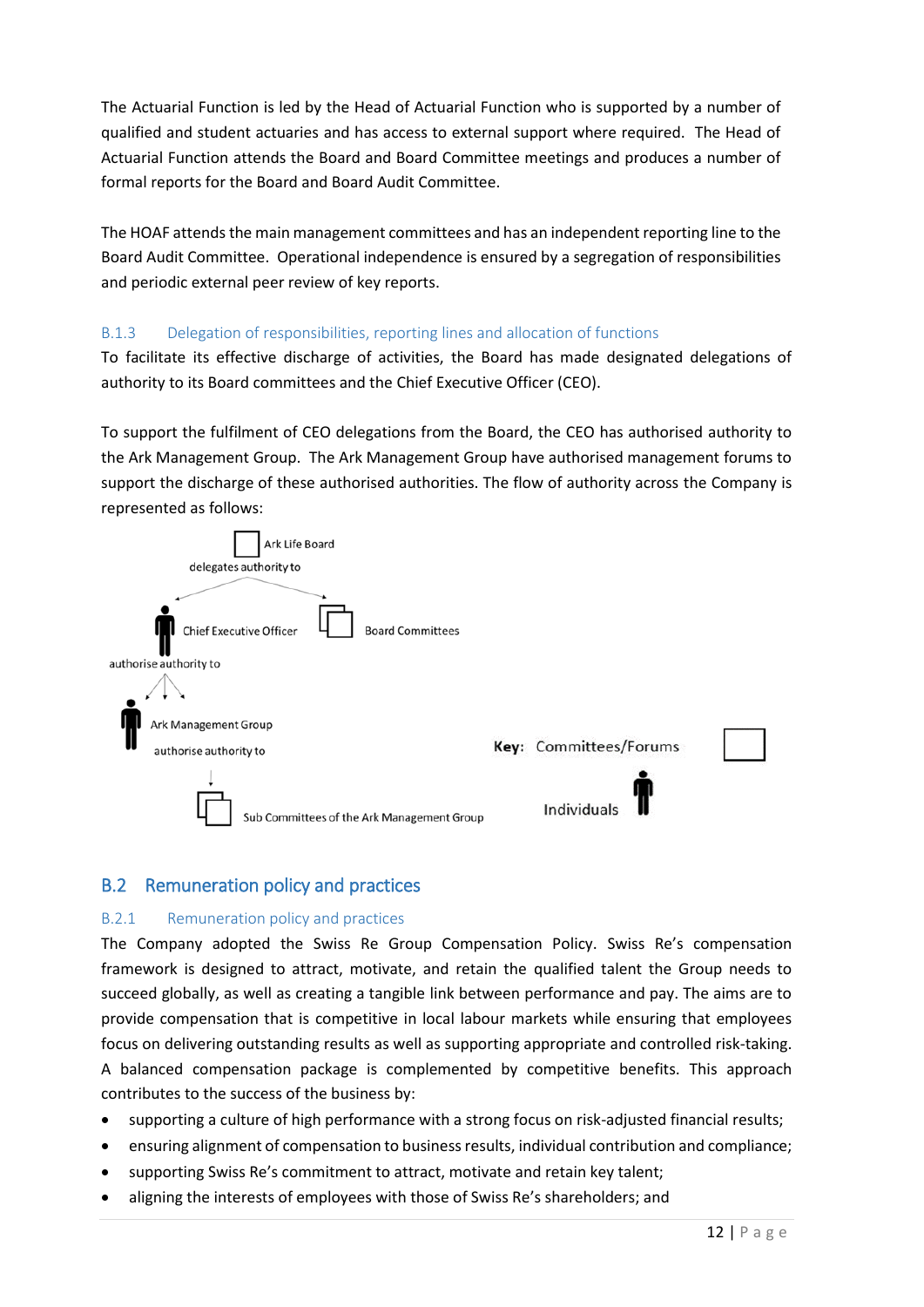The Actuarial Function is led by the Head of Actuarial Function who is supported by a number of qualified and student actuaries and has access to external support where required. The Head of Actuarial Function attends the Board and Board Committee meetings and produces a number of formal reports for the Board and Board Audit Committee.

The HOAF attends the main management committees and has an independent reporting line to the Board Audit Committee. Operational independence is ensured by a segregation of responsibilities and periodic external peer review of key reports.

## B.1.3 Delegation of responsibilities, reporting lines and allocation of functions

To facilitate its effective discharge of activities, the Board has made designated delegations of authority to its Board committees and the Chief Executive Officer (CEO).

To support the fulfilment of CEO delegations from the Board, the CEO has authorised authority to the Ark Management Group. The Ark Management Group have authorised management forums to support the discharge of these authorised authorities. The flow of authority across the Company is represented as follows:



## <span id="page-11-0"></span>B.2 Remuneration policy and practices

#### B.2.1 Remuneration policy and practices

The Company adopted the Swiss Re Group Compensation Policy. Swiss Re's compensation framework is designed to attract, motivate, and retain the qualified talent the Group needs to succeed globally, as well as creating a tangible link between performance and pay. The aims are to provide compensation that is competitive in local labour markets while ensuring that employees focus on delivering outstanding results as well as supporting appropriate and controlled risk-taking. A balanced compensation package is complemented by competitive benefits. This approach contributes to the success of the business by:

- supporting a culture of high performance with a strong focus on risk-adjusted financial results;
- ensuring alignment of compensation to business results, individual contribution and compliance;
- supporting Swiss Re's commitment to attract, motivate and retain key talent;
- aligning the interests of employees with those of Swiss Re's shareholders; and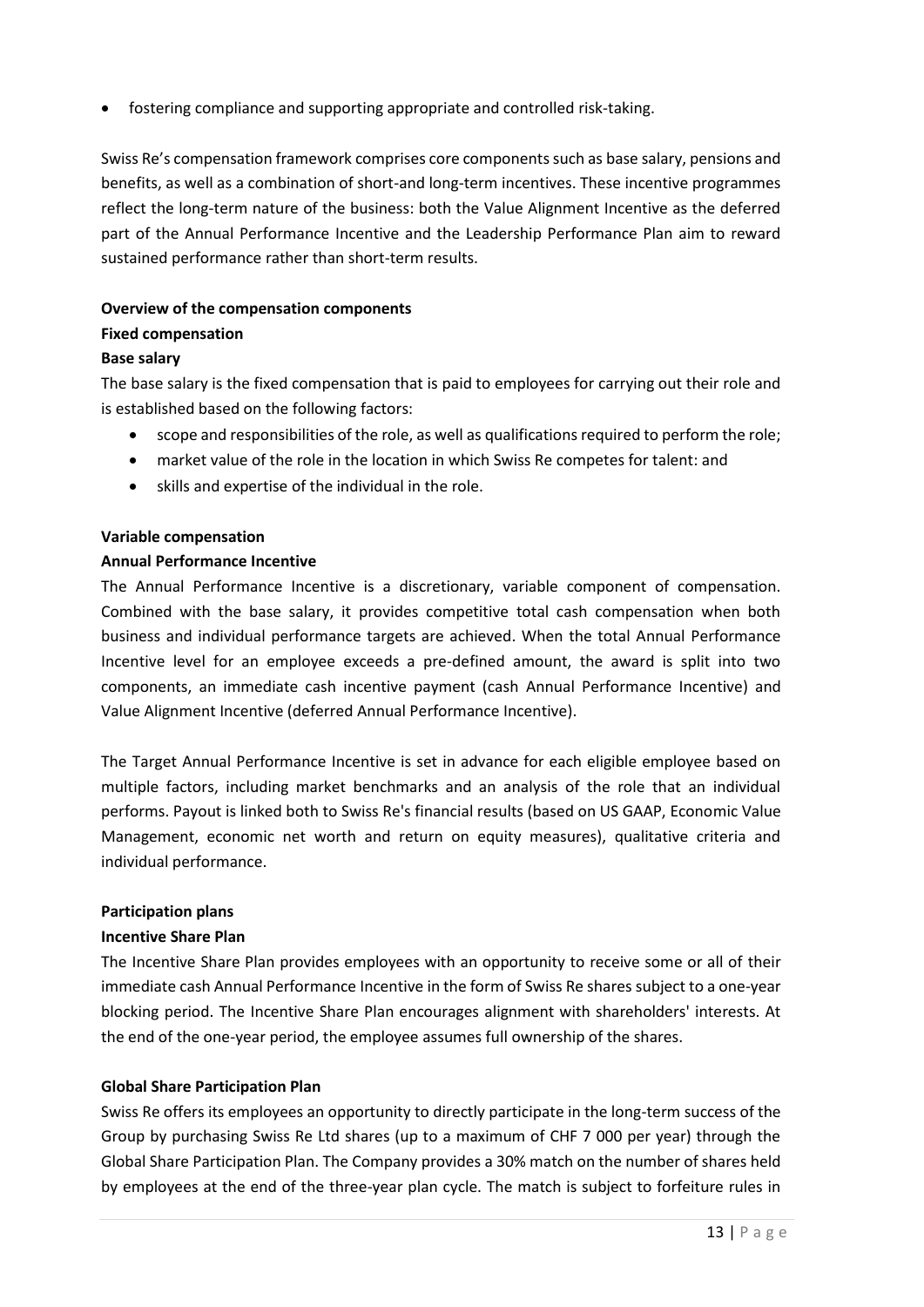• fostering compliance and supporting appropriate and controlled risk-taking.

Swiss Re's compensation framework comprises core components such as base salary, pensions and benefits, as well as a combination of short-and long-term incentives. These incentive programmes reflect the long-term nature of the business: both the Value Alignment Incentive as the deferred part of the Annual Performance Incentive and the Leadership Performance Plan aim to reward sustained performance rather than short-term results.

#### **Overview of the compensation components**

#### **Fixed compensation**

#### **Base salary**

The base salary is the fixed compensation that is paid to employees for carrying out their role and is established based on the following factors:

- scope and responsibilities of the role, as well as qualifications required to perform the role;
- market value of the role in the location in which Swiss Re competes for talent: and
- skills and expertise of the individual in the role.

#### **Variable compensation**

#### **Annual Performance Incentive**

The Annual Performance Incentive is a discretionary, variable component of compensation. Combined with the base salary, it provides competitive total cash compensation when both business and individual performance targets are achieved. When the total Annual Performance Incentive level for an employee exceeds a pre-defined amount, the award is split into two components, an immediate cash incentive payment (cash Annual Performance Incentive) and Value Alignment Incentive (deferred Annual Performance Incentive).

The Target Annual Performance Incentive is set in advance for each eligible employee based on multiple factors, including market benchmarks and an analysis of the role that an individual performs. Payout is linked both to Swiss Re's financial results (based on US GAAP, Economic Value Management, economic net worth and return on equity measures), qualitative criteria and individual performance.

#### **Participation plans**

## **Incentive Share Plan**

The Incentive Share Plan provides employees with an opportunity to receive some or all of their immediate cash Annual Performance Incentive in the form of Swiss Re shares subject to a one-year blocking period. The Incentive Share Plan encourages alignment with shareholders' interests. At the end of the one-year period, the employee assumes full ownership of the shares.

## **Global Share Participation Plan**

Swiss Re offers its employees an opportunity to directly participate in the long-term success of the Group by purchasing Swiss Re Ltd shares (up to a maximum of CHF 7 000 per year) through the Global Share Participation Plan. The Company provides a 30% match on the number of shares held by employees at the end of the three-year plan cycle. The match is subject to forfeiture rules in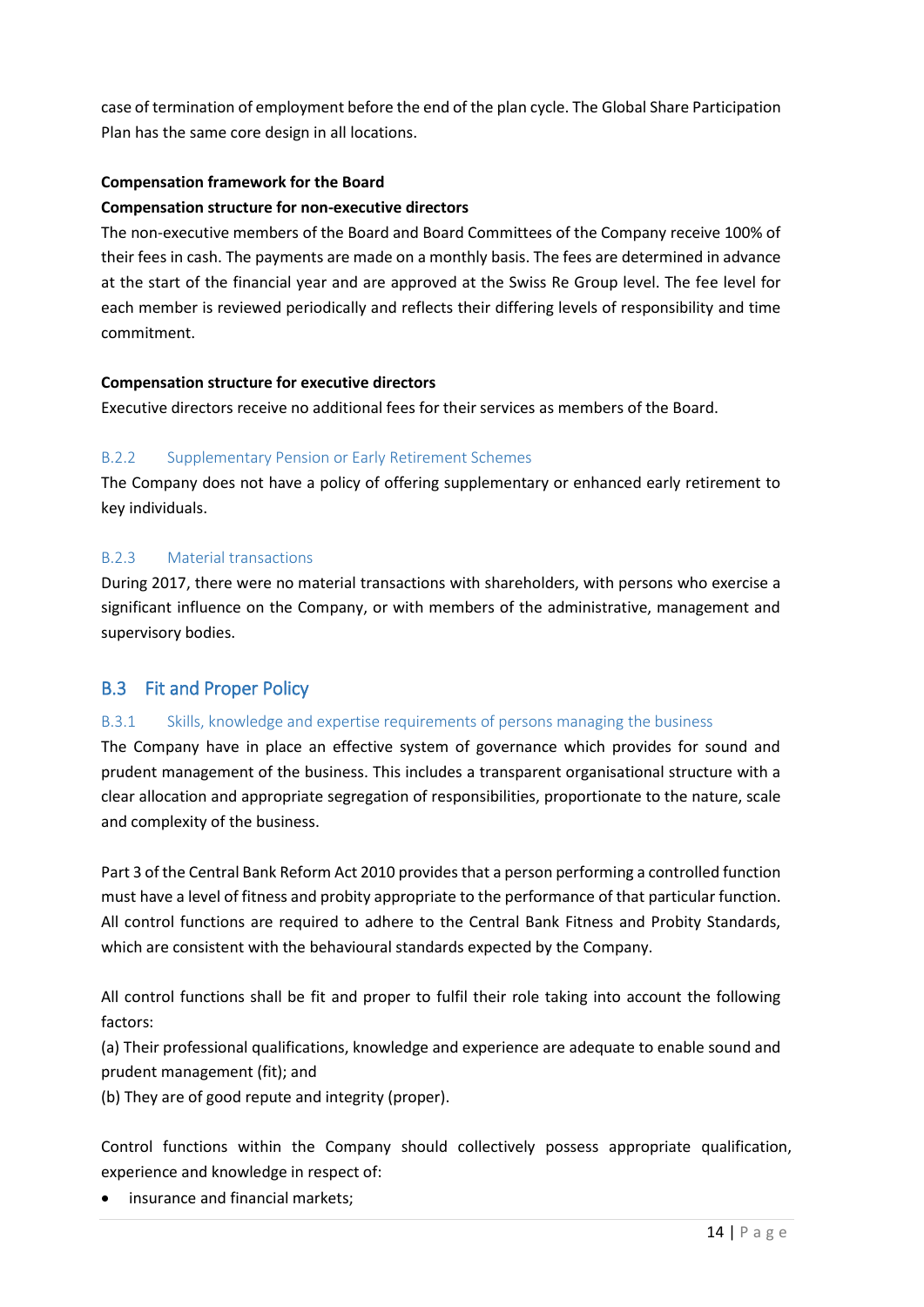case of termination of employment before the end of the plan cycle. The Global Share Participation Plan has the same core design in all locations.

## **Compensation framework for the Board**

## **Compensation structure for non-executive directors**

The non-executive members of the Board and Board Committees of the Company receive 100% of their fees in cash. The payments are made on a monthly basis. The fees are determined in advance at the start of the financial year and are approved at the Swiss Re Group level. The fee level for each member is reviewed periodically and reflects their differing levels of responsibility and time commitment.

## **Compensation structure for executive directors**

Executive directors receive no additional fees for their services as members of the Board.

## B.2.2 Supplementary Pension or Early Retirement Schemes

The Company does not have a policy of offering supplementary or enhanced early retirement to key individuals.

## B.2.3 Material transactions

During 2017, there were no material transactions with shareholders, with persons who exercise a significant influence on the Company, or with members of the administrative, management and supervisory bodies.

# <span id="page-13-0"></span>B.3 Fit and Proper Policy

## B.3.1 Skills, knowledge and expertise requirements of persons managing the business

The Company have in place an effective system of governance which provides for sound and prudent management of the business. This includes a transparent organisational structure with a clear allocation and appropriate segregation of responsibilities, proportionate to the nature, scale and complexity of the business.

Part 3 of the Central Bank Reform Act 2010 provides that a person performing a controlled function must have a level of fitness and probity appropriate to the performance of that particular function. All control functions are required to adhere to the Central Bank Fitness and Probity Standards, which are consistent with the behavioural standards expected by the Company.

All control functions shall be fit and proper to fulfil their role taking into account the following factors:

(a) Their professional qualifications, knowledge and experience are adequate to enable sound and prudent management (fit); and

(b) They are of good repute and integrity (proper).

Control functions within the Company should collectively possess appropriate qualification, experience and knowledge in respect of:

• insurance and financial markets;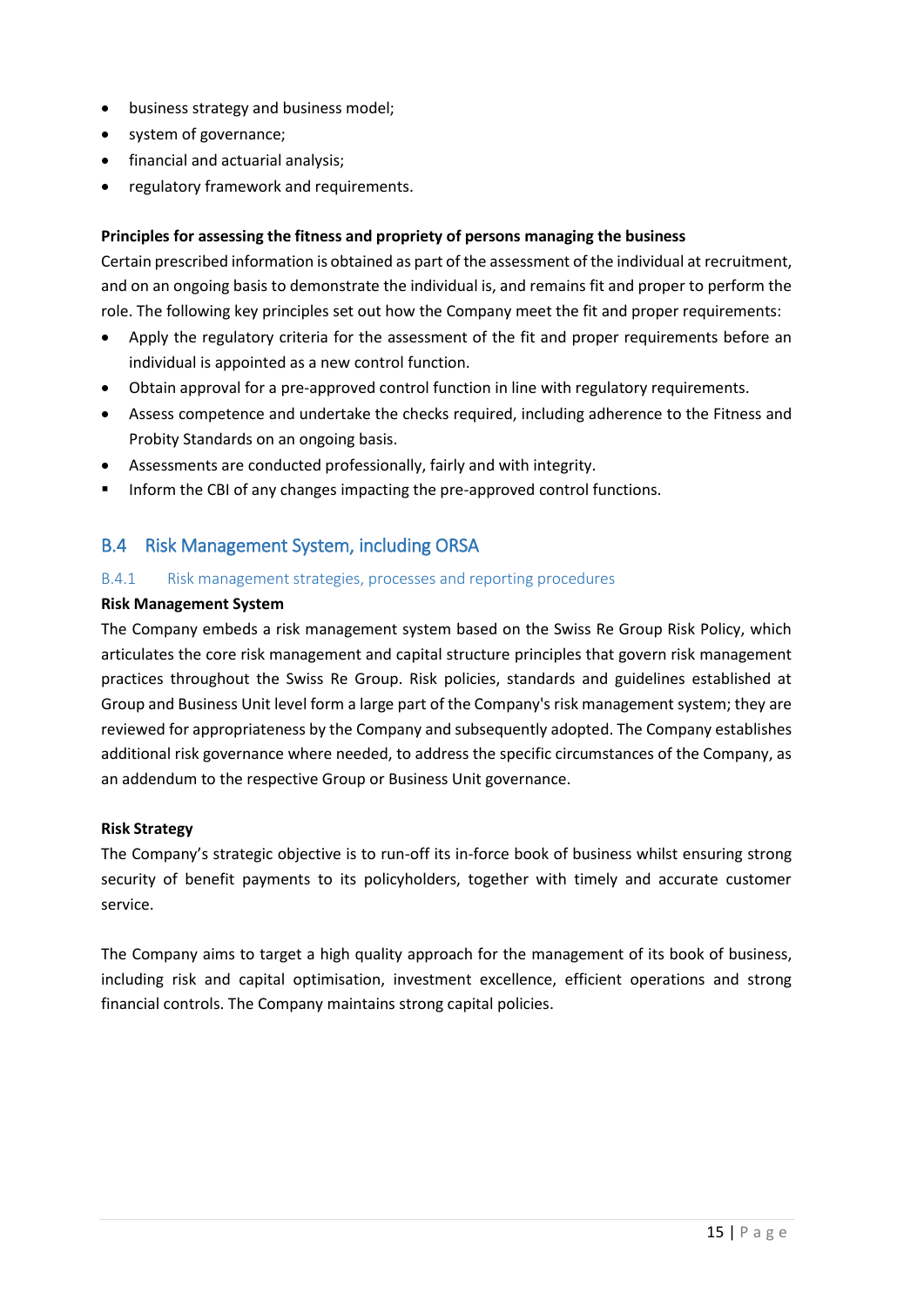- business strategy and business model;
- system of governance;
- financial and actuarial analysis;
- regulatory framework and requirements.

## **Principles for assessing the fitness and propriety of persons managing the business**

Certain prescribed information is obtained as part of the assessment of the individual at recruitment, and on an ongoing basis to demonstrate the individual is, and remains fit and proper to perform the role. The following key principles set out how the Company meet the fit and proper requirements:

- Apply the regulatory criteria for the assessment of the fit and proper requirements before an individual is appointed as a new control function.
- Obtain approval for a pre-approved control function in line with regulatory requirements.
- Assess competence and undertake the checks required, including adherence to the Fitness and Probity Standards on an ongoing basis.
- Assessments are conducted professionally, fairly and with integrity.
- **■** Inform the CBI of any changes impacting the pre-approved control functions.

## <span id="page-14-0"></span>B.4 Risk Management System, including ORSA

## B.4.1 Risk management strategies, processes and reporting procedures

## **Risk Management System**

The Company embeds a risk management system based on the Swiss Re Group Risk Policy, which articulates the core risk management and capital structure principles that govern risk management practices throughout the Swiss Re Group. Risk policies, standards and guidelines established at Group and Business Unit level form a large part of the Company's risk management system; they are reviewed for appropriateness by the Company and subsequently adopted. The Company establishes additional risk governance where needed, to address the specific circumstances of the Company, as an addendum to the respective Group or Business Unit governance.

## **Risk Strategy**

The Company's strategic objective is to run-off its in-force book of business whilst ensuring strong security of benefit payments to its policyholders, together with timely and accurate customer service.

The Company aims to target a high quality approach for the management of its book of business, including risk and capital optimisation, investment excellence, efficient operations and strong financial controls. The Company maintains strong capital policies.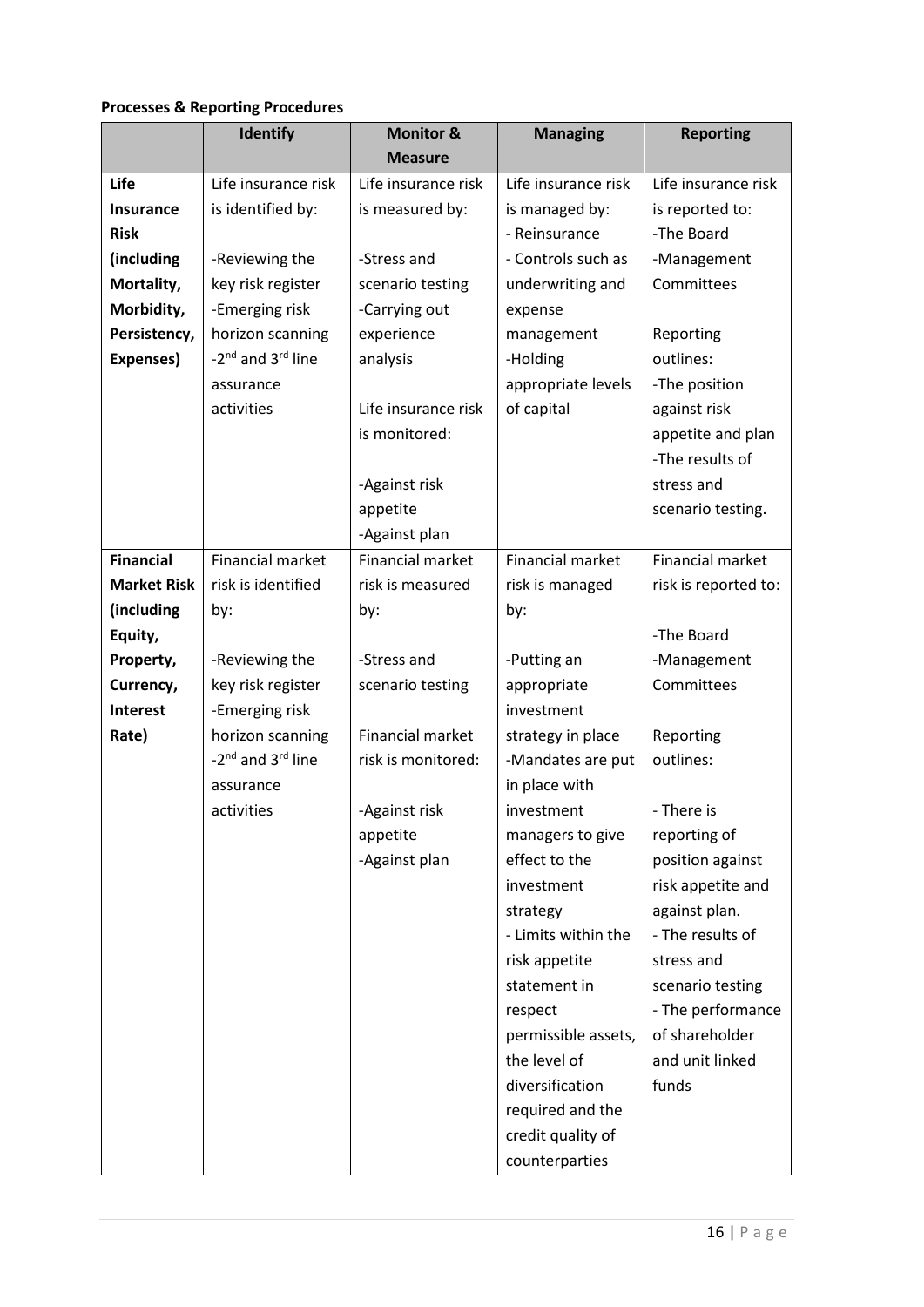## **Processes & Reporting Procedures**

|                    | <b>Identify</b>                           | <b>Monitor &amp;</b>    | <b>Managing</b>         | <b>Reporting</b>        |
|--------------------|-------------------------------------------|-------------------------|-------------------------|-------------------------|
|                    |                                           | <b>Measure</b>          |                         |                         |
| Life               | Life insurance risk                       | Life insurance risk     | Life insurance risk     | Life insurance risk     |
| <b>Insurance</b>   | is identified by:                         | is measured by:         | is managed by:          | is reported to:         |
| <b>Risk</b>        |                                           |                         | - Reinsurance           | -The Board              |
| (including         | -Reviewing the                            | -Stress and             | - Controls such as      | -Management             |
| Mortality,         | key risk register                         | scenario testing        | underwriting and        | Committees              |
| Morbidity,         | -Emerging risk                            | -Carrying out           | expense                 |                         |
| Persistency,       | horizon scanning                          | experience              | management              | Reporting               |
| Expenses)          | -2 <sup>nd</sup> and 3 <sup>rd</sup> line | analysis                | -Holding                | outlines:               |
|                    | assurance                                 |                         | appropriate levels      | -The position           |
|                    | activities                                | Life insurance risk     | of capital              | against risk            |
|                    |                                           | is monitored:           |                         | appetite and plan       |
|                    |                                           |                         |                         | -The results of         |
|                    |                                           | -Against risk           |                         | stress and              |
|                    |                                           | appetite                |                         | scenario testing.       |
|                    |                                           | -Against plan           |                         |                         |
| <b>Financial</b>   | <b>Financial market</b>                   | <b>Financial market</b> | <b>Financial market</b> | <b>Financial market</b> |
| <b>Market Risk</b> | risk is identified                        | risk is measured        | risk is managed         | risk is reported to:    |
| (including         | by:                                       | by:                     | by:                     |                         |
| Equity,            |                                           |                         |                         | -The Board              |
| Property,          | -Reviewing the                            | -Stress and             | -Putting an             | -Management             |
| Currency,          | key risk register                         | scenario testing        | appropriate             | Committees              |
| Interest           | -Emerging risk                            |                         | investment              |                         |
| Rate)              | horizon scanning                          | Financial market        | strategy in place       | Reporting               |
|                    | -2 <sup>nd</sup> and 3 <sup>rd</sup> line | risk is monitored:      | -Mandates are put       | outlines:               |
|                    | assurance                                 |                         | in place with           |                         |
|                    | activities                                | -Against risk           | investment              | - There is              |
|                    |                                           | appetite                | managers to give        | reporting of            |
|                    |                                           | -Against plan           | effect to the           | position against        |
|                    |                                           |                         | investment              | risk appetite and       |
|                    |                                           |                         | strategy                | against plan.           |
|                    |                                           |                         | - Limits within the     | - The results of        |
|                    |                                           |                         | risk appetite           | stress and              |
|                    |                                           |                         | statement in            | scenario testing        |
|                    |                                           |                         | respect                 | - The performance       |
|                    |                                           |                         | permissible assets,     | of shareholder          |
|                    |                                           |                         | the level of            | and unit linked         |
|                    |                                           |                         | diversification         | funds                   |
|                    |                                           |                         | required and the        |                         |
|                    |                                           |                         | credit quality of       |                         |
|                    |                                           |                         | counterparties          |                         |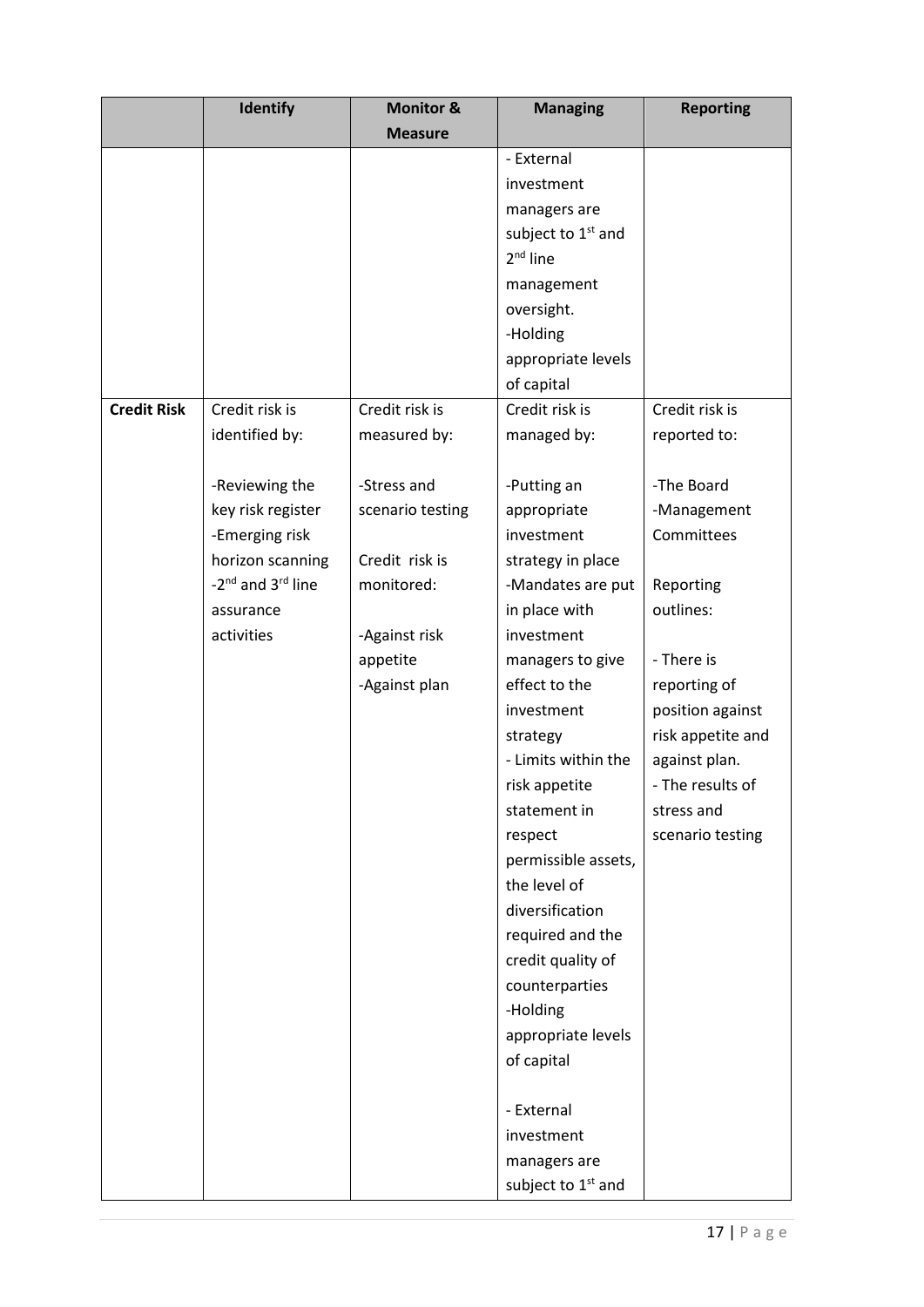|                    | Identify                                  | <b>Monitor &amp;</b> | <b>Managing</b>                | <b>Reporting</b>  |
|--------------------|-------------------------------------------|----------------------|--------------------------------|-------------------|
|                    |                                           | <b>Measure</b>       |                                |                   |
|                    |                                           |                      | - External                     |                   |
|                    |                                           |                      | investment                     |                   |
|                    |                                           |                      | managers are                   |                   |
|                    |                                           |                      | subject to 1 <sup>st</sup> and |                   |
|                    |                                           |                      | $2nd$ line                     |                   |
|                    |                                           |                      | management                     |                   |
|                    |                                           |                      | oversight.                     |                   |
|                    |                                           |                      | -Holding                       |                   |
|                    |                                           |                      | appropriate levels             |                   |
|                    |                                           |                      | of capital                     |                   |
| <b>Credit Risk</b> | Credit risk is                            | Credit risk is       | Credit risk is                 | Credit risk is    |
|                    | identified by:                            | measured by:         | managed by:                    | reported to:      |
|                    |                                           |                      |                                |                   |
|                    | -Reviewing the                            | -Stress and          | -Putting an                    | -The Board        |
|                    | key risk register                         | scenario testing     | appropriate                    | -Management       |
|                    | -Emerging risk                            |                      | investment                     | Committees        |
|                    | horizon scanning                          | Credit risk is       | strategy in place              |                   |
|                    | -2 <sup>nd</sup> and 3 <sup>rd</sup> line | monitored:           | -Mandates are put              | Reporting         |
|                    | assurance                                 |                      | in place with                  | outlines:         |
|                    | activities                                | -Against risk        | investment                     |                   |
|                    |                                           | appetite             | managers to give               | - There is        |
|                    |                                           | -Against plan        | effect to the                  | reporting of      |
|                    |                                           |                      | investment                     | position against  |
|                    |                                           |                      | strategy                       | risk appetite and |
|                    |                                           |                      | - Limits within the            | against plan.     |
|                    |                                           |                      | risk appetite                  | - The results of  |
|                    |                                           |                      | statement in                   | stress and        |
|                    |                                           |                      | respect                        | scenario testing  |
|                    |                                           |                      | permissible assets,            |                   |
|                    |                                           |                      | the level of                   |                   |
|                    |                                           |                      | diversification                |                   |
|                    |                                           |                      | required and the               |                   |
|                    |                                           |                      | credit quality of              |                   |
|                    |                                           |                      | counterparties                 |                   |
|                    |                                           |                      | -Holding                       |                   |
|                    |                                           |                      | appropriate levels             |                   |
|                    |                                           |                      | of capital                     |                   |
|                    |                                           |                      |                                |                   |
|                    |                                           |                      | - External                     |                   |
|                    |                                           |                      | investment                     |                   |
|                    |                                           |                      | managers are                   |                   |
|                    |                                           |                      | subject to 1 <sup>st</sup> and |                   |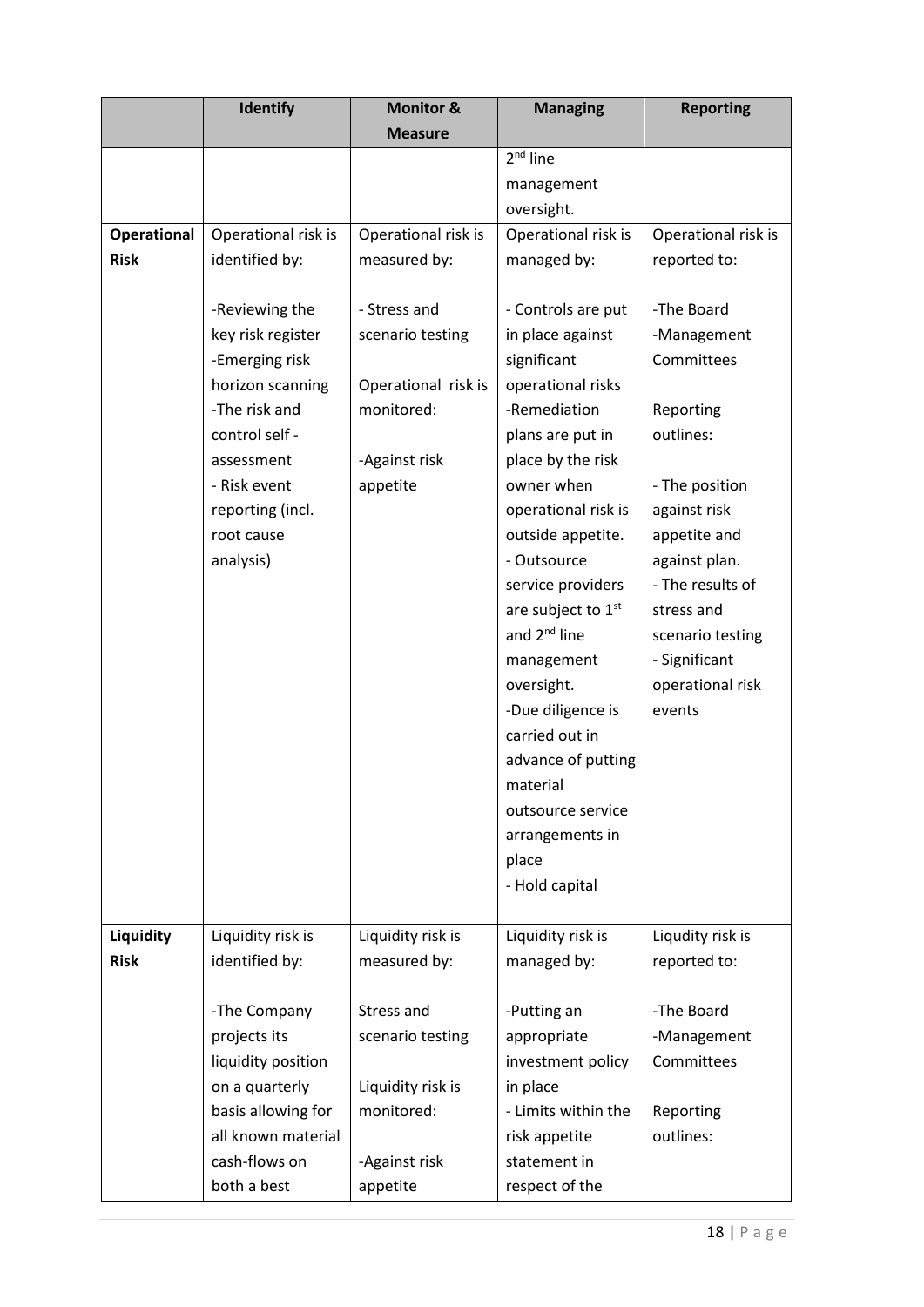|                    | <b>Identify</b>     | <b>Monitor &amp;</b> | <b>Managing</b>                | <b>Reporting</b>    |
|--------------------|---------------------|----------------------|--------------------------------|---------------------|
|                    |                     | <b>Measure</b>       |                                |                     |
|                    |                     |                      | $2nd$ line                     |                     |
|                    |                     |                      | management                     |                     |
|                    |                     |                      | oversight.                     |                     |
| <b>Operational</b> | Operational risk is | Operational risk is  | Operational risk is            | Operational risk is |
| <b>Risk</b>        | identified by:      | measured by:         | managed by:                    | reported to:        |
|                    |                     |                      |                                |                     |
|                    | -Reviewing the      | - Stress and         | - Controls are put             | -The Board          |
|                    | key risk register   | scenario testing     | in place against               | -Management         |
|                    | -Emerging risk      |                      | significant                    | Committees          |
|                    | horizon scanning    | Operational risk is  | operational risks              |                     |
|                    | -The risk and       | monitored:           | -Remediation                   | Reporting           |
|                    | control self -      |                      | plans are put in               | outlines:           |
|                    | assessment          | -Against risk        | place by the risk              |                     |
|                    | - Risk event        | appetite             | owner when                     | - The position      |
|                    | reporting (incl.    |                      | operational risk is            | against risk        |
|                    | root cause          |                      | outside appetite.              | appetite and        |
|                    | analysis)           |                      | - Outsource                    | against plan.       |
|                    |                     |                      | service providers              | - The results of    |
|                    |                     |                      | are subject to 1 <sup>st</sup> | stress and          |
|                    |                     |                      | and 2 <sup>nd</sup> line       | scenario testing    |
|                    |                     |                      | management                     | - Significant       |
|                    |                     |                      | oversight.                     | operational risk    |
|                    |                     |                      | -Due diligence is              | events              |
|                    |                     |                      | carried out in                 |                     |
|                    |                     |                      | advance of putting             |                     |
|                    |                     |                      | material                       |                     |
|                    |                     |                      | outsource service              |                     |
|                    |                     |                      | arrangements in                |                     |
|                    |                     |                      | place                          |                     |
|                    |                     |                      | - Hold capital                 |                     |
|                    |                     |                      |                                |                     |
| Liquidity          | Liquidity risk is   | Liquidity risk is    | Liquidity risk is              | Liqudity risk is    |
| <b>Risk</b>        | identified by:      | measured by:         | managed by:                    | reported to:        |
|                    |                     |                      |                                |                     |
|                    | -The Company        | Stress and           | -Putting an                    | -The Board          |
|                    | projects its        | scenario testing     | appropriate                    | -Management         |
|                    | liquidity position  |                      | investment policy              | Committees          |
|                    | on a quarterly      | Liquidity risk is    | in place                       |                     |
|                    | basis allowing for  | monitored:           | - Limits within the            | Reporting           |
|                    | all known material  |                      | risk appetite                  | outlines:           |
|                    | cash-flows on       | -Against risk        | statement in                   |                     |
|                    | both a best         | appetite             | respect of the                 |                     |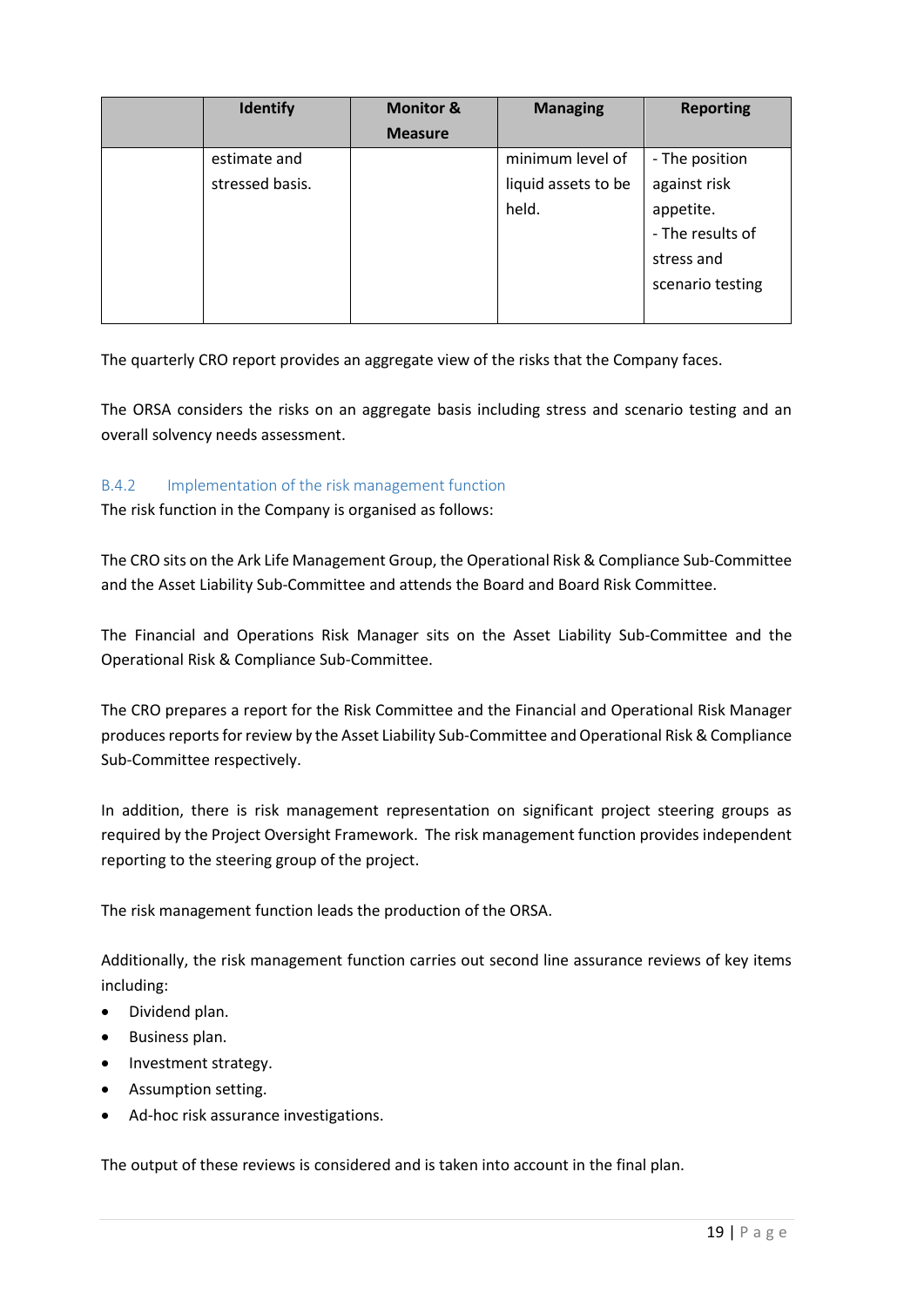| <b>Identify</b> | <b>Monitor &amp;</b> | <b>Managing</b>     | <b>Reporting</b> |
|-----------------|----------------------|---------------------|------------------|
|                 | <b>Measure</b>       |                     |                  |
| estimate and    |                      | minimum level of    | - The position   |
| stressed basis. |                      | liquid assets to be | against risk     |
|                 |                      | held.               | appetite.        |
|                 |                      |                     | - The results of |
|                 |                      |                     | stress and       |
|                 |                      |                     | scenario testing |
|                 |                      |                     |                  |

The quarterly CRO report provides an aggregate view of the risks that the Company faces.

The ORSA considers the risks on an aggregate basis including stress and scenario testing and an overall solvency needs assessment.

## B.4.2 Implementation of the risk management function

The risk function in the Company is organised as follows:

The CRO sits on the Ark Life Management Group, the Operational Risk & Compliance Sub-Committee and the Asset Liability Sub-Committee and attends the Board and Board Risk Committee.

The Financial and Operations Risk Manager sits on the Asset Liability Sub-Committee and the Operational Risk & Compliance Sub-Committee.

The CRO prepares a report for the Risk Committee and the Financial and Operational Risk Manager produces reports for review by the Asset Liability Sub-Committee and Operational Risk & Compliance Sub-Committee respectively.

In addition, there is risk management representation on significant project steering groups as required by the Project Oversight Framework. The risk management function provides independent reporting to the steering group of the project.

The risk management function leads the production of the ORSA.

Additionally, the risk management function carries out second line assurance reviews of key items including:

- Dividend plan.
- Business plan.
- Investment strategy.
- Assumption setting.
- Ad-hoc risk assurance investigations.

The output of these reviews is considered and is taken into account in the final plan.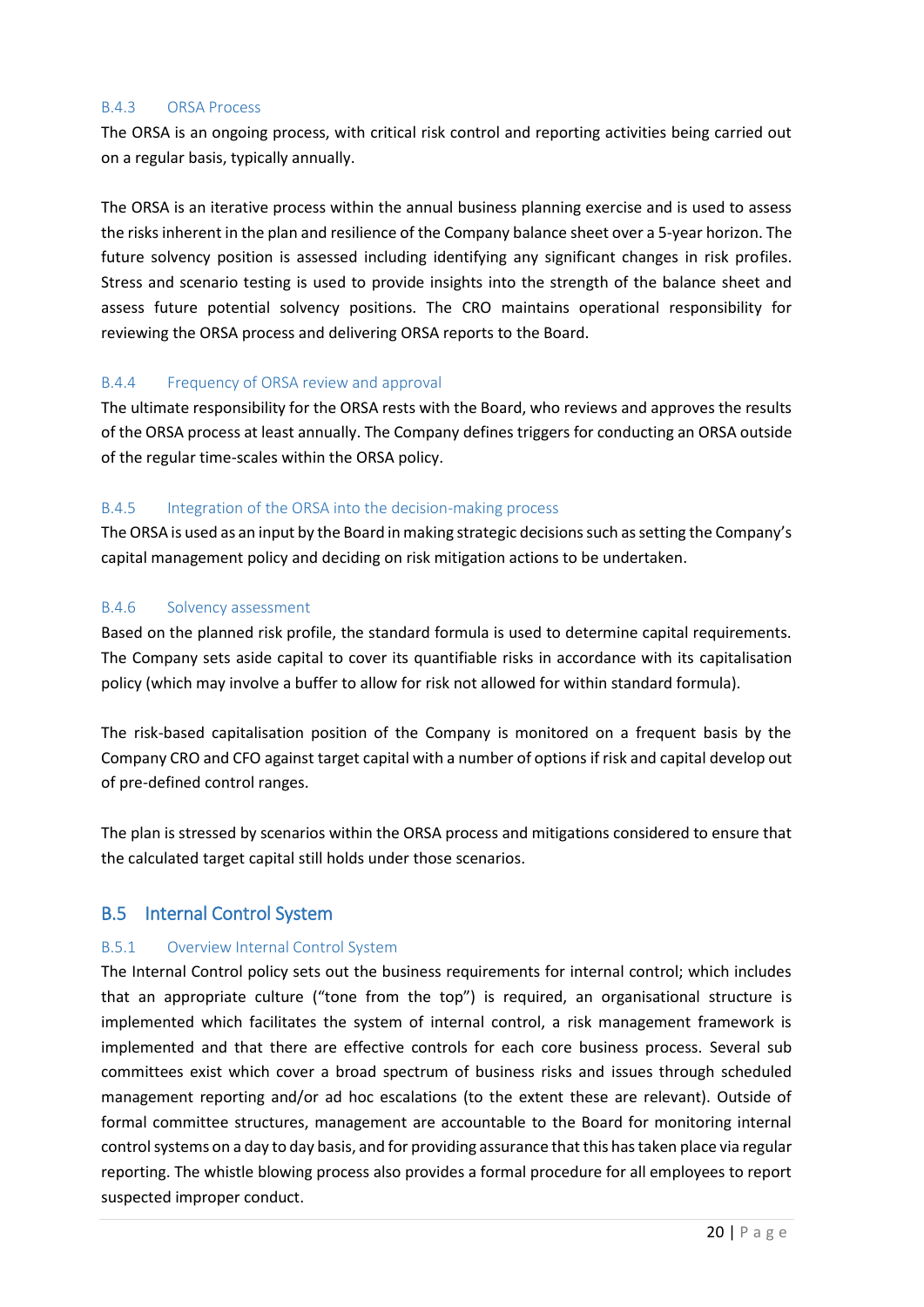#### B.4.3 ORSA Process

The ORSA is an ongoing process, with critical risk control and reporting activities being carried out on a regular basis, typically annually.

The ORSA is an iterative process within the annual business planning exercise and is used to assess the risks inherent in the plan and resilience of the Company balance sheet over a 5-year horizon. The future solvency position is assessed including identifying any significant changes in risk profiles. Stress and scenario testing is used to provide insights into the strength of the balance sheet and assess future potential solvency positions. The CRO maintains operational responsibility for reviewing the ORSA process and delivering ORSA reports to the Board.

#### B.4.4 Frequency of ORSA review and approval

The ultimate responsibility for the ORSA rests with the Board, who reviews and approves the results of the ORSA process at least annually. The Company defines triggers for conducting an ORSA outside of the regular time-scales within the ORSA policy.

#### B.4.5 Integration of the ORSA into the decision-making process

The ORSA is used as an input by the Board in making strategic decisions such as setting the Company's capital management policy and deciding on risk mitigation actions to be undertaken.

#### B.4.6 Solvency assessment

Based on the planned risk profile, the standard formula is used to determine capital requirements. The Company sets aside capital to cover its quantifiable risks in accordance with its capitalisation policy (which may involve a buffer to allow for risk not allowed for within standard formula).

The risk-based capitalisation position of the Company is monitored on a frequent basis by the Company CRO and CFO against target capital with a number of options if risk and capital develop out of pre-defined control ranges.

The plan is stressed by scenarios within the ORSA process and mitigations considered to ensure that the calculated target capital still holds under those scenarios.

## <span id="page-19-0"></span>B.5 Internal Control System

#### B.5.1 Overview Internal Control System

The Internal Control policy sets out the business requirements for internal control; which includes that an appropriate culture ("tone from the top") is required, an organisational structure is implemented which facilitates the system of internal control, a risk management framework is implemented and that there are effective controls for each core business process. Several sub committees exist which cover a broad spectrum of business risks and issues through scheduled management reporting and/or ad hoc escalations (to the extent these are relevant). Outside of formal committee structures, management are accountable to the Board for monitoring internal control systems on a day to day basis, and for providing assurance that this has taken place via regular reporting. The whistle blowing process also provides a formal procedure for all employees to report suspected improper conduct.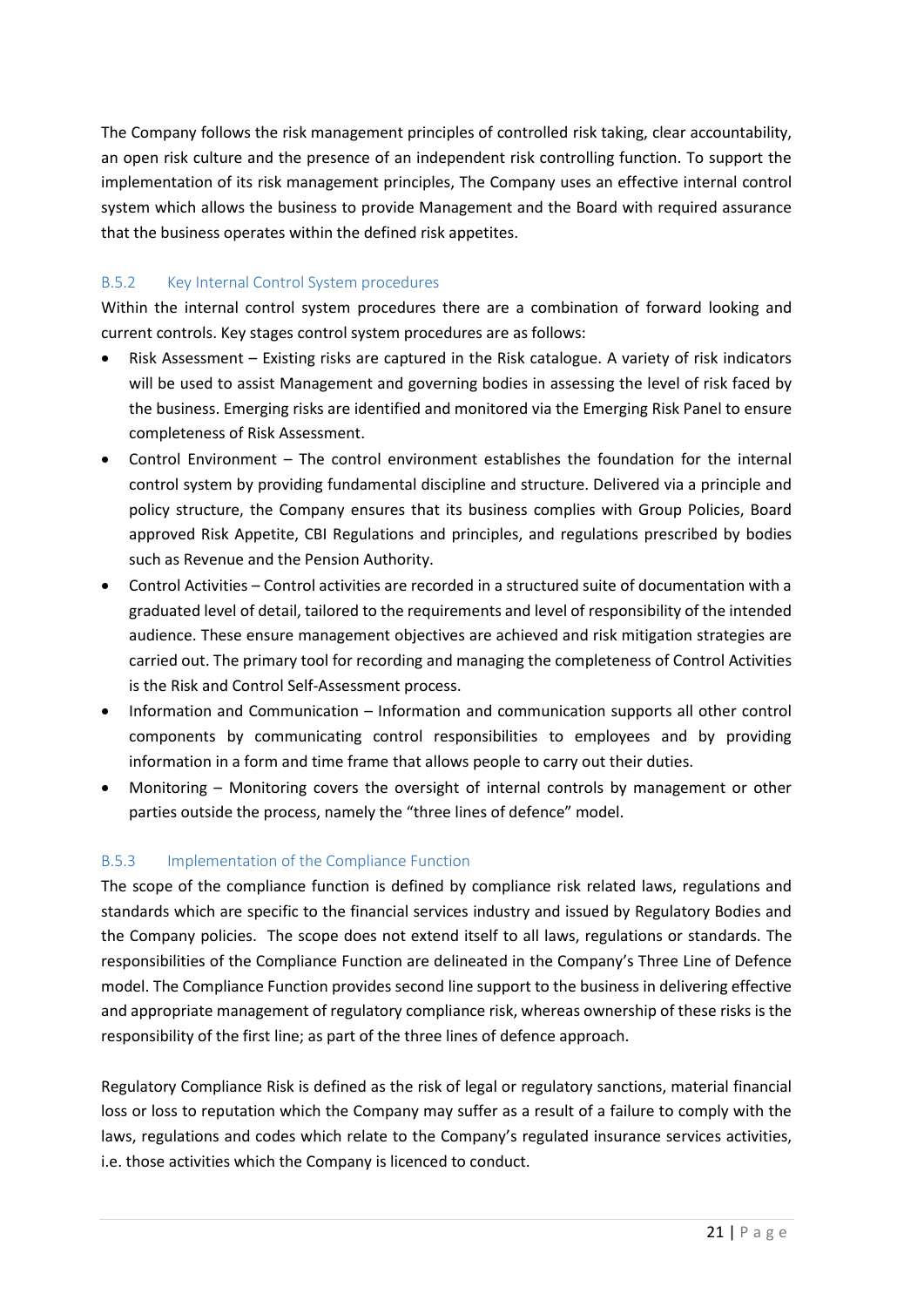The Company follows the risk management principles of controlled risk taking, clear accountability, an open risk culture and the presence of an independent risk controlling function. To support the implementation of its risk management principles, The Company uses an effective internal control system which allows the business to provide Management and the Board with required assurance that the business operates within the defined risk appetites.

## B.5.2 Key Internal Control System procedures

Within the internal control system procedures there are a combination of forward looking and current controls. Key stages control system procedures are as follows:

- Risk Assessment Existing risks are captured in the Risk catalogue. A variety of risk indicators will be used to assist Management and governing bodies in assessing the level of risk faced by the business. Emerging risks are identified and monitored via the Emerging Risk Panel to ensure completeness of Risk Assessment.
- Control Environment The control environment establishes the foundation for the internal control system by providing fundamental discipline and structure. Delivered via a principle and policy structure, the Company ensures that its business complies with Group Policies, Board approved Risk Appetite, CBI Regulations and principles, and regulations prescribed by bodies such as Revenue and the Pension Authority.
- Control Activities Control activities are recorded in a structured suite of documentation with a graduated level of detail, tailored to the requirements and level of responsibility of the intended audience. These ensure management objectives are achieved and risk mitigation strategies are carried out. The primary tool for recording and managing the completeness of Control Activities is the Risk and Control Self-Assessment process.
- Information and Communication Information and communication supports all other control components by communicating control responsibilities to employees and by providing information in a form and time frame that allows people to carry out their duties.
- Monitoring Monitoring covers the oversight of internal controls by management or other parties outside the process, namely the "three lines of defence" model.

## B.5.3 Implementation of the Compliance Function

The scope of the compliance function is defined by compliance risk related laws, regulations and standards which are specific to the financial services industry and issued by Regulatory Bodies and the Company policies. The scope does not extend itself to all laws, regulations or standards. The responsibilities of the Compliance Function are delineated in the Company's Three Line of Defence model. The Compliance Function provides second line support to the business in delivering effective and appropriate management of regulatory compliance risk, whereas ownership of these risks is the responsibility of the first line; as part of the three lines of defence approach.

Regulatory Compliance Risk is defined as the risk of legal or regulatory sanctions, material financial loss or loss to reputation which the Company may suffer as a result of a failure to comply with the laws, regulations and codes which relate to the Company's regulated insurance services activities, i.e. those activities which the Company is licenced to conduct.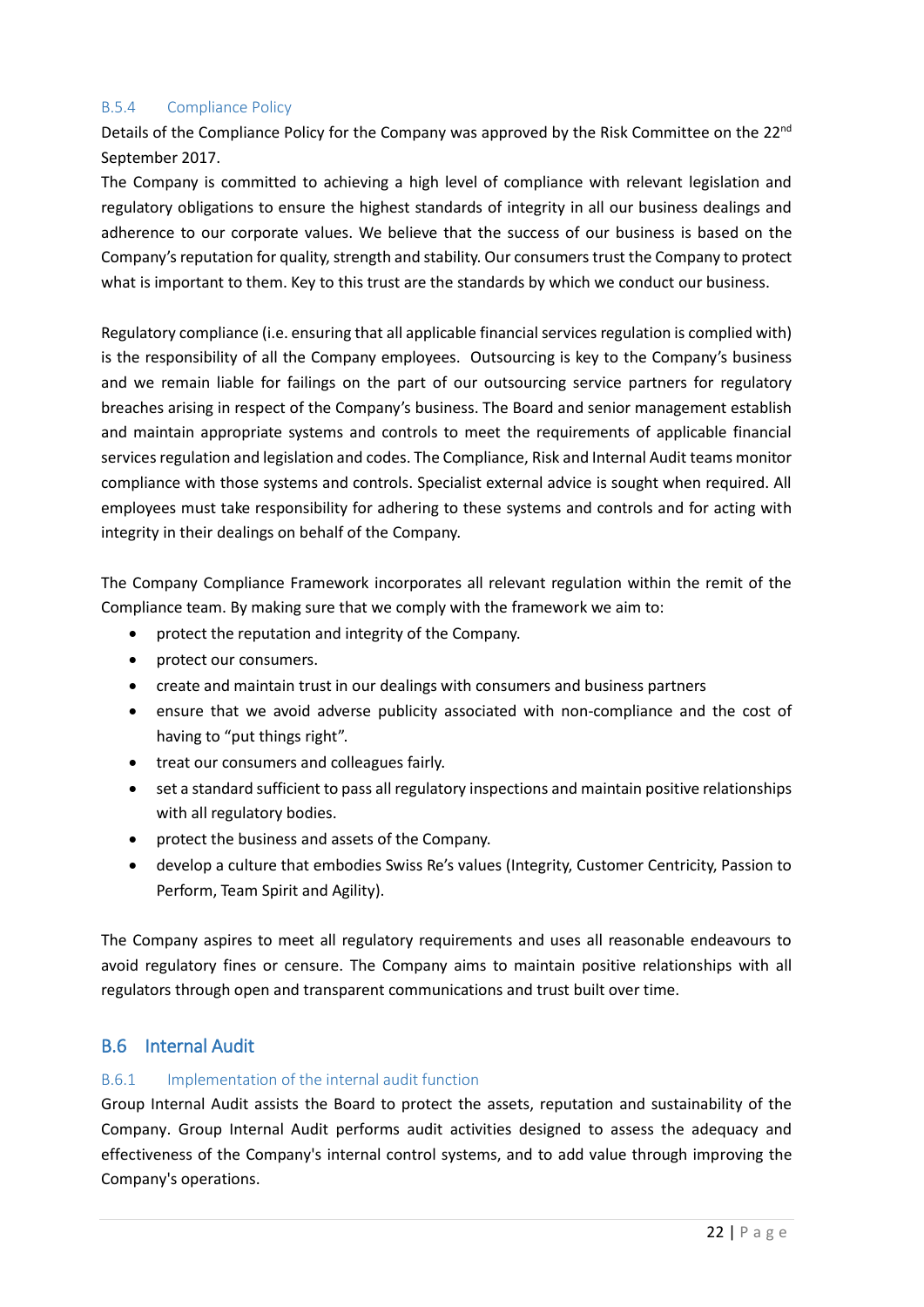## B.5.4 Compliance Policy

Details of the Compliance Policy for the Company was approved by the Risk Committee on the 22<sup>nd</sup> September 2017.

The Company is committed to achieving a high level of compliance with relevant legislation and regulatory obligations to ensure the highest standards of integrity in all our business dealings and adherence to our corporate values. We believe that the success of our business is based on the Company's reputation for quality, strength and stability. Our consumers trust the Company to protect what is important to them. Key to this trust are the standards by which we conduct our business.

Regulatory compliance (i.e. ensuring that all applicable financial services regulation is complied with) is the responsibility of all the Company employees. Outsourcing is key to the Company's business and we remain liable for failings on the part of our outsourcing service partners for regulatory breaches arising in respect of the Company's business. The Board and senior management establish and maintain appropriate systems and controls to meet the requirements of applicable financial services regulation and legislation and codes. The Compliance, Risk and Internal Audit teams monitor compliance with those systems and controls. Specialist external advice is sought when required. All employees must take responsibility for adhering to these systems and controls and for acting with integrity in their dealings on behalf of the Company.

The Company Compliance Framework incorporates all relevant regulation within the remit of the Compliance team. By making sure that we comply with the framework we aim to:

- protect the reputation and integrity of the Company.
- protect our consumers.
- create and maintain trust in our dealings with consumers and business partners
- ensure that we avoid adverse publicity associated with non-compliance and the cost of having to "put things right".
- treat our consumers and colleagues fairly.
- set a standard sufficient to pass all regulatory inspections and maintain positive relationships with all regulatory bodies.
- protect the business and assets of the Company.
- develop a culture that embodies Swiss Re's values (Integrity, Customer Centricity, Passion to Perform, Team Spirit and Agility).

The Company aspires to meet all regulatory requirements and uses all reasonable endeavours to avoid regulatory fines or censure. The Company aims to maintain positive relationships with all regulators through open and transparent communications and trust built over time.

# <span id="page-21-0"></span>B.6 Internal Audit

## B.6.1 Implementation of the internal audit function

Group Internal Audit assists the Board to protect the assets, reputation and sustainability of the Company. Group Internal Audit performs audit activities designed to assess the adequacy and effectiveness of the Company's internal control systems, and to add value through improving the Company's operations.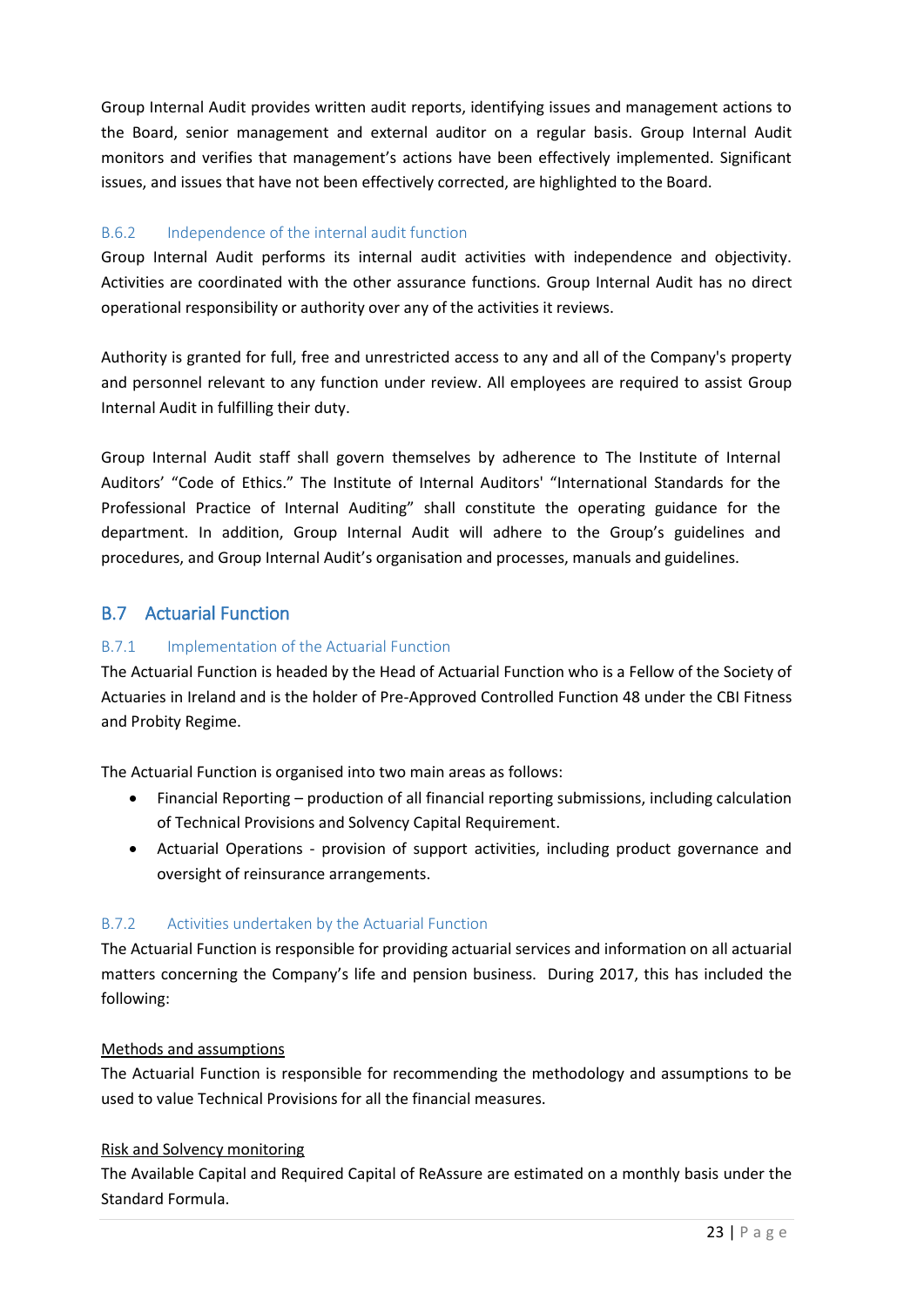Group Internal Audit provides written audit reports, identifying issues and management actions to the Board, senior management and external auditor on a regular basis. Group Internal Audit monitors and verifies that management's actions have been effectively implemented. Significant issues, and issues that have not been effectively corrected, are highlighted to the Board.

## B.6.2 Independence of the internal audit function

Group Internal Audit performs its internal audit activities with independence and objectivity. Activities are coordinated with the other assurance functions. Group Internal Audit has no direct operational responsibility or authority over any of the activities it reviews.

Authority is granted for full, free and unrestricted access to any and all of the Company's property and personnel relevant to any function under review. All employees are required to assist Group Internal Audit in fulfilling their duty.

Group Internal Audit staff shall govern themselves by adherence to The Institute of Internal Auditors' "Code of Ethics." The Institute of Internal Auditors' "International Standards for the Professional Practice of Internal Auditing" shall constitute the operating guidance for the department. In addition, Group Internal Audit will adhere to the Group's guidelines and procedures, and Group Internal Audit's organisation and processes, manuals and guidelines.

# <span id="page-22-0"></span>B.7 Actuarial Function

## B.7.1 Implementation of the Actuarial Function

The Actuarial Function is headed by the Head of Actuarial Function who is a Fellow of the Society of Actuaries in Ireland and is the holder of Pre-Approved Controlled Function 48 under the CBI Fitness and Probity Regime.

The Actuarial Function is organised into two main areas as follows:

- Financial Reporting production of all financial reporting submissions, including calculation of Technical Provisions and Solvency Capital Requirement.
- Actuarial Operations provision of support activities, including product governance and oversight of reinsurance arrangements.

## B.7.2 Activities undertaken by the Actuarial Function

The Actuarial Function is responsible for providing actuarial services and information on all actuarial matters concerning the Company's life and pension business. During 2017, this has included the following:

## Methods and assumptions

The Actuarial Function is responsible for recommending the methodology and assumptions to be used to value Technical Provisions for all the financial measures.

## Risk and Solvency monitoring

The Available Capital and Required Capital of ReAssure are estimated on a monthly basis under the Standard Formula.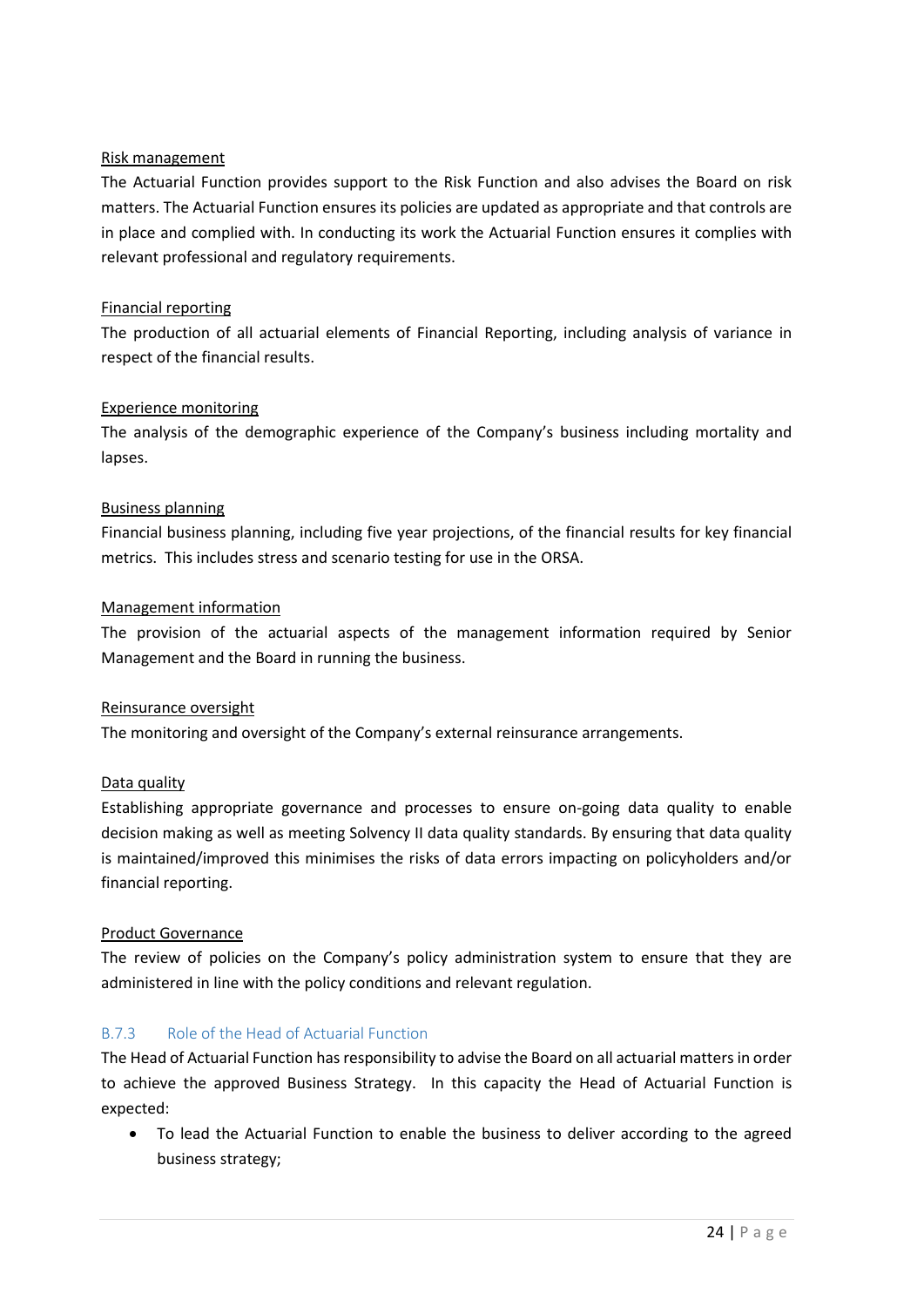## Risk management

The Actuarial Function provides support to the Risk Function and also advises the Board on risk matters. The Actuarial Function ensures its policies are updated as appropriate and that controls are in place and complied with. In conducting its work the Actuarial Function ensures it complies with relevant professional and regulatory requirements.

## Financial reporting

The production of all actuarial elements of Financial Reporting, including analysis of variance in respect of the financial results.

## Experience monitoring

The analysis of the demographic experience of the Company's business including mortality and lapses.

## Business planning

Financial business planning, including five year projections, of the financial results for key financial metrics. This includes stress and scenario testing for use in the ORSA.

## Management information

The provision of the actuarial aspects of the management information required by Senior Management and the Board in running the business.

## Reinsurance oversight

The monitoring and oversight of the Company's external reinsurance arrangements.

## Data quality

Establishing appropriate governance and processes to ensure on-going data quality to enable decision making as well as meeting Solvency II data quality standards. By ensuring that data quality is maintained/improved this minimises the risks of data errors impacting on policyholders and/or financial reporting.

## Product Governance

The review of policies on the Company's policy administration system to ensure that they are administered in line with the policy conditions and relevant regulation.

## B.7.3 Role of the Head of Actuarial Function

The Head of Actuarial Function has responsibility to advise the Board on all actuarial matters in order to achieve the approved Business Strategy. In this capacity the Head of Actuarial Function is expected:

• To lead the Actuarial Function to enable the business to deliver according to the agreed business strategy;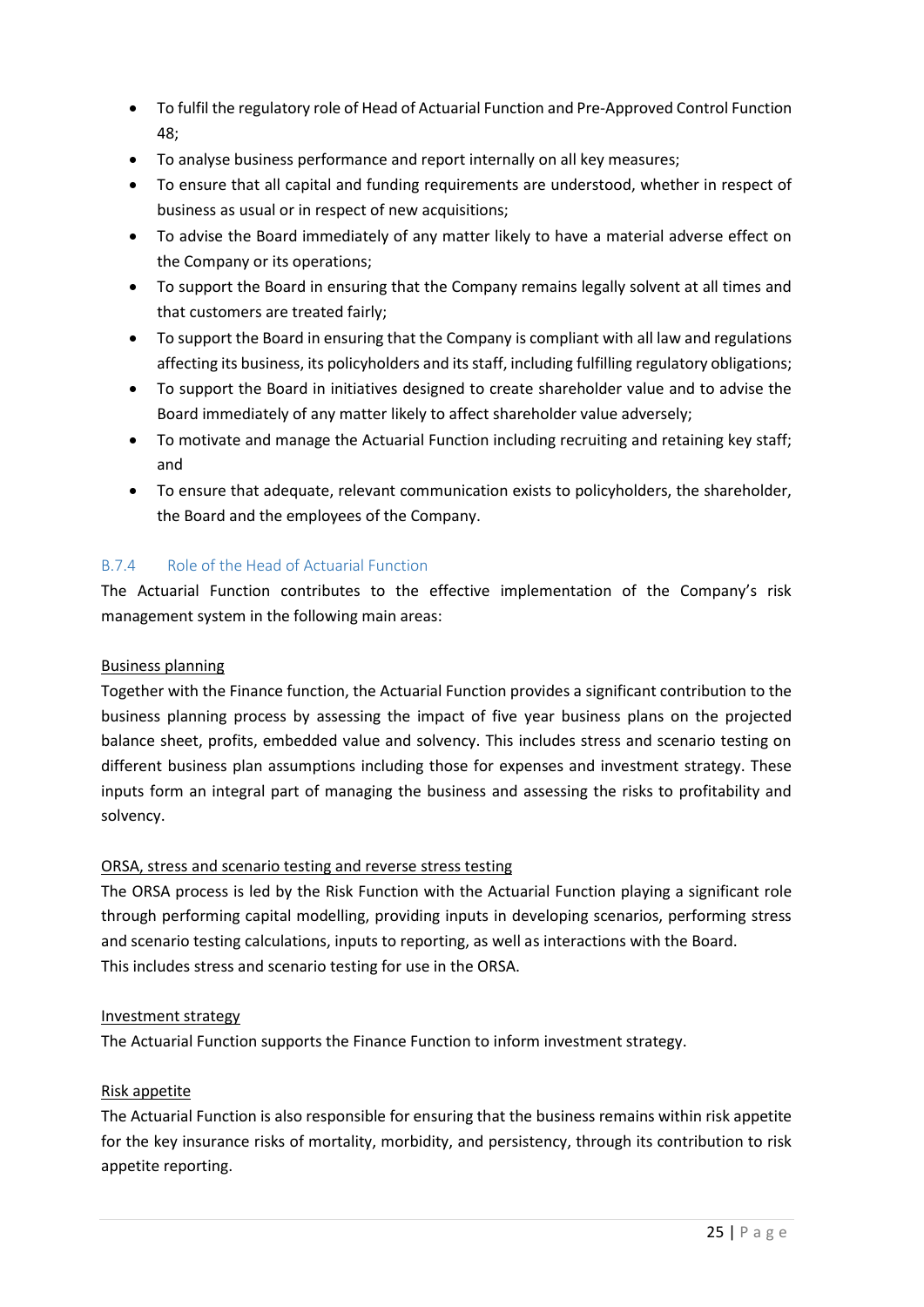- To fulfil the regulatory role of Head of Actuarial Function and Pre-Approved Control Function 48;
- To analyse business performance and report internally on all key measures;
- To ensure that all capital and funding requirements are understood, whether in respect of business as usual or in respect of new acquisitions;
- To advise the Board immediately of any matter likely to have a material adverse effect on the Company or its operations;
- To support the Board in ensuring that the Company remains legally solvent at all times and that customers are treated fairly;
- To support the Board in ensuring that the Company is compliant with all law and regulations affecting its business, its policyholders and its staff, including fulfilling regulatory obligations;
- To support the Board in initiatives designed to create shareholder value and to advise the Board immediately of any matter likely to affect shareholder value adversely;
- To motivate and manage the Actuarial Function including recruiting and retaining key staff; and
- To ensure that adequate, relevant communication exists to policyholders, the shareholder, the Board and the employees of the Company.

## B.7.4 Role of the Head of Actuarial Function

The Actuarial Function contributes to the effective implementation of the Company's risk management system in the following main areas:

## Business planning

Together with the Finance function, the Actuarial Function provides a significant contribution to the business planning process by assessing the impact of five year business plans on the projected balance sheet, profits, embedded value and solvency. This includes stress and scenario testing on different business plan assumptions including those for expenses and investment strategy. These inputs form an integral part of managing the business and assessing the risks to profitability and solvency.

## ORSA, stress and scenario testing and reverse stress testing

The ORSA process is led by the Risk Function with the Actuarial Function playing a significant role through performing capital modelling, providing inputs in developing scenarios, performing stress and scenario testing calculations, inputs to reporting, as well as interactions with the Board. This includes stress and scenario testing for use in the ORSA.

## Investment strategy

The Actuarial Function supports the Finance Function to inform investment strategy.

## Risk appetite

The Actuarial Function is also responsible for ensuring that the business remains within risk appetite for the key insurance risks of mortality, morbidity, and persistency, through its contribution to risk appetite reporting.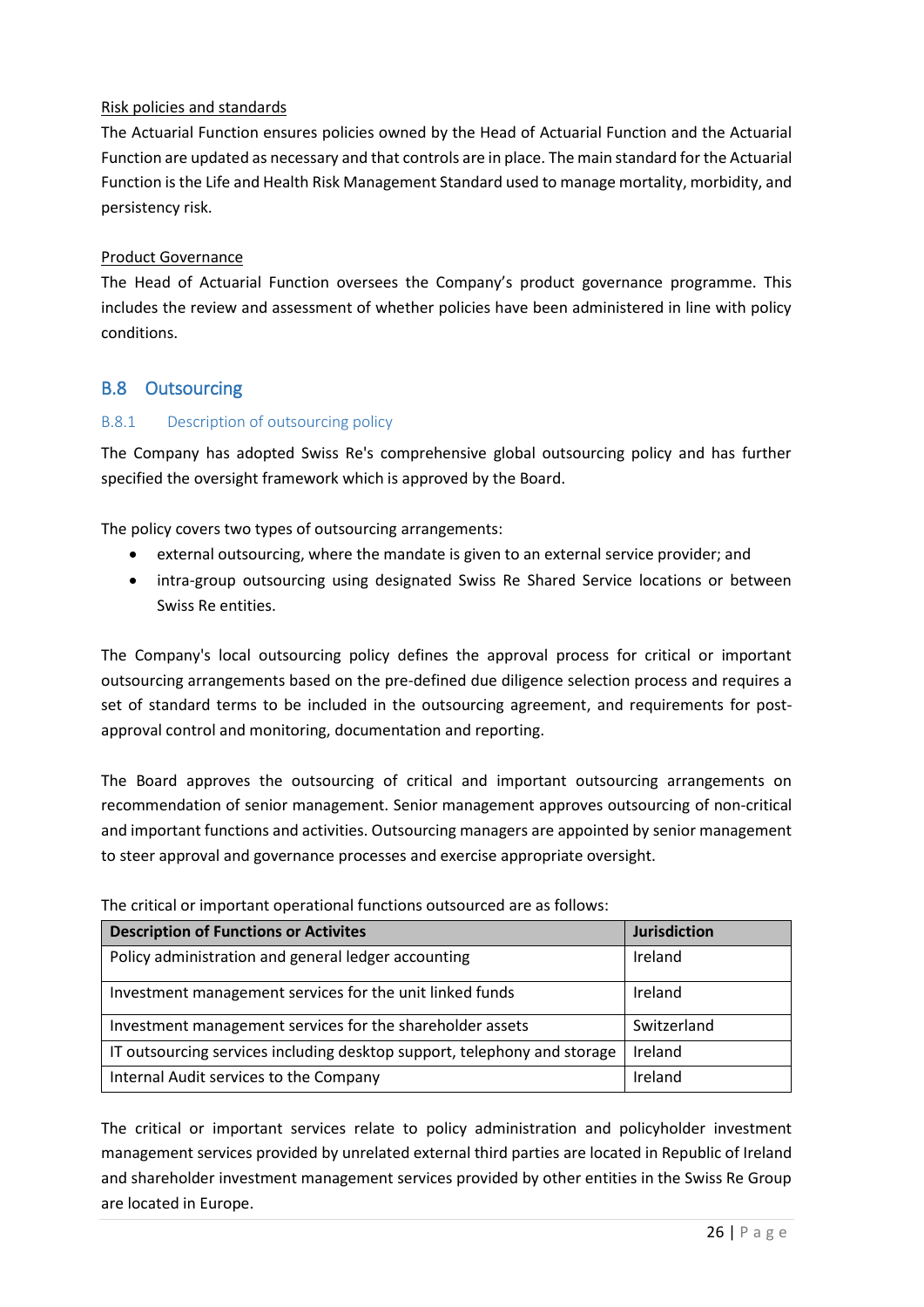## Risk policies and standards

The Actuarial Function ensures policies owned by the Head of Actuarial Function and the Actuarial Function are updated as necessary and that controls are in place. The main standard for the Actuarial Function is the Life and Health Risk Management Standard used to manage mortality, morbidity, and persistency risk.

## Product Governance

The Head of Actuarial Function oversees the Company's product governance programme. This includes the review and assessment of whether policies have been administered in line with policy conditions.

## <span id="page-25-0"></span>B.8 Outsourcing

## B.8.1 Description of outsourcing policy

The Company has adopted Swiss Re's comprehensive global outsourcing policy and has further specified the oversight framework which is approved by the Board.

The policy covers two types of outsourcing arrangements:

- external outsourcing, where the mandate is given to an external service provider; and
- intra-group outsourcing using designated Swiss Re Shared Service locations or between Swiss Re entities.

The Company's local outsourcing policy defines the approval process for critical or important outsourcing arrangements based on the pre-defined due diligence selection process and requires a set of standard terms to be included in the outsourcing agreement, and requirements for postapproval control and monitoring, documentation and reporting.

The Board approves the outsourcing of critical and important outsourcing arrangements on recommendation of senior management. Senior management approves outsourcing of non-critical and important functions and activities. Outsourcing managers are appointed by senior management to steer approval and governance processes and exercise appropriate oversight.

| <b>Description of Functions or Activites</b>                             | <b>Jurisdiction</b> |
|--------------------------------------------------------------------------|---------------------|
| Policy administration and general ledger accounting                      | Ireland             |
| Investment management services for the unit linked funds                 | Ireland             |
| Investment management services for the shareholder assets                | Switzerland         |
| IT outsourcing services including desktop support, telephony and storage | Ireland             |
| Internal Audit services to the Company                                   | Ireland             |

The critical or important operational functions outsourced are as follows:

The critical or important services relate to policy administration and policyholder investment management services provided by unrelated external third parties are located in Republic of Ireland and shareholder investment management services provided by other entities in the Swiss Re Group are located in Europe.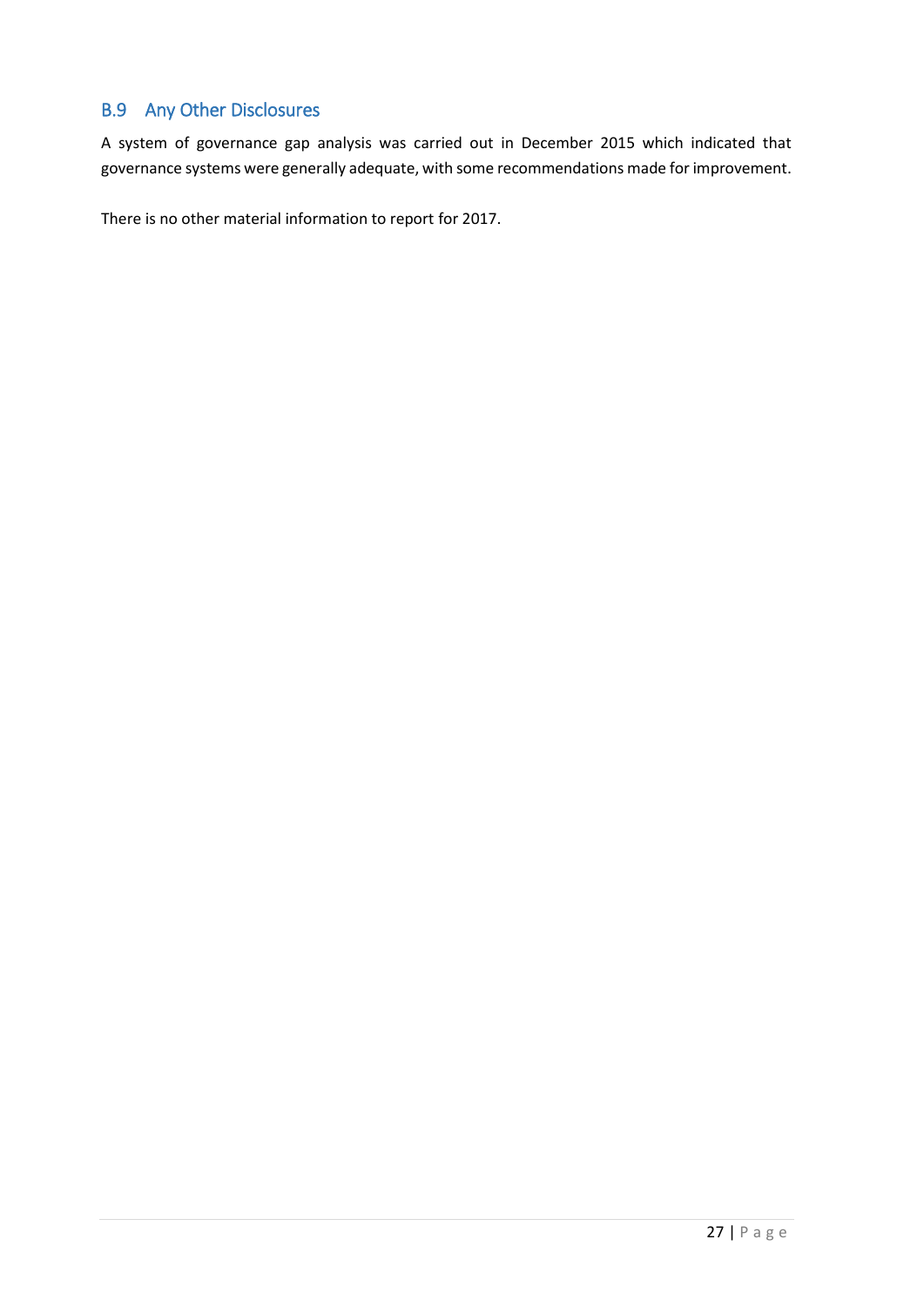# <span id="page-26-0"></span>B.9 Any Other Disclosures

A system of governance gap analysis was carried out in December 2015 which indicated that governance systems were generally adequate, with some recommendations made for improvement.

There is no other material information to report for 2017.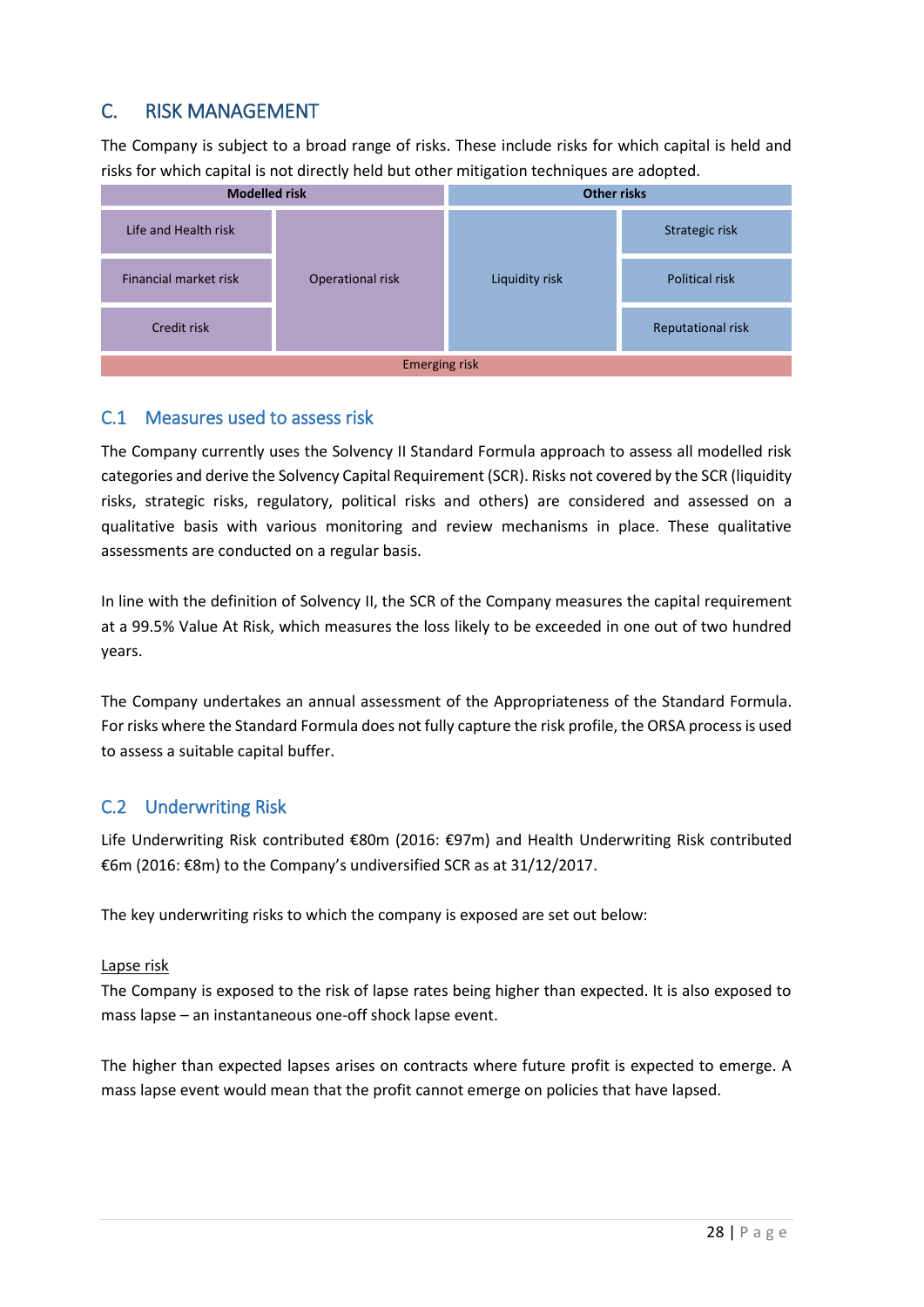# <span id="page-27-0"></span>C. RISK MANAGEMENT

The Company is subject to a broad range of risks. These include risks for which capital is held and risks for which capital is not directly held but other mitigation techniques are adopted.



## <span id="page-27-1"></span>C.1 Measures used to assess risk

The Company currently uses the Solvency II Standard Formula approach to assess all modelled risk categories and derive the Solvency Capital Requirement (SCR). Risks not covered by the SCR (liquidity risks, strategic risks, regulatory, political risks and others) are considered and assessed on a qualitative basis with various monitoring and review mechanisms in place. These qualitative assessments are conducted on a regular basis.

In line with the definition of Solvency II, the SCR of the Company measures the capital requirement at a 99.5% Value At Risk, which measures the loss likely to be exceeded in one out of two hundred years.

The Company undertakes an annual assessment of the Appropriateness of the Standard Formula. For risks where the Standard Formula does not fully capture the risk profile, the ORSA process is used to assess a suitable capital buffer.

# <span id="page-27-2"></span>C.2 Underwriting Risk

Life Underwriting Risk contributed €80m (2016: €97m) and Health Underwriting Risk contributed €6m (2016: €8m) to the Company's undiversified SCR as at 31/12/2017.

The key underwriting risks to which the company is exposed are set out below:

## Lapse risk

The Company is exposed to the risk of lapse rates being higher than expected. It is also exposed to mass lapse – an instantaneous one-off shock lapse event.

The higher than expected lapses arises on contracts where future profit is expected to emerge. A mass lapse event would mean that the profit cannot emerge on policies that have lapsed.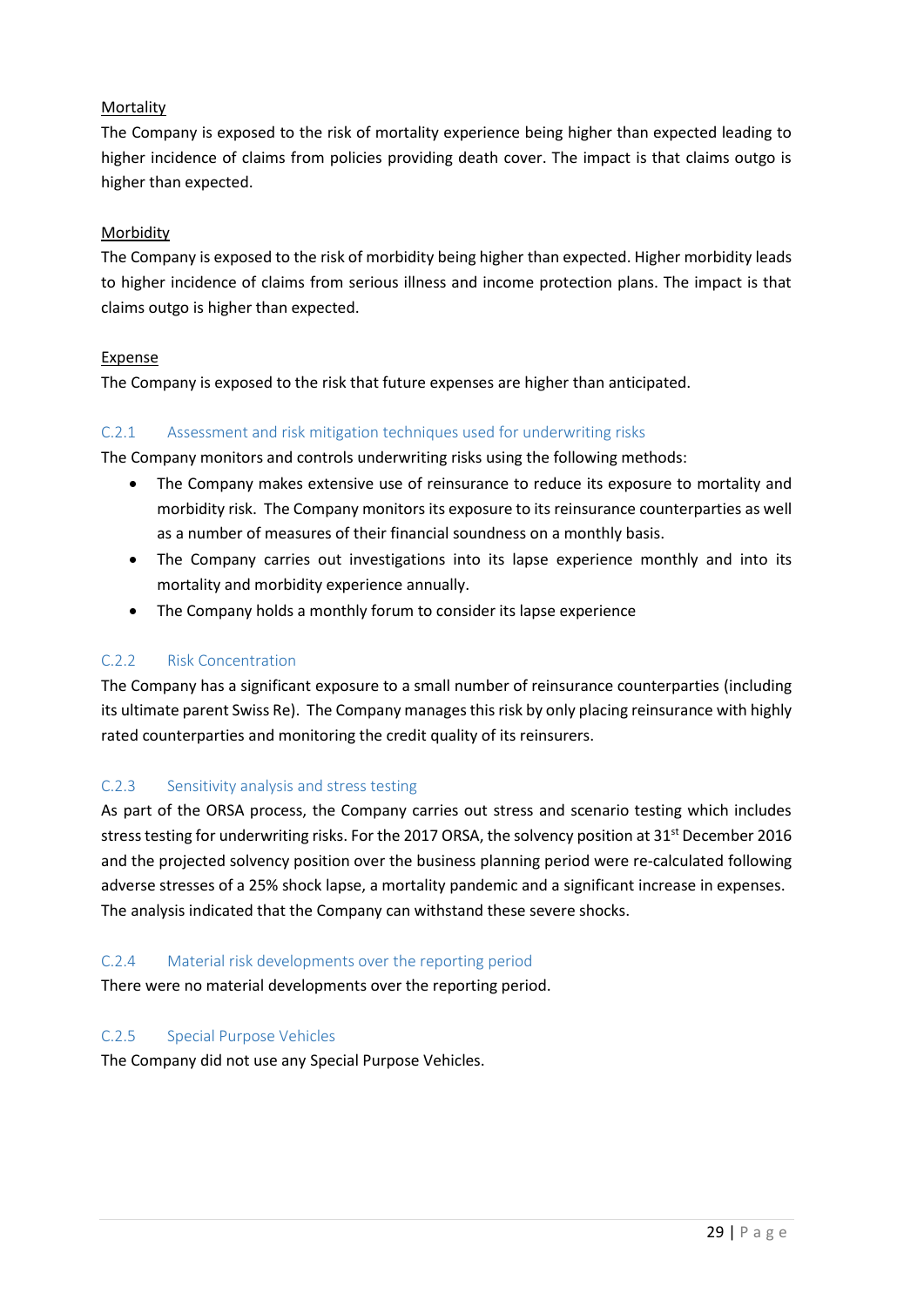## **Mortality**

The Company is exposed to the risk of mortality experience being higher than expected leading to higher incidence of claims from policies providing death cover. The impact is that claims outgo is higher than expected.

#### Morbidity

The Company is exposed to the risk of morbidity being higher than expected. Higher morbidity leads to higher incidence of claims from serious illness and income protection plans. The impact is that claims outgo is higher than expected.

## **Expense**

The Company is exposed to the risk that future expenses are higher than anticipated.

## C.2.1 Assessment and risk mitigation techniques used for underwriting risks

The Company monitors and controls underwriting risks using the following methods:

- The Company makes extensive use of reinsurance to reduce its exposure to mortality and morbidity risk. The Company monitors its exposure to its reinsurance counterparties as well as a number of measures of their financial soundness on a monthly basis.
- The Company carries out investigations into its lapse experience monthly and into its mortality and morbidity experience annually.
- The Company holds a monthly forum to consider its lapse experience

## C.2.2 Risk Concentration

The Company has a significant exposure to a small number of reinsurance counterparties (including its ultimate parent Swiss Re). The Company manages this risk by only placing reinsurance with highly rated counterparties and monitoring the credit quality of its reinsurers.

## C.2.3 Sensitivity analysis and stress testing

As part of the ORSA process, the Company carries out stress and scenario testing which includes stress testing for underwriting risks. For the 2017 ORSA, the solvency position at 31<sup>st</sup> December 2016 and the projected solvency position over the business planning period were re-calculated following adverse stresses of a 25% shock lapse, a mortality pandemic and a significant increase in expenses. The analysis indicated that the Company can withstand these severe shocks.

#### C.2.4 Material risk developments over the reporting period

There were no material developments over the reporting period.

## C.2.5 Special Purpose Vehicles

The Company did not use any Special Purpose Vehicles.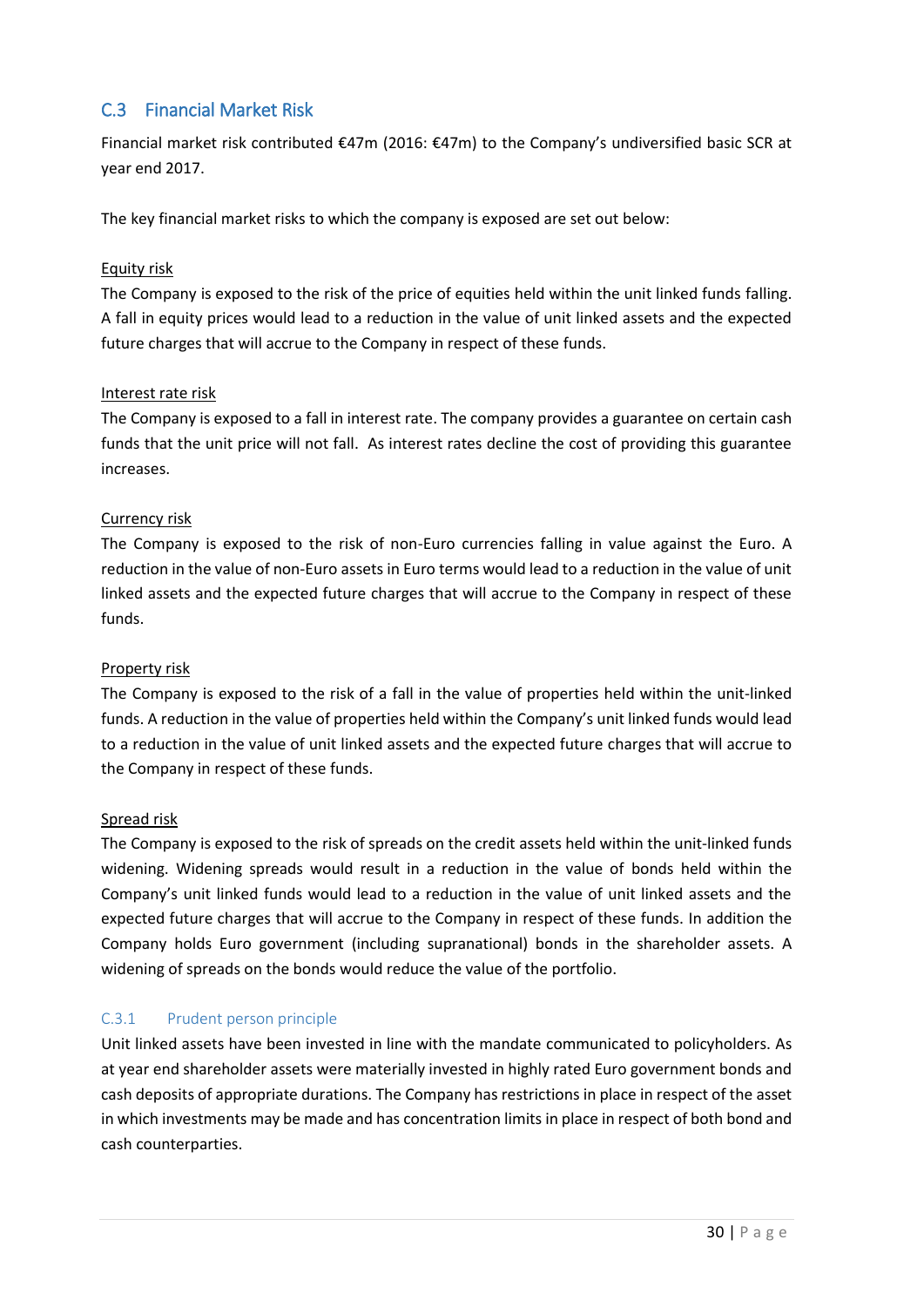# <span id="page-29-0"></span>C.3 Financial Market Risk

Financial market risk contributed €47m (2016: €47m) to the Company's undiversified basic SCR at year end 2017.

The key financial market risks to which the company is exposed are set out below:

## Equity risk

The Company is exposed to the risk of the price of equities held within the unit linked funds falling. A fall in equity prices would lead to a reduction in the value of unit linked assets and the expected future charges that will accrue to the Company in respect of these funds.

## Interest rate risk

The Company is exposed to a fall in interest rate. The company provides a guarantee on certain cash funds that the unit price will not fall. As interest rates decline the cost of providing this guarantee increases.

## Currency risk

The Company is exposed to the risk of non-Euro currencies falling in value against the Euro. A reduction in the value of non-Euro assets in Euro terms would lead to a reduction in the value of unit linked assets and the expected future charges that will accrue to the Company in respect of these funds.

## Property risk

The Company is exposed to the risk of a fall in the value of properties held within the unit-linked funds. A reduction in the value of properties held within the Company's unit linked funds would lead to a reduction in the value of unit linked assets and the expected future charges that will accrue to the Company in respect of these funds.

## Spread risk

The Company is exposed to the risk of spreads on the credit assets held within the unit-linked funds widening. Widening spreads would result in a reduction in the value of bonds held within the Company's unit linked funds would lead to a reduction in the value of unit linked assets and the expected future charges that will accrue to the Company in respect of these funds. In addition the Company holds Euro government (including supranational) bonds in the shareholder assets. A widening of spreads on the bonds would reduce the value of the portfolio.

## C.3.1 Prudent person principle

Unit linked assets have been invested in line with the mandate communicated to policyholders. As at year end shareholder assets were materially invested in highly rated Euro government bonds and cash deposits of appropriate durations. The Company has restrictions in place in respect of the asset in which investments may be made and has concentration limits in place in respect of both bond and cash counterparties.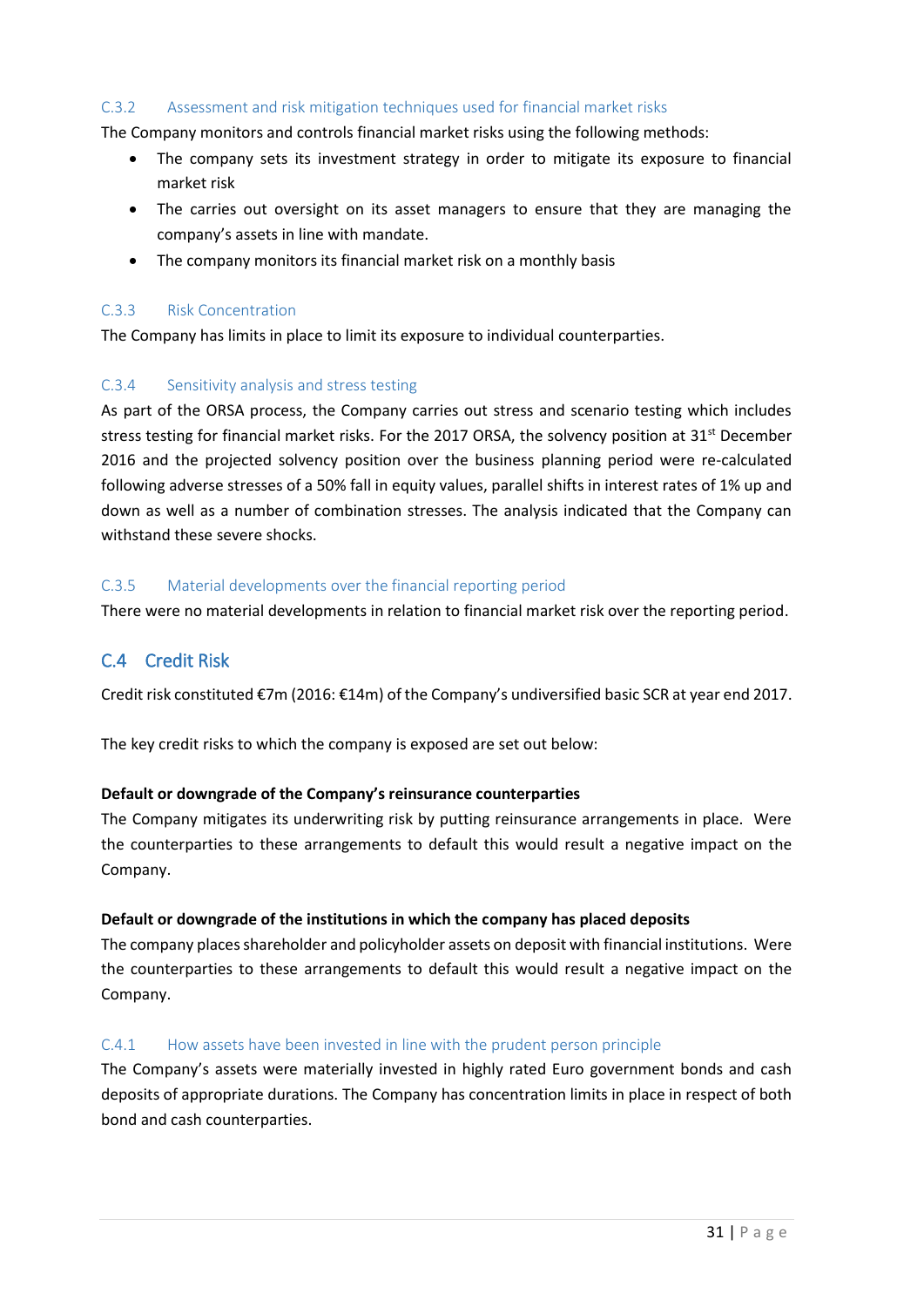## C.3.2 Assessment and risk mitigation techniques used for financial market risks

The Company monitors and controls financial market risks using the following methods:

- The company sets its investment strategy in order to mitigate its exposure to financial market risk
- The carries out oversight on its asset managers to ensure that they are managing the company's assets in line with mandate.
- The company monitors its financial market risk on a monthly basis

#### C.3.3 Risk Concentration

The Company has limits in place to limit its exposure to individual counterparties.

## C.3.4 Sensitivity analysis and stress testing

As part of the ORSA process, the Company carries out stress and scenario testing which includes stress testing for financial market risks. For the 2017 ORSA, the solvency position at  $31<sup>st</sup>$  December 2016 and the projected solvency position over the business planning period were re-calculated following adverse stresses of a 50% fall in equity values, parallel shifts in interest rates of 1% up and down as well as a number of combination stresses. The analysis indicated that the Company can withstand these severe shocks.

## C.3.5 Material developments over the financial reporting period

There were no material developments in relation to financial market risk over the reporting period.

# <span id="page-30-0"></span>C.4 Credit Risk

Credit risk constituted €7m (2016: €14m) of the Company's undiversified basic SCR at year end 2017.

The key credit risks to which the company is exposed are set out below:

## **Default or downgrade of the Company's reinsurance counterparties**

The Company mitigates its underwriting risk by putting reinsurance arrangements in place. Were the counterparties to these arrangements to default this would result a negative impact on the Company.

## **Default or downgrade of the institutions in which the company has placed deposits**

The company places shareholder and policyholder assets on deposit with financial institutions. Were the counterparties to these arrangements to default this would result a negative impact on the Company.

## C.4.1 How assets have been invested in line with the prudent person principle

The Company's assets were materially invested in highly rated Euro government bonds and cash deposits of appropriate durations. The Company has concentration limits in place in respect of both bond and cash counterparties.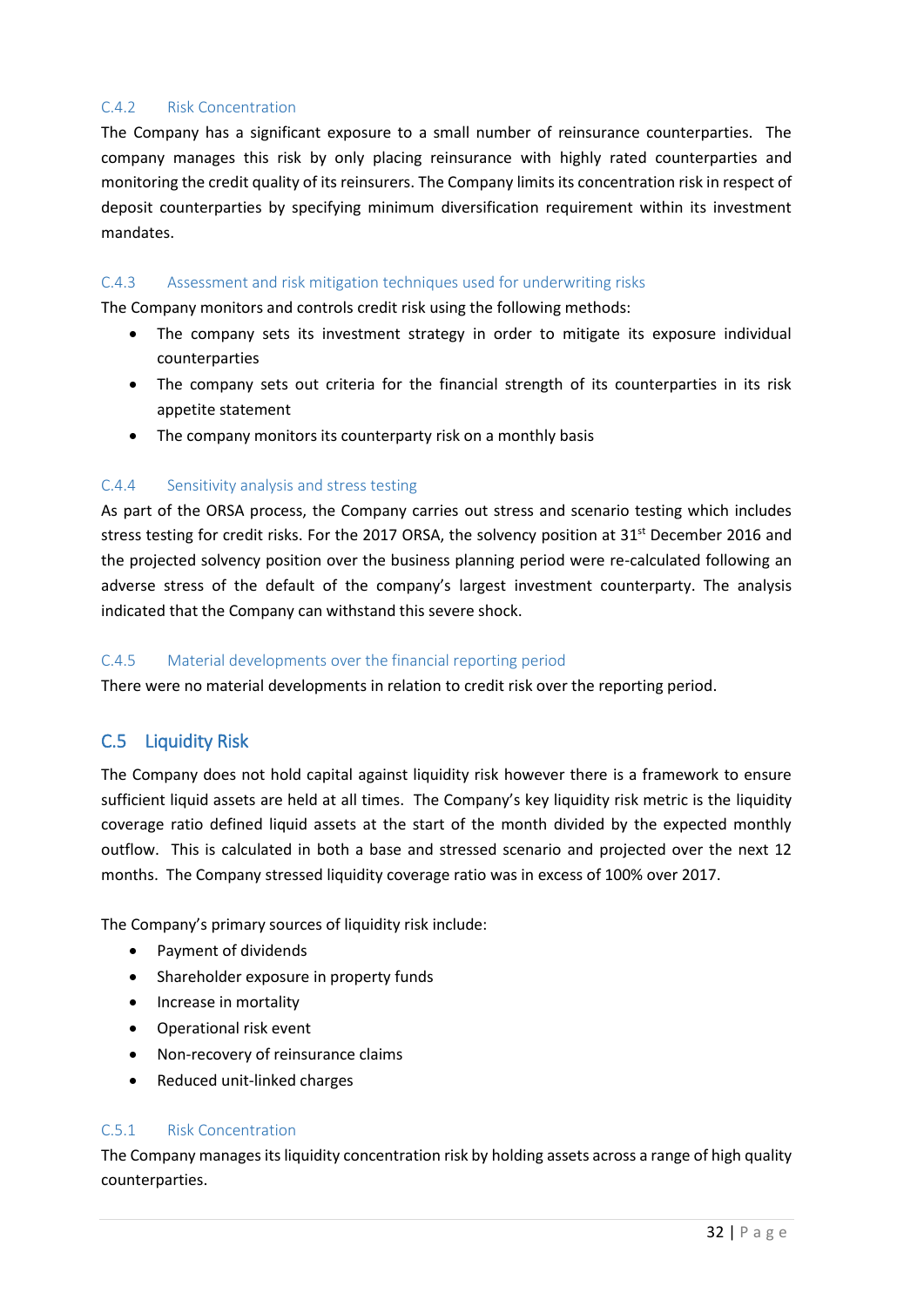## C.4.2 Risk Concentration

The Company has a significant exposure to a small number of reinsurance counterparties. The company manages this risk by only placing reinsurance with highly rated counterparties and monitoring the credit quality of its reinsurers. The Company limits its concentration risk in respect of deposit counterparties by specifying minimum diversification requirement within its investment mandates.

## C.4.3 Assessment and risk mitigation techniques used for underwriting risks

The Company monitors and controls credit risk using the following methods:

- The company sets its investment strategy in order to mitigate its exposure individual counterparties
- The company sets out criteria for the financial strength of its counterparties in its risk appetite statement
- The company monitors its counterparty risk on a monthly basis

#### C.4.4 Sensitivity analysis and stress testing

As part of the ORSA process, the Company carries out stress and scenario testing which includes stress testing for credit risks. For the 2017 ORSA, the solvency position at 31<sup>st</sup> December 2016 and the projected solvency position over the business planning period were re-calculated following an adverse stress of the default of the company's largest investment counterparty. The analysis indicated that the Company can withstand this severe shock.

#### C.4.5 Material developments over the financial reporting period

There were no material developments in relation to credit risk over the reporting period.

## <span id="page-31-0"></span>C.5 Liquidity Risk

The Company does not hold capital against liquidity risk however there is a framework to ensure sufficient liquid assets are held at all times. The Company's key liquidity risk metric is the liquidity coverage ratio defined liquid assets at the start of the month divided by the expected monthly outflow. This is calculated in both a base and stressed scenario and projected over the next 12 months. The Company stressed liquidity coverage ratio was in excess of 100% over 2017.

The Company's primary sources of liquidity risk include:

- Payment of dividends
- Shareholder exposure in property funds
- Increase in mortality
- Operational risk event
- Non-recovery of reinsurance claims
- Reduced unit-linked charges

## C.5.1 Risk Concentration

The Company manages its liquidity concentration risk by holding assets across a range of high quality counterparties.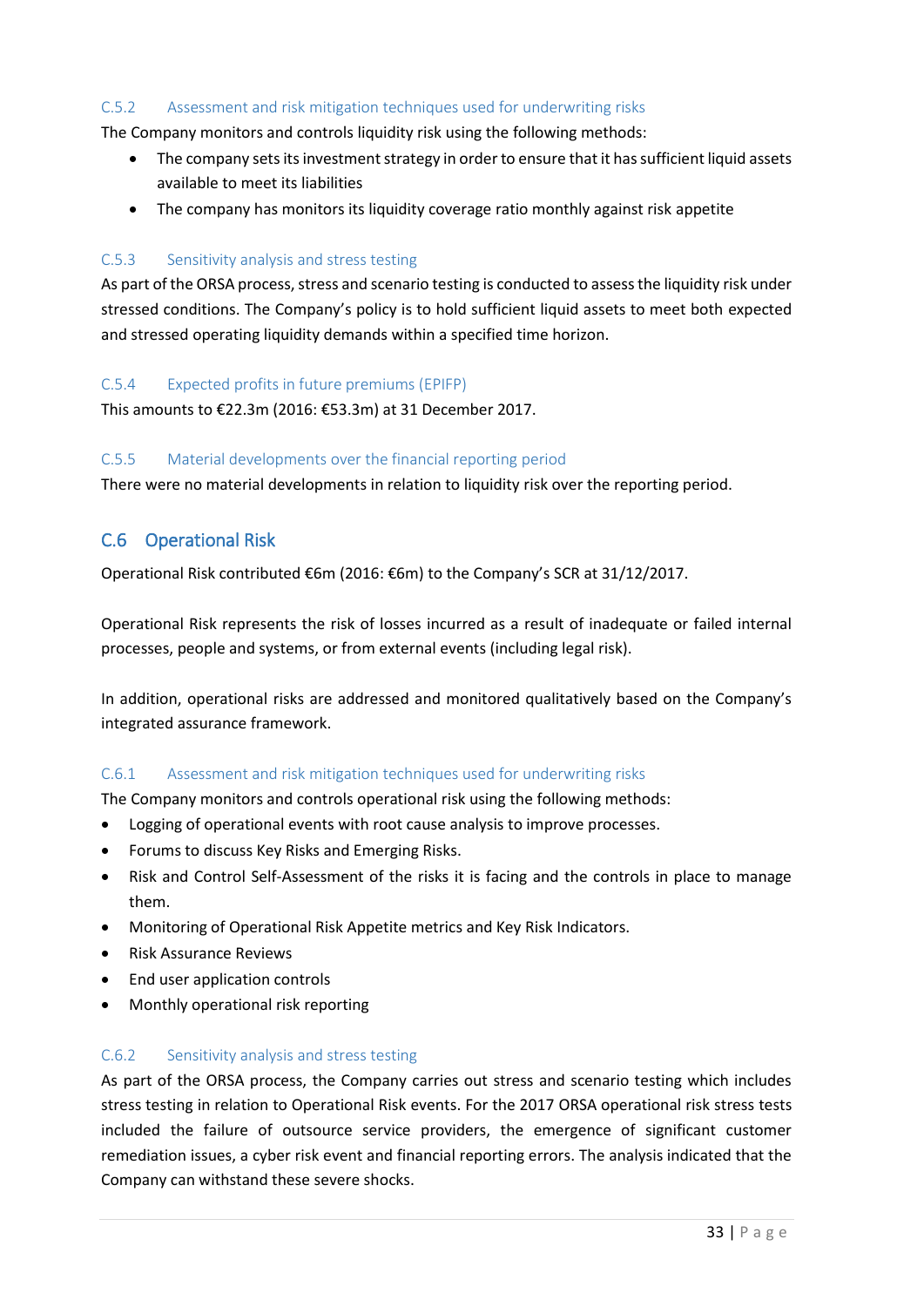## C.5.2 Assessment and risk mitigation techniques used for underwriting risks

The Company monitors and controls liquidity risk using the following methods:

- The company sets its investment strategy in order to ensure that it has sufficient liquid assets available to meet its liabilities
- The company has monitors its liquidity coverage ratio monthly against risk appetite

#### C.5.3 Sensitivity analysis and stress testing

As part of the ORSA process, stress and scenario testing is conducted to assess the liquidity risk under stressed conditions. The Company's policy is to hold sufficient liquid assets to meet both expected and stressed operating liquidity demands within a specified time horizon.

#### C.5.4 Expected profits in future premiums (EPIFP)

This amounts to €22.3m (2016: €53.3m) at 31 December 2017.

#### C.5.5 Material developments over the financial reporting period

There were no material developments in relation to liquidity risk over the reporting period.

## <span id="page-32-0"></span>C.6 Operational Risk

Operational Risk contributed €6m (2016: €6m) to the Company's SCR at 31/12/2017.

Operational Risk represents the risk of losses incurred as a result of inadequate or failed internal processes, people and systems, or from external events (including legal risk).

In addition, operational risks are addressed and monitored qualitatively based on the Company's integrated assurance framework.

## C.6.1 Assessment and risk mitigation techniques used for underwriting risks

The Company monitors and controls operational risk using the following methods:

- Logging of operational events with root cause analysis to improve processes.
- Forums to discuss Key Risks and Emerging Risks.
- Risk and Control Self-Assessment of the risks it is facing and the controls in place to manage them.
- Monitoring of Operational Risk Appetite metrics and Key Risk Indicators.
- Risk Assurance Reviews
- End user application controls
- Monthly operational risk reporting

## C.6.2 Sensitivity analysis and stress testing

As part of the ORSA process, the Company carries out stress and scenario testing which includes stress testing in relation to Operational Risk events. For the 2017 ORSA operational risk stress tests included the failure of outsource service providers, the emergence of significant customer remediation issues, a cyber risk event and financial reporting errors. The analysis indicated that the Company can withstand these severe shocks.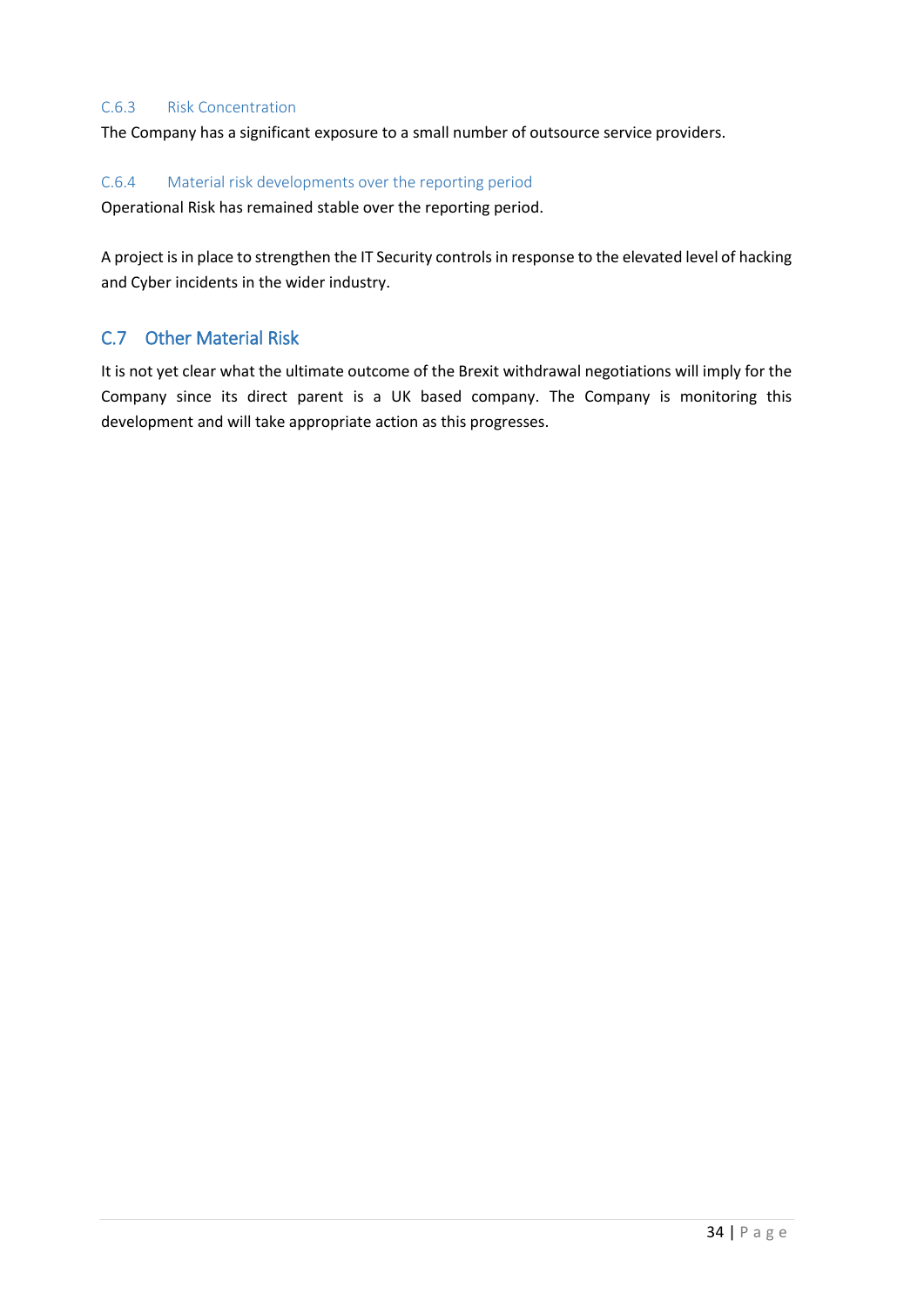#### C.6.3 Risk Concentration

The Company has a significant exposure to a small number of outsource service providers.

#### C.6.4 Material risk developments over the reporting period

Operational Risk has remained stable over the reporting period.

A project is in place to strengthen the IT Security controls in response to the elevated level of hacking and Cyber incidents in the wider industry.

## <span id="page-33-0"></span>C.7 Other Material Risk

It is not yet clear what the ultimate outcome of the Brexit withdrawal negotiations will imply for the Company since its direct parent is a UK based company. The Company is monitoring this development and will take appropriate action as this progresses.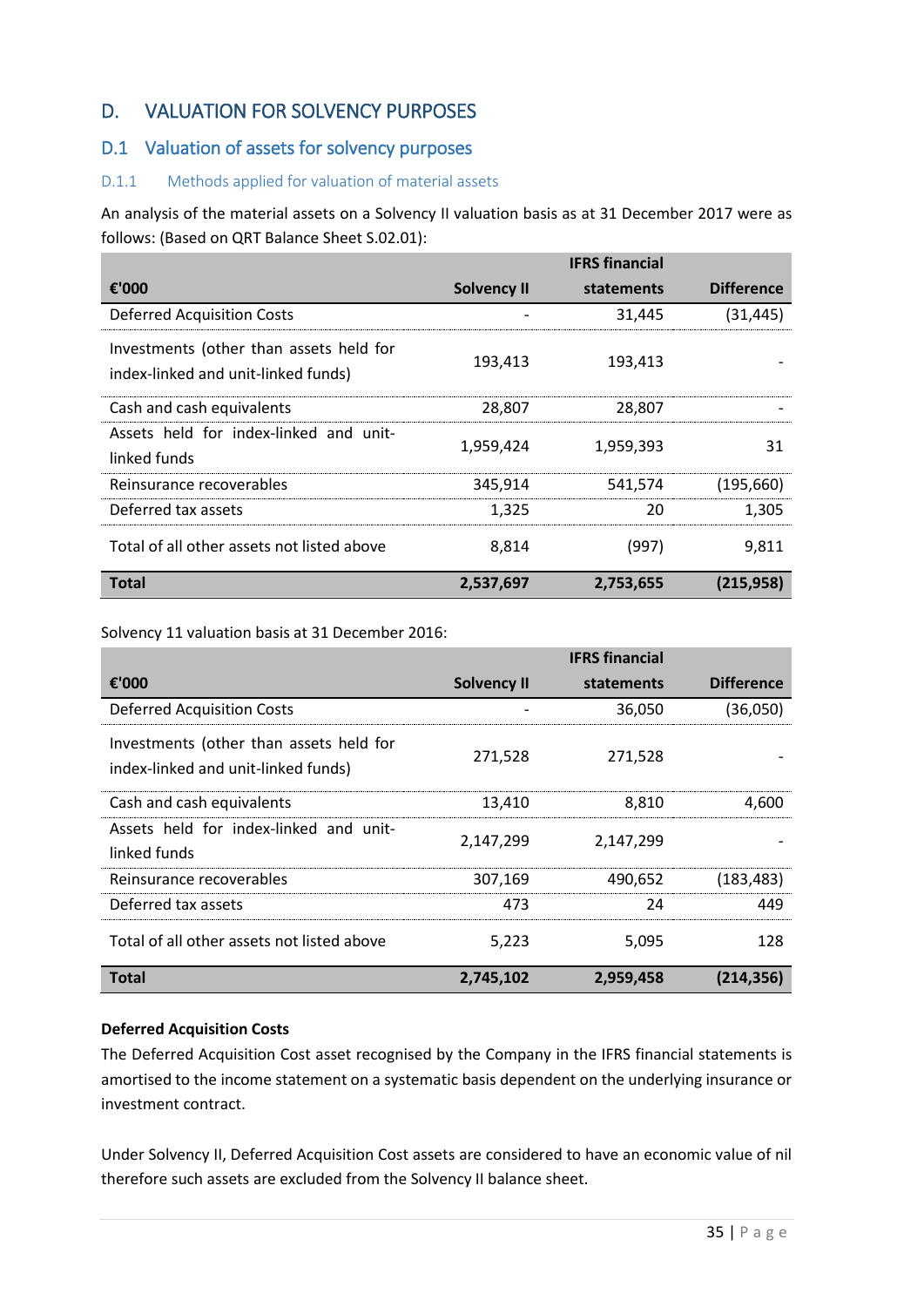# <span id="page-34-0"></span>D. VALUATION FOR SOLVENCY PURPOSES

# <span id="page-34-1"></span>D.1 Valuation of assets for solvency purposes

## D.1.1 Methods applied for valuation of material assets

An analysis of the material assets on a Solvency II valuation basis as at 31 December 2017 were as follows: (Based on QRT Balance Sheet S.02.01):

|                                                                                |                    | <b>IFRS</b> financial |                   |
|--------------------------------------------------------------------------------|--------------------|-----------------------|-------------------|
| €'000                                                                          | <b>Solvency II</b> | statements            | <b>Difference</b> |
| <b>Deferred Acquisition Costs</b>                                              |                    | 31,445                | (31,445)          |
| Investments (other than assets held for<br>index-linked and unit-linked funds) | 193,413            | 193,413               |                   |
| Cash and cash equivalents                                                      | 28,807             | 28,807                |                   |
| Assets held for index-linked and unit-<br>linked funds                         | 1,959,424          | 1,959,393             | 31                |
| Reinsurance recoverables                                                       | 345,914            | 541,574               | (195,660)         |
| Deferred tax assets                                                            | 1,325              | 20                    | 1,305             |
| Total of all other assets not listed above                                     | 8,814              | (997)                 | 9,811             |
| <b>Total</b>                                                                   | 2,537,697          | 2,753,655             | (215, 958)        |

Solvency 11 valuation basis at 31 December 2016:

|                                                                                |                    | <b>IFRS</b> financial |                   |
|--------------------------------------------------------------------------------|--------------------|-----------------------|-------------------|
| €'000                                                                          | <b>Solvency II</b> | statements            | <b>Difference</b> |
| <b>Deferred Acquisition Costs</b>                                              |                    | 36,050                | (36,050)          |
| Investments (other than assets held for<br>index-linked and unit-linked funds) | 271,528            | 271,528               |                   |
| Cash and cash equivalents                                                      | 13,410             | 8,810                 | 4,600             |
| Assets held for index-linked and unit-<br>linked funds                         | 2,147,299          | 2,147,299             |                   |
| Reinsurance recoverables                                                       | 307,169            | 490,652               | (183, 483)        |
| Deferred tax assets                                                            | 473                | 24                    | 449               |
| Total of all other assets not listed above                                     | 5,223              | 5,095                 | 128               |
| <b>Total</b>                                                                   | 2,745,102          | 2,959,458             | (214, 356)        |

## **Deferred Acquisition Costs**

The Deferred Acquisition Cost asset recognised by the Company in the IFRS financial statements is amortised to the income statement on a systematic basis dependent on the underlying insurance or investment contract.

Under Solvency II, Deferred Acquisition Cost assets are considered to have an economic value of nil therefore such assets are excluded from the Solvency II balance sheet.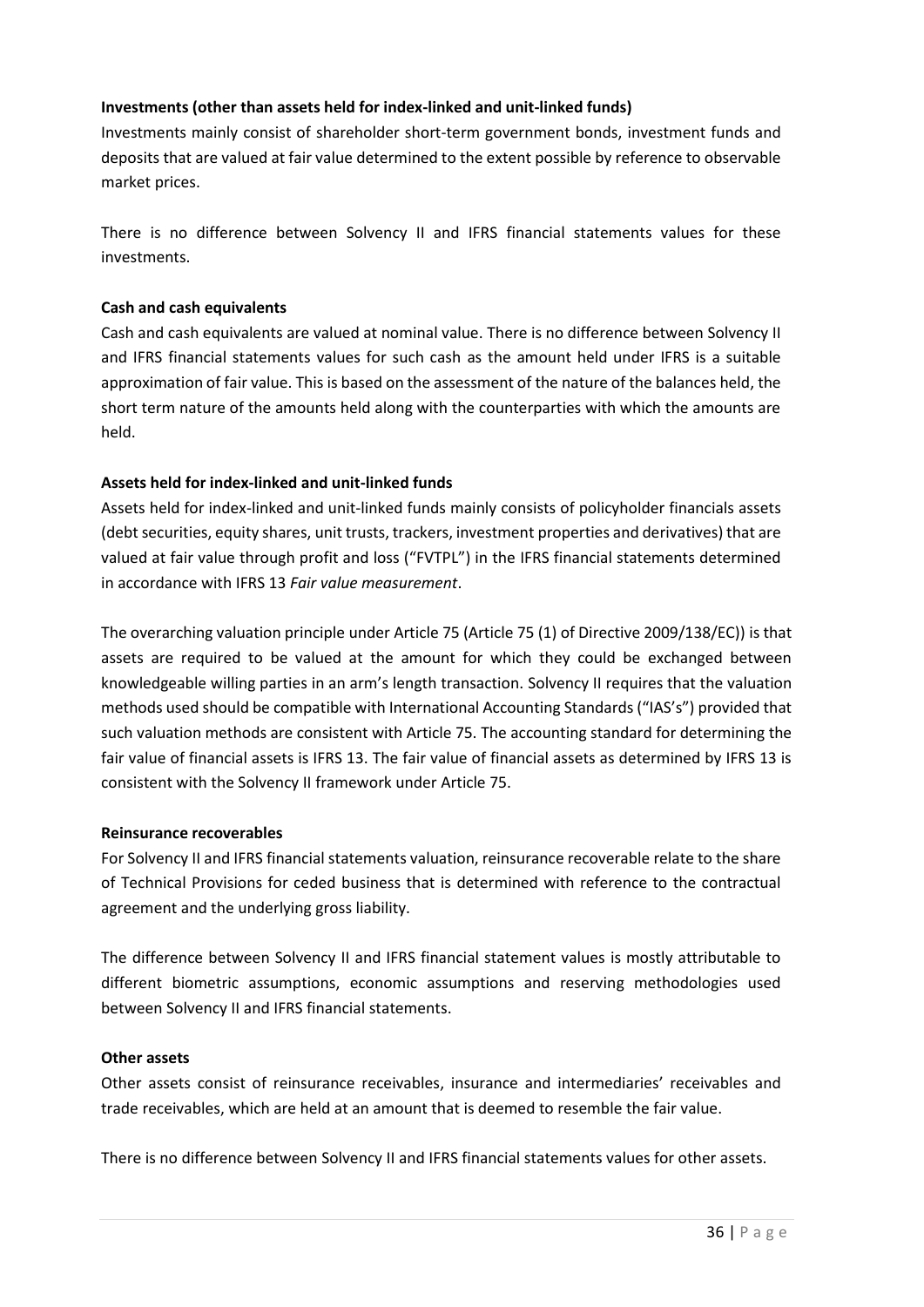## **Investments (other than assets held for index-linked and unit-linked funds)**

Investments mainly consist of shareholder short-term government bonds, investment funds and deposits that are valued at fair value determined to the extent possible by reference to observable market prices.

There is no difference between Solvency II and IFRS financial statements values for these investments.

#### **Cash and cash equivalents**

Cash and cash equivalents are valued at nominal value. There is no difference between Solvency II and IFRS financial statements values for such cash as the amount held under IFRS is a suitable approximation of fair value. This is based on the assessment of the nature of the balances held, the short term nature of the amounts held along with the counterparties with which the amounts are held.

## **Assets held for index-linked and unit-linked funds**

Assets held for index-linked and unit-linked funds mainly consists of policyholder financials assets (debt securities, equity shares, unit trusts, trackers, investment properties and derivatives) that are valued at fair value through profit and loss ("FVTPL") in the IFRS financial statements determined in accordance with IFRS 13 *Fair value measurement*.

The overarching valuation principle under Article 75 (Article 75 (1) of Directive 2009/138/EC)) is that assets are required to be valued at the amount for which they could be exchanged between knowledgeable willing parties in an arm's length transaction. Solvency II requires that the valuation methods used should be compatible with International Accounting Standards ("IAS's") provided that such valuation methods are consistent with Article 75. The accounting standard for determining the fair value of financial assets is IFRS 13. The fair value of financial assets as determined by IFRS 13 is consistent with the Solvency II framework under Article 75.

## **Reinsurance recoverables**

For Solvency II and IFRS financial statements valuation, reinsurance recoverable relate to the share of Technical Provisions for ceded business that is determined with reference to the contractual agreement and the underlying gross liability.

The difference between Solvency II and IFRS financial statement values is mostly attributable to different biometric assumptions, economic assumptions and reserving methodologies used between Solvency II and IFRS financial statements.

## **Other assets**

Other assets consist of reinsurance receivables, insurance and intermediaries' receivables and trade receivables, which are held at an amount that is deemed to resemble the fair value.

There is no difference between Solvency II and IFRS financial statements values for other assets.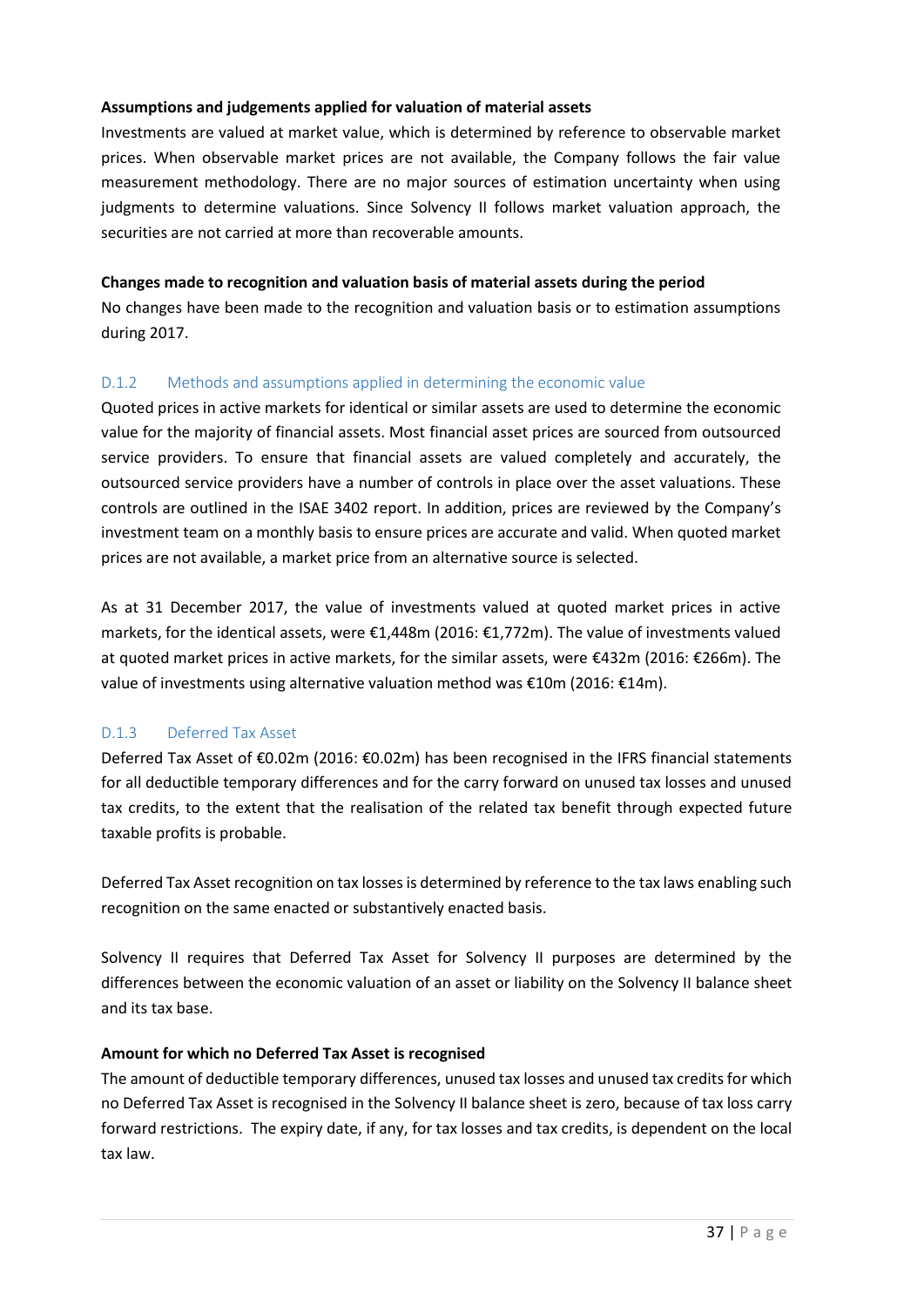## **Assumptions and judgements applied for valuation of material assets**

Investments are valued at market value, which is determined by reference to observable market prices. When observable market prices are not available, the Company follows the fair value measurement methodology. There are no major sources of estimation uncertainty when using judgments to determine valuations. Since Solvency II follows market valuation approach, the securities are not carried at more than recoverable amounts.

## **Changes made to recognition and valuation basis of material assets during the period**

No changes have been made to the recognition and valuation basis or to estimation assumptions during 2017.

## D.1.2 Methods and assumptions applied in determining the economic value

Quoted prices in active markets for identical or similar assets are used to determine the economic value for the majority of financial assets. Most financial asset prices are sourced from outsourced service providers. To ensure that financial assets are valued completely and accurately, the outsourced service providers have a number of controls in place over the asset valuations. These controls are outlined in the ISAE 3402 report. In addition, prices are reviewed by the Company's investment team on a monthly basis to ensure prices are accurate and valid. When quoted market prices are not available, a market price from an alternative source is selected.

As at 31 December 2017, the value of investments valued at quoted market prices in active markets, for the identical assets, were €1,448m (2016: €1,772m). The value of investments valued at quoted market prices in active markets, for the similar assets, were €432m (2016: €266m). The value of investments using alternative valuation method was €10m (2016: €14m).

## D.1.3 Deferred Tax Asset

Deferred Tax Asset of €0.02m (2016: €0.02m) has been recognised in the IFRS financial statements for all deductible temporary differences and for the carry forward on unused tax losses and unused tax credits, to the extent that the realisation of the related tax benefit through expected future taxable profits is probable.

Deferred Tax Asset recognition on tax losses is determined by reference to the tax laws enabling such recognition on the same enacted or substantively enacted basis.

Solvency II requires that Deferred Tax Asset for Solvency II purposes are determined by the differences between the economic valuation of an asset or liability on the Solvency II balance sheet and its tax base.

## **Amount for which no Deferred Tax Asset is recognised**

The amount of deductible temporary differences, unused tax losses and unused tax credits for which no Deferred Tax Asset is recognised in the Solvency II balance sheet is zero, because of tax loss carry forward restrictions. The expiry date, if any, for tax losses and tax credits, is dependent on the local tax law.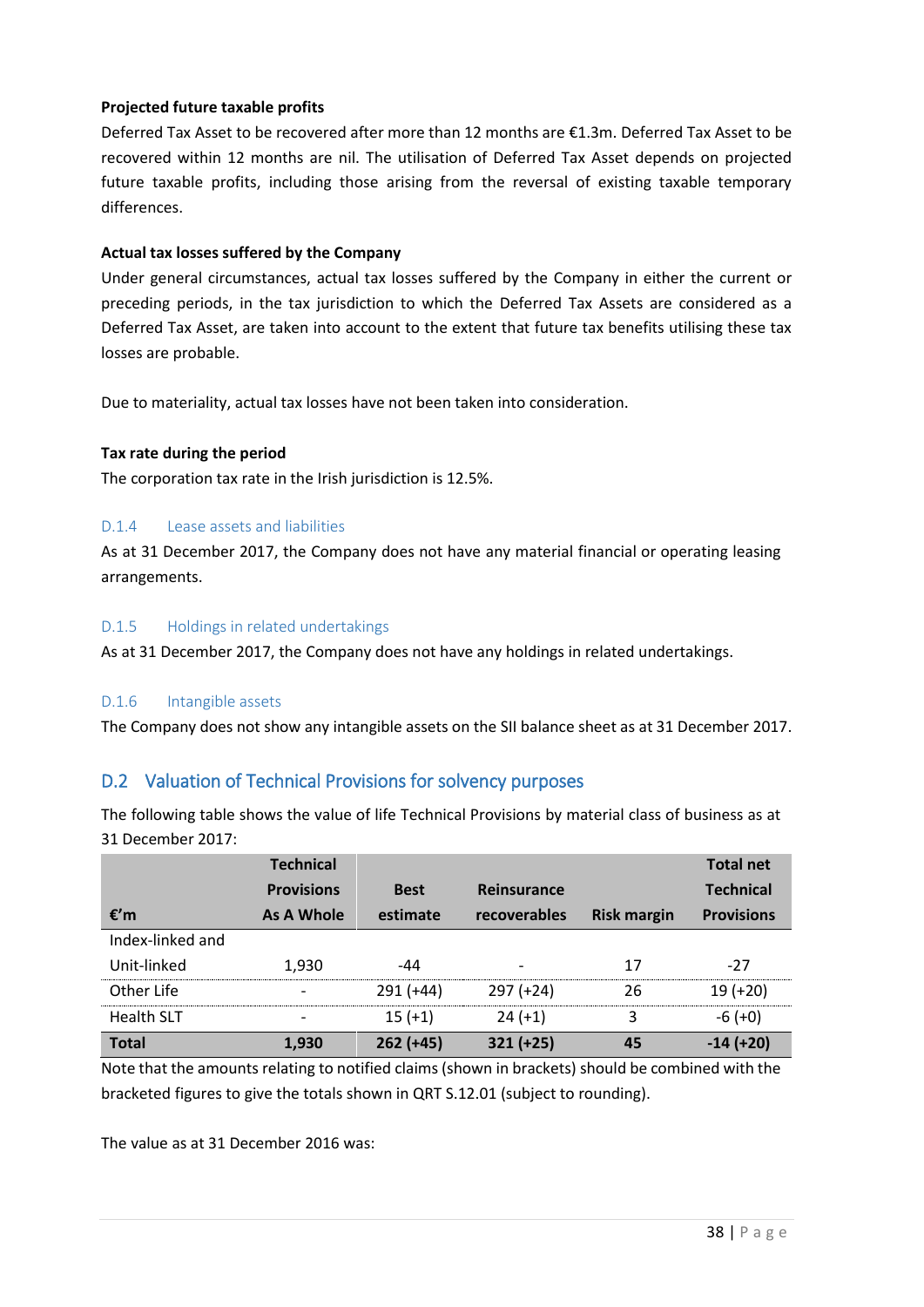## **Projected future taxable profits**

Deferred Tax Asset to be recovered after more than 12 months are €1.3m. Deferred Tax Asset to be recovered within 12 months are nil. The utilisation of Deferred Tax Asset depends on projected future taxable profits, including those arising from the reversal of existing taxable temporary differences.

## **Actual tax losses suffered by the Company**

Under general circumstances, actual tax losses suffered by the Company in either the current or preceding periods, in the tax jurisdiction to which the Deferred Tax Assets are considered as a Deferred Tax Asset, are taken into account to the extent that future tax benefits utilising these tax losses are probable.

Due to materiality, actual tax losses have not been taken into consideration.

#### **Tax rate during the period**

The corporation tax rate in the Irish jurisdiction is 12.5%.

## D.1.4 Lease assets and liabilities

As at 31 December 2017, the Company does not have any material financial or operating leasing arrangements.

#### D.1.5 Holdings in related undertakings

As at 31 December 2017, the Company does not have any holdings in related undertakings.

## D.1.6 Intangible assets

The Company does not show any intangible assets on the SII balance sheet as at 31 December 2017.

# <span id="page-37-0"></span>D.2 Valuation of Technical Provisions for solvency purposes

The following table shows the value of life Technical Provisions by material class of business as at 31 December 2017:

|                   | <b>Technical</b>  |             |                          |                    | <b>Total net</b>  |
|-------------------|-------------------|-------------|--------------------------|--------------------|-------------------|
|                   | <b>Provisions</b> | <b>Best</b> | Reinsurance              |                    | <b>Technical</b>  |
| $\epsilon$ 'm     | As A Whole        | estimate    | recoverables             | <b>Risk margin</b> | <b>Provisions</b> |
| Index-linked and  |                   |             |                          |                    |                   |
| Unit-linked       | 1,930             | -44         | $\overline{\phantom{0}}$ | 17                 | $-27$             |
| Other Life        |                   | $291 (+44)$ | $297 (+24)$              | 26                 | $19 (+20)$        |
| <b>Health SLT</b> |                   | $15 (+1)$   | $24 (+1)$                | 3                  | $-6 (+0)$         |
| <b>Total</b>      | 1,930             | $262 (+45)$ | $321 (+25)$              | 45                 | $-14 (+20)$       |

Note that the amounts relating to notified claims (shown in brackets) should be combined with the bracketed figures to give the totals shown in QRT S.12.01 (subject to rounding).

The value as at 31 December 2016 was: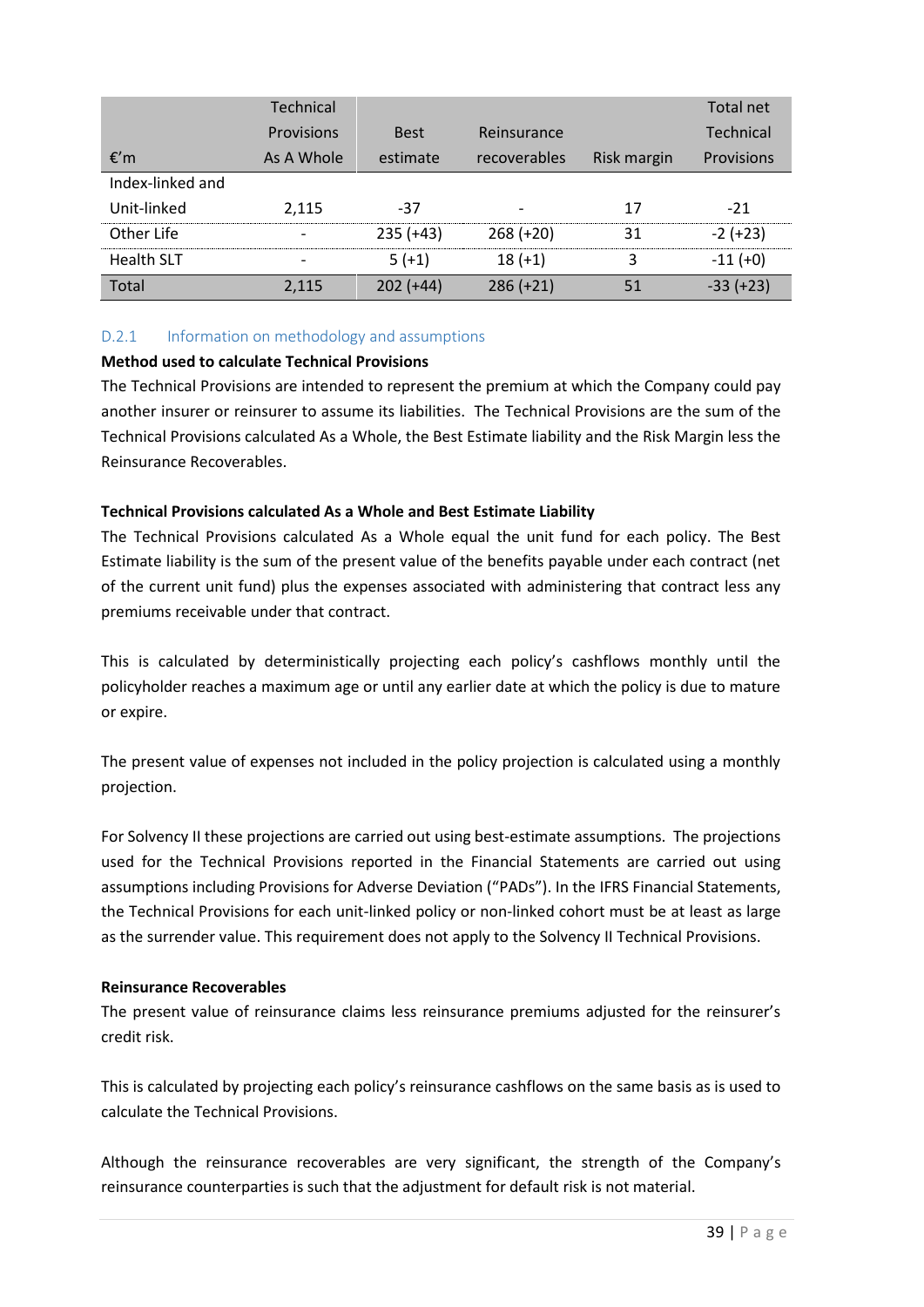|                   | <b>Technical</b>  |             |              |             | Total net        |
|-------------------|-------------------|-------------|--------------|-------------|------------------|
|                   | <b>Provisions</b> | <b>Best</b> | Reinsurance  |             | <b>Technical</b> |
| €'m               | As A Whole        | estimate    | recoverables | Risk margin | Provisions       |
| Index-linked and  |                   |             |              |             |                  |
| Unit-linked       | 2,115             | -37         |              | 17          | $-21$            |
| Other Life        |                   | $235 (+43)$ | $268 (+20)$  | 31          | $-2 (+23)$       |
| <b>Health SLT</b> |                   | $5(+1)$     | $18 (+1)$    | ੨           | $-11 (+0)$       |
| Total             | 2,115             | $202 (+44)$ | $286 (+21)$  | 51          | $-33 (+23)$      |

## D.2.1 Information on methodology and assumptions

## **Method used to calculate Technical Provisions**

The Technical Provisions are intended to represent the premium at which the Company could pay another insurer or reinsurer to assume its liabilities. The Technical Provisions are the sum of the Technical Provisions calculated As a Whole, the Best Estimate liability and the Risk Margin less the Reinsurance Recoverables.

## **Technical Provisions calculated As a Whole and Best Estimate Liability**

The Technical Provisions calculated As a Whole equal the unit fund for each policy. The Best Estimate liability is the sum of the present value of the benefits payable under each contract (net of the current unit fund) plus the expenses associated with administering that contract less any premiums receivable under that contract.

This is calculated by deterministically projecting each policy's cashflows monthly until the policyholder reaches a maximum age or until any earlier date at which the policy is due to mature or expire.

The present value of expenses not included in the policy projection is calculated using a monthly projection.

For Solvency II these projections are carried out using best-estimate assumptions. The projections used for the Technical Provisions reported in the Financial Statements are carried out using assumptions including Provisions for Adverse Deviation ("PADs"). In the IFRS Financial Statements, the Technical Provisions for each unit-linked policy or non-linked cohort must be at least as large as the surrender value. This requirement does not apply to the Solvency II Technical Provisions.

## **Reinsurance Recoverables**

The present value of reinsurance claims less reinsurance premiums adjusted for the reinsurer's credit risk.

This is calculated by projecting each policy's reinsurance cashflows on the same basis as is used to calculate the Technical Provisions.

Although the reinsurance recoverables are very significant, the strength of the Company's reinsurance counterparties is such that the adjustment for default risk is not material.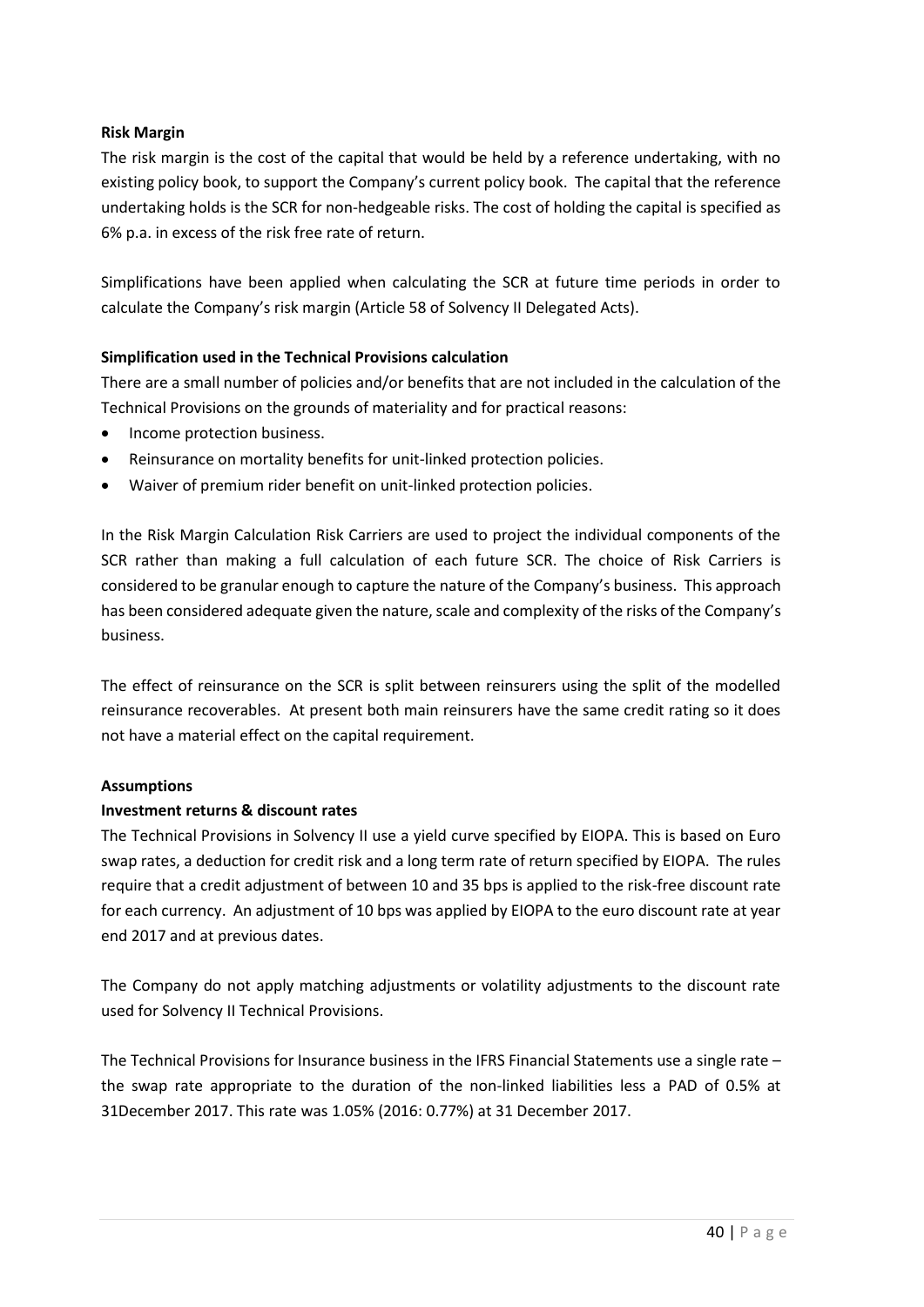## **Risk Margin**

The risk margin is the cost of the capital that would be held by a reference undertaking, with no existing policy book, to support the Company's current policy book. The capital that the reference undertaking holds is the SCR for non-hedgeable risks. The cost of holding the capital is specified as 6% p.a. in excess of the risk free rate of return.

Simplifications have been applied when calculating the SCR at future time periods in order to calculate the Company's risk margin (Article 58 of Solvency II Delegated Acts).

## **Simplification used in the Technical Provisions calculation**

There are a small number of policies and/or benefits that are not included in the calculation of the Technical Provisions on the grounds of materiality and for practical reasons:

- Income protection business.
- Reinsurance on mortality benefits for unit-linked protection policies.
- Waiver of premium rider benefit on unit-linked protection policies.

In the Risk Margin Calculation Risk Carriers are used to project the individual components of the SCR rather than making a full calculation of each future SCR. The choice of Risk Carriers is considered to be granular enough to capture the nature of the Company's business. This approach has been considered adequate given the nature, scale and complexity of the risks of the Company's business.

The effect of reinsurance on the SCR is split between reinsurers using the split of the modelled reinsurance recoverables. At present both main reinsurers have the same credit rating so it does not have a material effect on the capital requirement.

## **Assumptions**

## **Investment returns & discount rates**

The Technical Provisions in Solvency II use a yield curve specified by EIOPA. This is based on Euro swap rates, a deduction for credit risk and a long term rate of return specified by EIOPA. The rules require that a credit adjustment of between 10 and 35 bps is applied to the risk-free discount rate for each currency. An adjustment of 10 bps was applied by EIOPA to the euro discount rate at year end 2017 and at previous dates.

The Company do not apply matching adjustments or volatility adjustments to the discount rate used for Solvency II Technical Provisions.

The Technical Provisions for Insurance business in the IFRS Financial Statements use a single rate – the swap rate appropriate to the duration of the non-linked liabilities less a PAD of 0.5% at 31December 2017. This rate was 1.05% (2016: 0.77%) at 31 December 2017.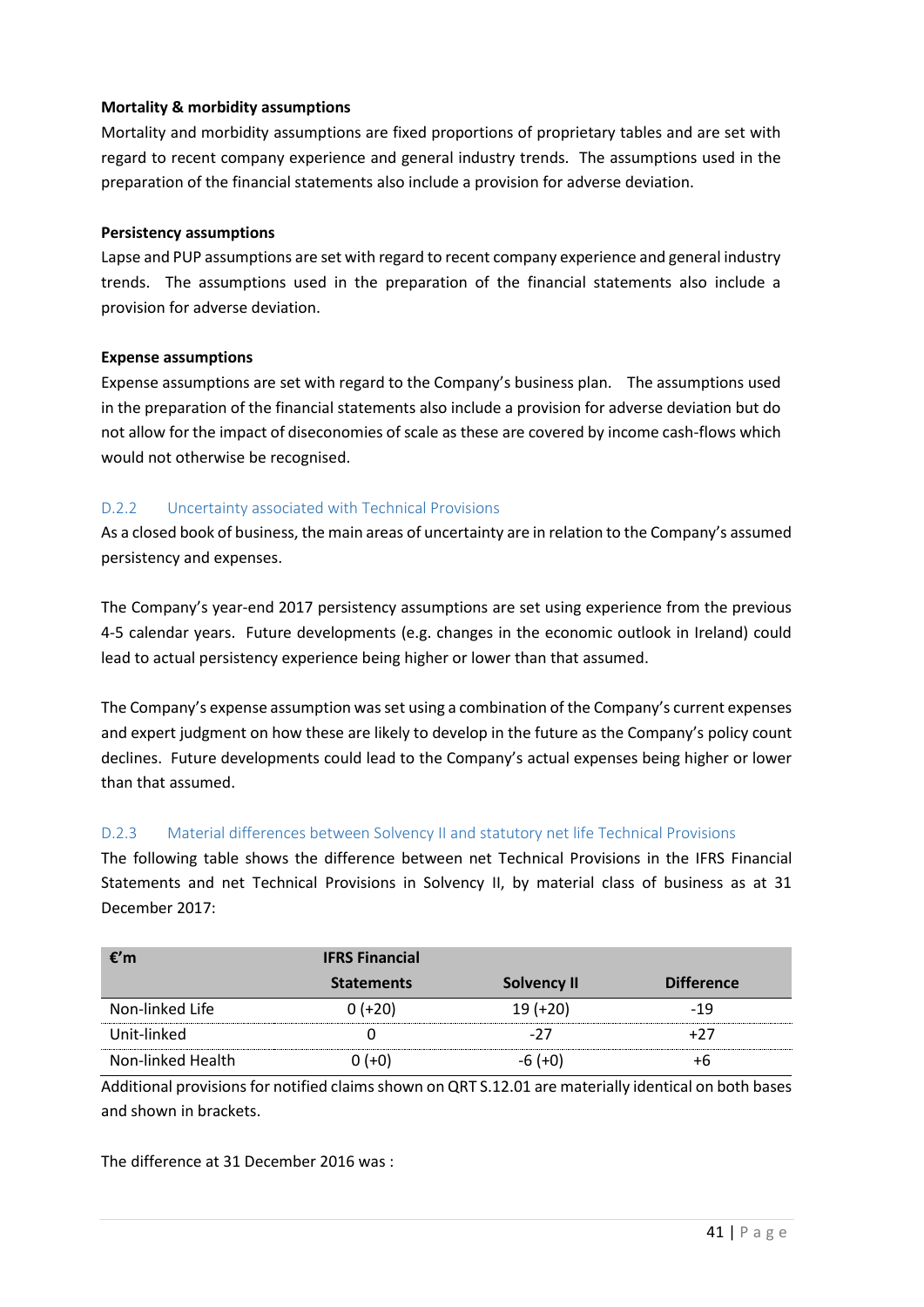## **Mortality & morbidity assumptions**

Mortality and morbidity assumptions are fixed proportions of proprietary tables and are set with regard to recent company experience and general industry trends. The assumptions used in the preparation of the financial statements also include a provision for adverse deviation.

#### **Persistency assumptions**

Lapse and PUP assumptions are set with regard to recent company experience and general industry trends. The assumptions used in the preparation of the financial statements also include a provision for adverse deviation.

#### **Expense assumptions**

Expense assumptions are set with regard to the Company's business plan. The assumptions used in the preparation of the financial statements also include a provision for adverse deviation but do not allow for the impact of diseconomies of scale as these are covered by income cash-flows which would not otherwise be recognised.

## D.2.2 Uncertainty associated with Technical Provisions

As a closed book of business, the main areas of uncertainty are in relation to the Company's assumed persistency and expenses.

The Company's year-end 2017 persistency assumptions are set using experience from the previous 4-5 calendar years. Future developments (e.g. changes in the economic outlook in Ireland) could lead to actual persistency experience being higher or lower than that assumed.

The Company's expense assumption was set using a combination of the Company's current expenses and expert judgment on how these are likely to develop in the future as the Company's policy count declines. Future developments could lead to the Company's actual expenses being higher or lower than that assumed.

## D.2.3 Material differences between Solvency II and statutory net life Technical Provisions

The following table shows the difference between net Technical Provisions in the IFRS Financial Statements and net Technical Provisions in Solvency II, by material class of business as at 31 December 2017:

| €′m               | <b>IFRS Financial</b> |                    |                   |
|-------------------|-----------------------|--------------------|-------------------|
|                   | <b>Statements</b>     | <b>Solvency II</b> | <b>Difference</b> |
| Non-linked Life   | $0 (+20)$             | $19 (+20)$         | -19               |
| Unit-linked       |                       | -27                | +27               |
| Non-linked Health | ) (+0)                | $-6 (+0)$          |                   |

Additional provisions for notified claims shown on QRT S.12.01 are materially identical on both bases and shown in brackets.

The difference at 31 December 2016 was :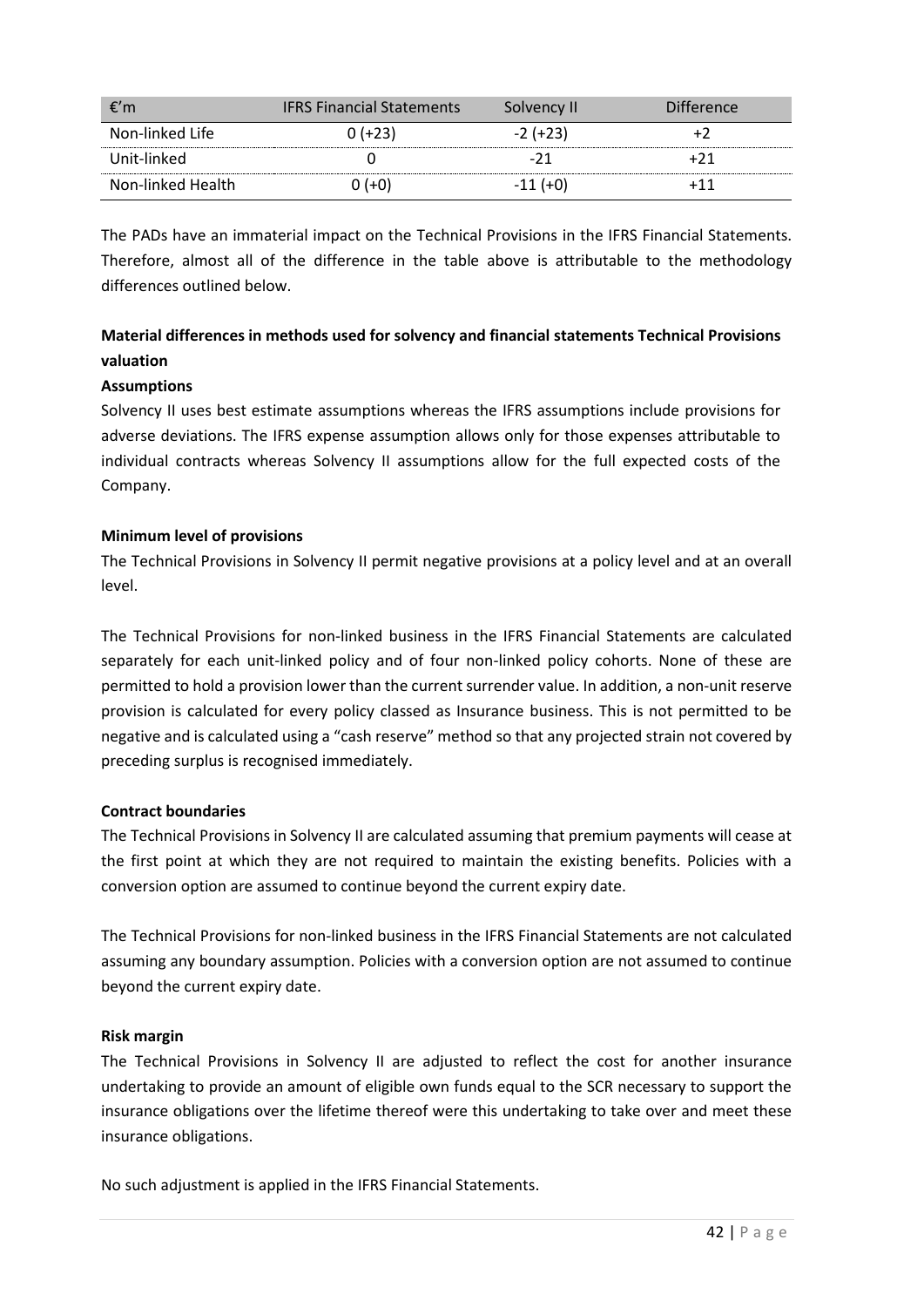| €′m               | <b>IFRS Financial Statements</b> | Solvency II | <b>Difference</b> |
|-------------------|----------------------------------|-------------|-------------------|
| Non-linked Life   | 0 (+23)                          | $-2 (+23)$  |                   |
| Unit-linked       |                                  |             | +71               |
| Non-linked Health | $(+0)$                           | $-11(+0)$   | ⊥11               |

The PADs have an immaterial impact on the Technical Provisions in the IFRS Financial Statements. Therefore, almost all of the difference in the table above is attributable to the methodology differences outlined below.

# **Material differences in methods used for solvency and financial statements Technical Provisions valuation**

## **Assumptions**

Solvency II uses best estimate assumptions whereas the IFRS assumptions include provisions for adverse deviations. The IFRS expense assumption allows only for those expenses attributable to individual contracts whereas Solvency II assumptions allow for the full expected costs of the Company.

#### **Minimum level of provisions**

The Technical Provisions in Solvency II permit negative provisions at a policy level and at an overall level.

The Technical Provisions for non-linked business in the IFRS Financial Statements are calculated separately for each unit-linked policy and of four non-linked policy cohorts. None of these are permitted to hold a provision lower than the current surrender value. In addition, a non-unit reserve provision is calculated for every policy classed as Insurance business. This is not permitted to be negative and is calculated using a "cash reserve" method so that any projected strain not covered by preceding surplus is recognised immediately.

#### **Contract boundaries**

The Technical Provisions in Solvency II are calculated assuming that premium payments will cease at the first point at which they are not required to maintain the existing benefits. Policies with a conversion option are assumed to continue beyond the current expiry date.

The Technical Provisions for non-linked business in the IFRS Financial Statements are not calculated assuming any boundary assumption. Policies with a conversion option are not assumed to continue beyond the current expiry date.

#### **Risk margin**

The Technical Provisions in Solvency II are adjusted to reflect the cost for another insurance undertaking to provide an amount of eligible own funds equal to the SCR necessary to support the insurance obligations over the lifetime thereof were this undertaking to take over and meet these insurance obligations.

No such adjustment is applied in the IFRS Financial Statements.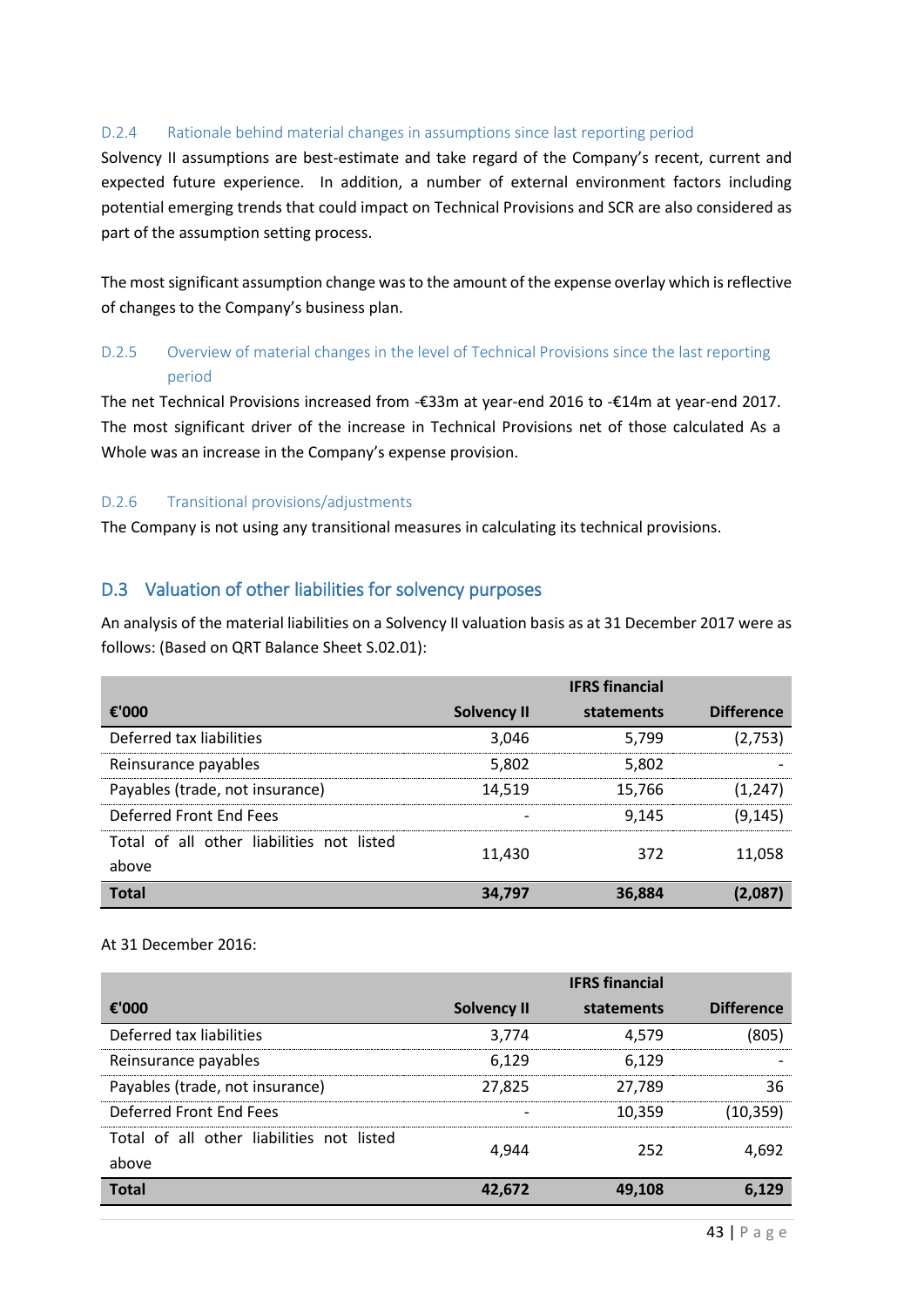## D.2.4 Rationale behind material changes in assumptions since last reporting period

Solvency II assumptions are best-estimate and take regard of the Company's recent, current and expected future experience. In addition, a number of external environment factors including potential emerging trends that could impact on Technical Provisions and SCR are also considered as part of the assumption setting process.

The most significant assumption change was to the amount of the expense overlay which is reflective of changes to the Company's business plan.

## D.2.5 Overview of material changes in the level of Technical Provisions since the last reporting period

The net Technical Provisions increased from -€33m at year-end 2016 to -€14m at year-end 2017. The most significant driver of the increase in Technical Provisions net of those calculated As a Whole was an increase in the Company's expense provision.

## D.2.6 Transitional provisions/adjustments

<span id="page-42-0"></span>The Company is not using any transitional measures in calculating its technical provisions.

## D.3 Valuation of other liabilities for solvency purposes

An analysis of the material liabilities on a Solvency II valuation basis as at 31 December 2017 were as follows: (Based on QRT Balance Sheet S.02.01):

|                                                    |                    | <b>IFRS</b> financial |                   |
|----------------------------------------------------|--------------------|-----------------------|-------------------|
| €'000                                              | <b>Solvency II</b> | statements            | <b>Difference</b> |
| Deferred tax liabilities                           | 3,046              | 5,799                 | (2,753)           |
| Reinsurance payables                               | 5,802              | 5,802                 |                   |
| Payables (trade, not insurance)                    | 14,519             | 15.766                | (1,247)           |
| Deferred Front Fnd Fees                            |                    | 9.145                 | (9, 145)          |
| Total of all other liabilities not listed<br>above | 11,430             | 372                   | 11,058            |
| <b>Total</b>                                       | 34.797             | 36,884                | (2.087)           |

#### At 31 December 2016:

|                                           |             | <b>IFRS</b> financial |                   |
|-------------------------------------------|-------------|-----------------------|-------------------|
| €'000                                     | Solvency II | statements            | <b>Difference</b> |
| Deferred tax liabilities                  | 3,774       | 4.579                 | (805)             |
| Reinsurance payables                      | 6.129       | 6,129                 |                   |
| Payables (trade, not insurance)           | 27,825      | 27,789                | 36                |
| Deferred Front End Fees                   |             | 10,359                | (10, 359)         |
| Total of all other liabilities not listed | 4.944       | 252                   | 4,692             |
| above                                     |             |                       |                   |
| <b>Total</b>                              | 42.672      | 49,108                | 6.129             |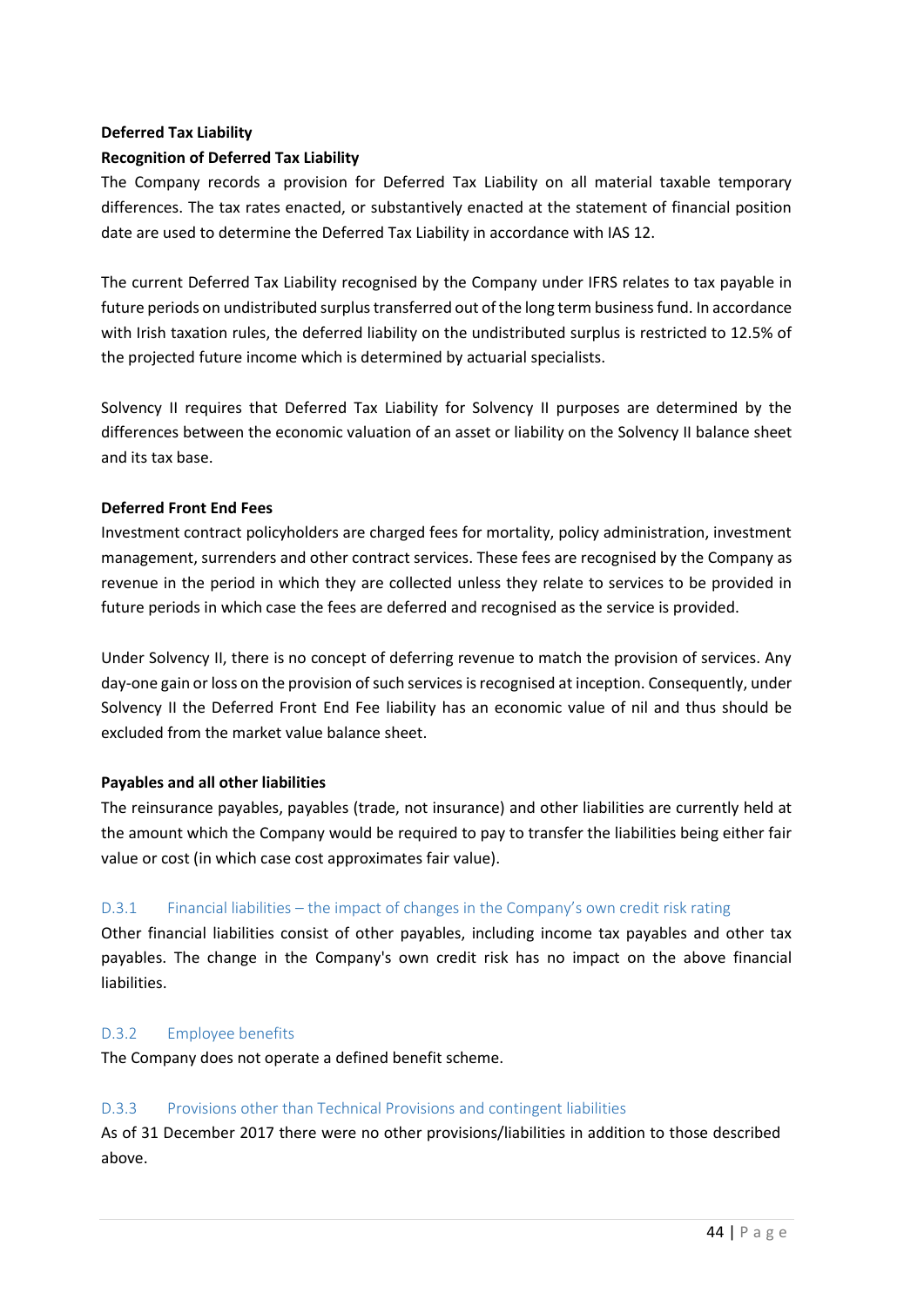## **Deferred Tax Liability Recognition of Deferred Tax Liability**

The Company records a provision for Deferred Tax Liability on all material taxable temporary differences. The tax rates enacted, or substantively enacted at the statement of financial position date are used to determine the Deferred Tax Liability in accordance with IAS 12.

The current Deferred Tax Liability recognised by the Company under IFRS relates to tax payable in future periods on undistributed surplus transferred out of the long term business fund. In accordance with Irish taxation rules, the deferred liability on the undistributed surplus is restricted to 12.5% of the projected future income which is determined by actuarial specialists.

Solvency II requires that Deferred Tax Liability for Solvency II purposes are determined by the differences between the economic valuation of an asset or liability on the Solvency II balance sheet and its tax base.

## **Deferred Front End Fees**

Investment contract policyholders are charged fees for mortality, policy administration, investment management, surrenders and other contract services. These fees are recognised by the Company as revenue in the period in which they are collected unless they relate to services to be provided in future periods in which case the fees are deferred and recognised as the service is provided.

Under Solvency II, there is no concept of deferring revenue to match the provision of services. Any day-one gain or loss on the provision of such services is recognised at inception. Consequently, under Solvency II the Deferred Front End Fee liability has an economic value of nil and thus should be excluded from the market value balance sheet.

## **Payables and all other liabilities**

The reinsurance payables, payables (trade, not insurance) and other liabilities are currently held at the amount which the Company would be required to pay to transfer the liabilities being either fair value or cost (in which case cost approximates fair value).

## D.3.1 Financial liabilities – the impact of changes in the Company's own credit risk rating

Other financial liabilities consist of other payables, including income tax payables and other tax payables. The change in the Company's own credit risk has no impact on the above financial liabilities.

## D.3.2 Employee benefits

The Company does not operate a defined benefit scheme.

## D.3.3 Provisions other than Technical Provisions and contingent liabilities

As of 31 December 2017 there were no other provisions/liabilities in addition to those described above.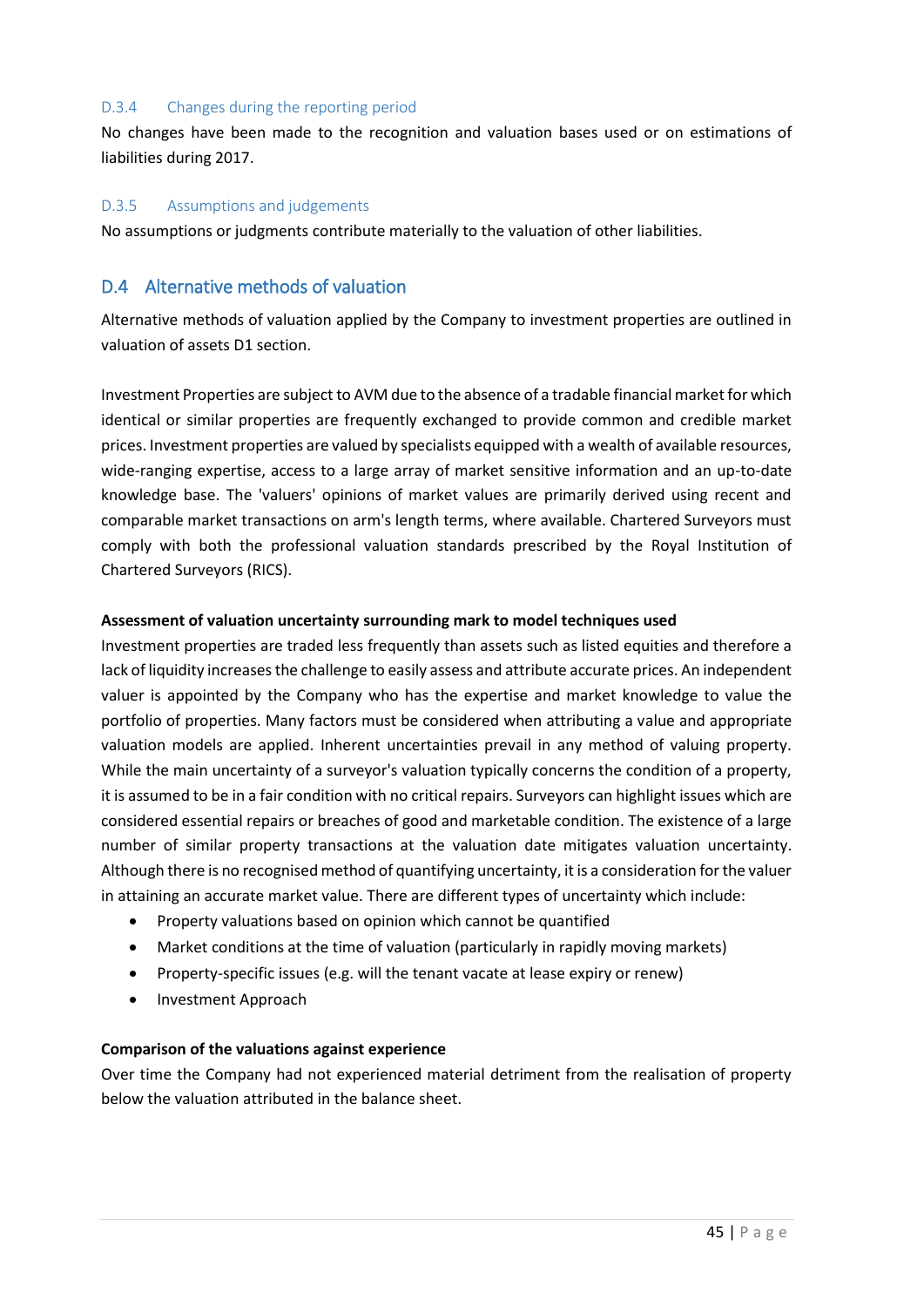#### D.3.4 Changes during the reporting period

No changes have been made to the recognition and valuation bases used or on estimations of liabilities during 2017.

#### D.3.5 Assumptions and judgements

No assumptions or judgments contribute materially to the valuation of other liabilities.

## <span id="page-44-0"></span>D.4 Alternative methods of valuation

Alternative methods of valuation applied by the Company to investment properties are outlined in valuation of assets D1 section.

Investment Properties are subject to AVM due to the absence of a tradable financial market for which identical or similar properties are frequently exchanged to provide common and credible market prices. Investment properties are valued by specialists equipped with a wealth of available resources, wide-ranging expertise, access to a large array of market sensitive information and an up-to-date knowledge base. The 'valuers' opinions of market values are primarily derived using recent and comparable market transactions on arm's length terms, where available. Chartered Surveyors must comply with both the professional valuation standards prescribed by the Royal Institution of Chartered Surveyors (RICS).

#### **Assessment of valuation uncertainty surrounding mark to model techniques used**

Investment properties are traded less frequently than assets such as listed equities and therefore a lack of liquidity increases the challenge to easily assess and attribute accurate prices. An independent valuer is appointed by the Company who has the expertise and market knowledge to value the portfolio of properties. Many factors must be considered when attributing a value and appropriate valuation models are applied. Inherent uncertainties prevail in any method of valuing property. While the main uncertainty of a surveyor's valuation typically concerns the condition of a property, it is assumed to be in a fair condition with no critical repairs. Surveyors can highlight issues which are considered essential repairs or breaches of good and marketable condition. The existence of a large number of similar property transactions at the valuation date mitigates valuation uncertainty. Although there is no recognised method of quantifying uncertainty, it is a consideration for the valuer in attaining an accurate market value. There are different types of uncertainty which include:

- Property valuations based on opinion which cannot be quantified
- Market conditions at the time of valuation (particularly in rapidly moving markets)
- Property-specific issues (e.g. will the tenant vacate at lease expiry or renew)
- <span id="page-44-1"></span>• Investment Approach

#### **Comparison of the valuations against experience**

Over time the Company had not experienced material detriment from the realisation of property below the valuation attributed in the balance sheet.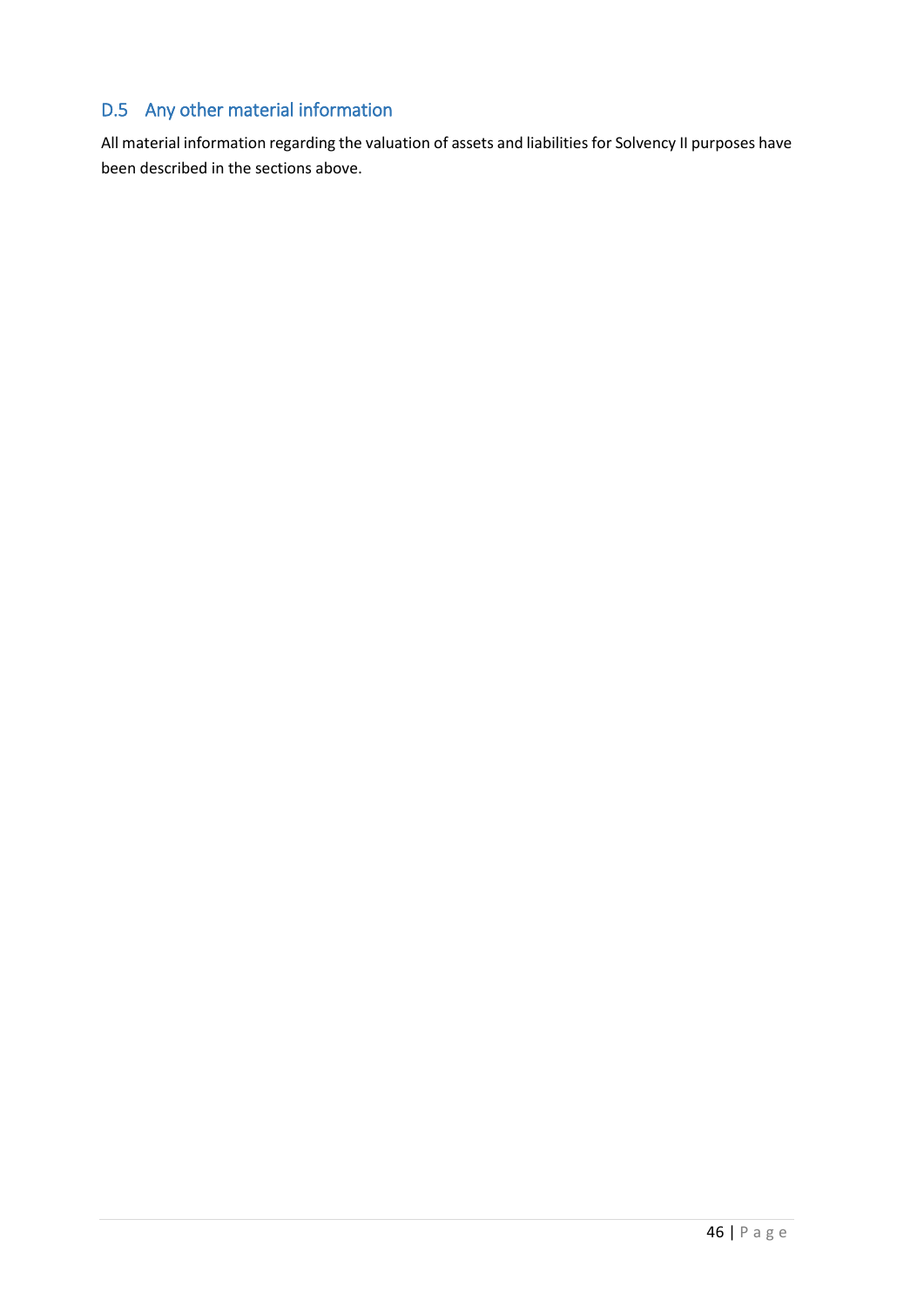# D.5 Any other material information

All material information regarding the valuation of assets and liabilities for Solvency II purposes have been described in the sections above.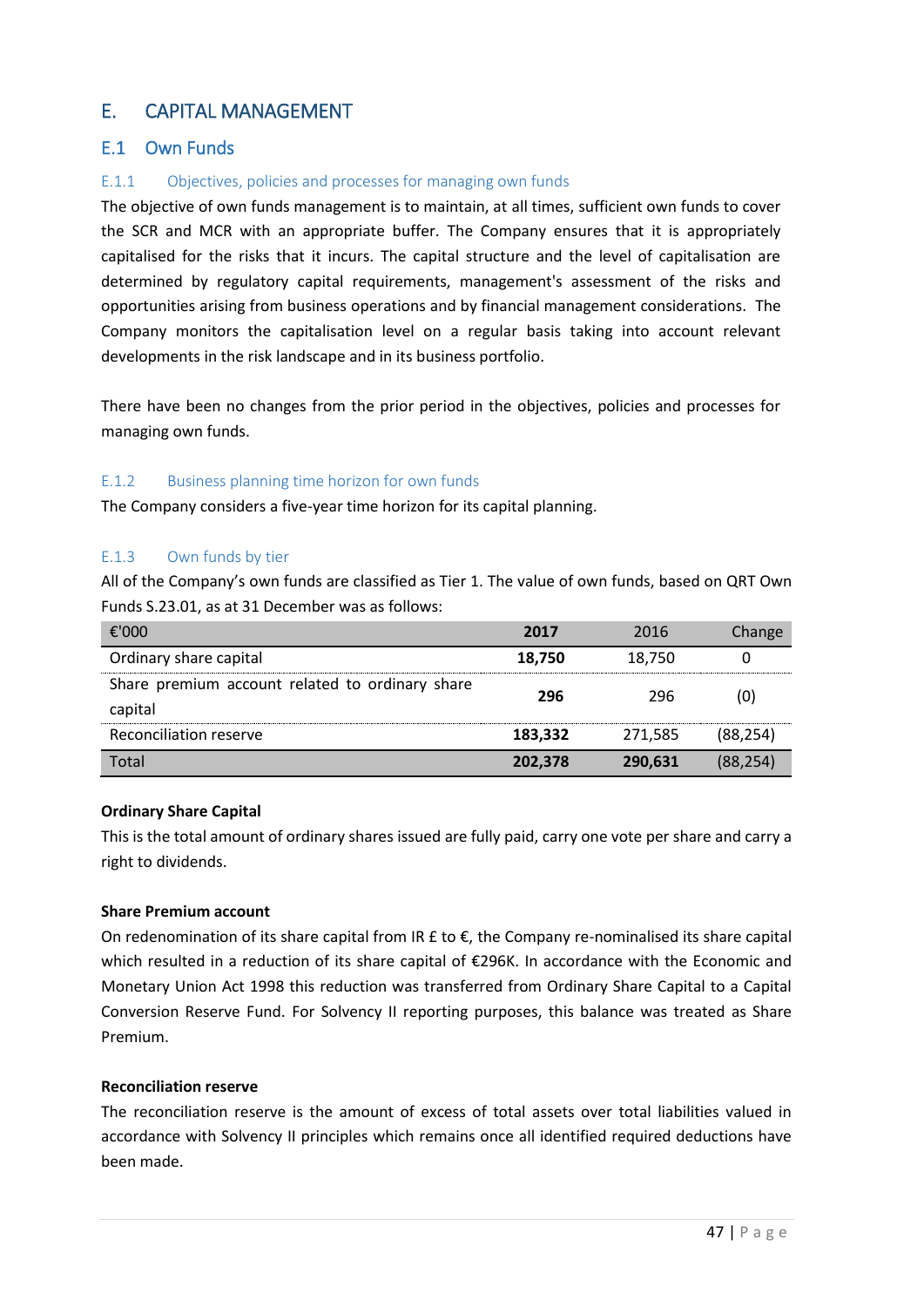# <span id="page-46-0"></span>E. CAPITAL MANAGEMENT

## <span id="page-46-1"></span>E.1 Own Funds

## E.1.1 Objectives, policies and processes for managing own funds

The objective of own funds management is to maintain, at all times, sufficient own funds to cover the SCR and MCR with an appropriate buffer. The Company ensures that it is appropriately capitalised for the risks that it incurs. The capital structure and the level of capitalisation are determined by regulatory capital requirements, management's assessment of the risks and opportunities arising from business operations and by financial management considerations. The Company monitors the capitalisation level on a regular basis taking into account relevant developments in the risk landscape and in its business portfolio.

There have been no changes from the prior period in the objectives, policies and processes for managing own funds.

#### E.1.2 Business planning time horizon for own funds

The Company considers a five-year time horizon for its capital planning.

#### E.1.3 Own funds by tier

All of the Company's own funds are classified as Tier 1. The value of own funds, based on QRT Own Funds S.23.01, as at 31 December was as follows:

| €'000                                                      | 2017    | 2016    | Change    |
|------------------------------------------------------------|---------|---------|-----------|
| Ordinary share capital                                     | 18,750  | 18,750  |           |
| Share premium account related to ordinary share<br>capital | 296     | 296     | (0)       |
| Reconciliation reserve                                     | 183,332 | 271,585 | (88, 254) |
| Total                                                      | 202,378 | 290,631 | (88,254)  |

#### **Ordinary Share Capital**

This is the total amount of ordinary shares issued are fully paid, carry one vote per share and carry a right to dividends.

#### **Share Premium account**

On redenomination of its share capital from IR  $E$  to  $E$ , the Company re-nominalised its share capital which resulted in a reduction of its share capital of €296K. In accordance with the Economic and Monetary Union Act 1998 this reduction was transferred from Ordinary Share Capital to a Capital Conversion Reserve Fund. For Solvency II reporting purposes, this balance was treated as Share Premium.

## **Reconciliation reserve**

The reconciliation reserve is the amount of excess of total assets over total liabilities valued in accordance with Solvency II principles which remains once all identified required deductions have been made.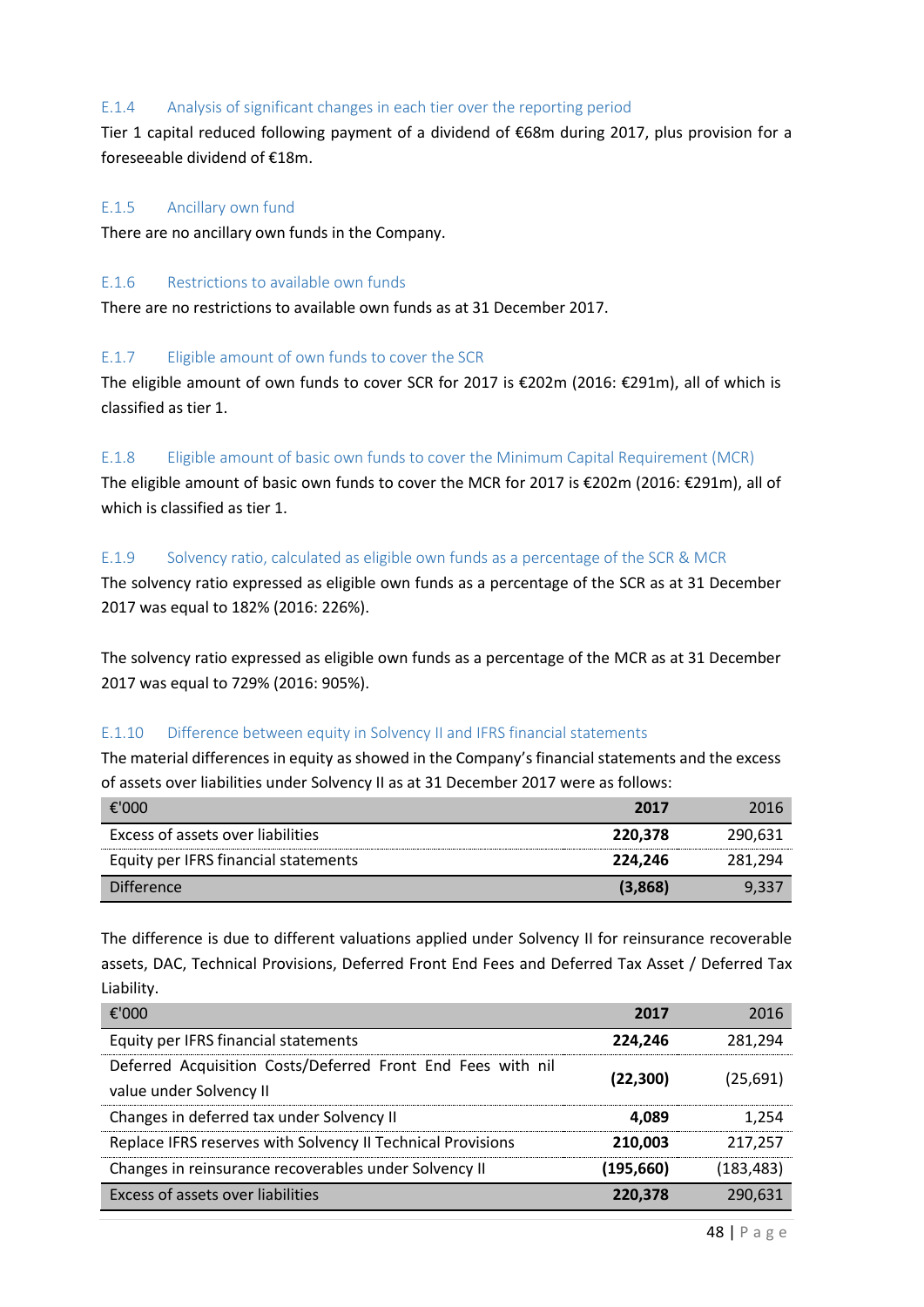#### E.1.4 Analysis of significant changes in each tier over the reporting period

Tier 1 capital reduced following payment of a dividend of €68m during 2017, plus provision for a foreseeable dividend of €18m.

#### E.1.5 Ancillary own fund

There are no ancillary own funds in the Company.

#### E.1.6 Restrictions to available own funds

There are no restrictions to available own funds as at 31 December 2017.

#### E.1.7 Eligible amount of own funds to cover the SCR

The eligible amount of own funds to cover SCR for 2017 is €202m (2016: €291m), all of which is classified as tier 1.

#### E.1.8 Eligible amount of basic own funds to cover the Minimum Capital Requirement (MCR)

The eligible amount of basic own funds to cover the MCR for 2017 is €202m (2016: €291m), all of which is classified as tier 1.

#### E.1.9 Solvency ratio, calculated as eligible own funds as a percentage of the SCR & MCR

The solvency ratio expressed as eligible own funds as a percentage of the SCR as at 31 December 2017 was equal to 182% (2016: 226%).

The solvency ratio expressed as eligible own funds as a percentage of the MCR as at 31 December 2017 was equal to 729% (2016: 905%).

## E.1.10 Difference between equity in Solvency II and IFRS financial statements

The material differences in equity as showed in the Company's financial statements and the excess of assets over liabilities under Solvency II as at 31 December 2017 were as follows:

| €'000                                | 2017    | 2016    |
|--------------------------------------|---------|---------|
| Excess of assets over liabilities    | 220.378 | 290.631 |
| Equity per IFRS financial statements | 224.246 | 281.294 |
| <b>Difference</b>                    | (3,868) | 9.337   |

The difference is due to different valuations applied under Solvency II for reinsurance recoverable assets, DAC, Technical Provisions, Deferred Front End Fees and Deferred Tax Asset / Deferred Tax Liability.

| €'000                                                                                  | 2017       | 2016      |
|----------------------------------------------------------------------------------------|------------|-----------|
| Equity per IFRS financial statements                                                   | 224,246    | 281,294   |
| Deferred Acquisition Costs/Deferred Front End Fees with nil<br>value under Solvency II | (22, 300)  | (25,691)  |
| Changes in deferred tax under Solvency II                                              | 4.089      | 1.254     |
| Replace IFRS reserves with Solvency II Technical Provisions                            | 210,003    | 217.257   |
| Changes in reinsurance recoverables under Solvency II                                  | (195, 660) | (183,483) |
| Excess of assets over liabilities                                                      | 220,378    | 290.631   |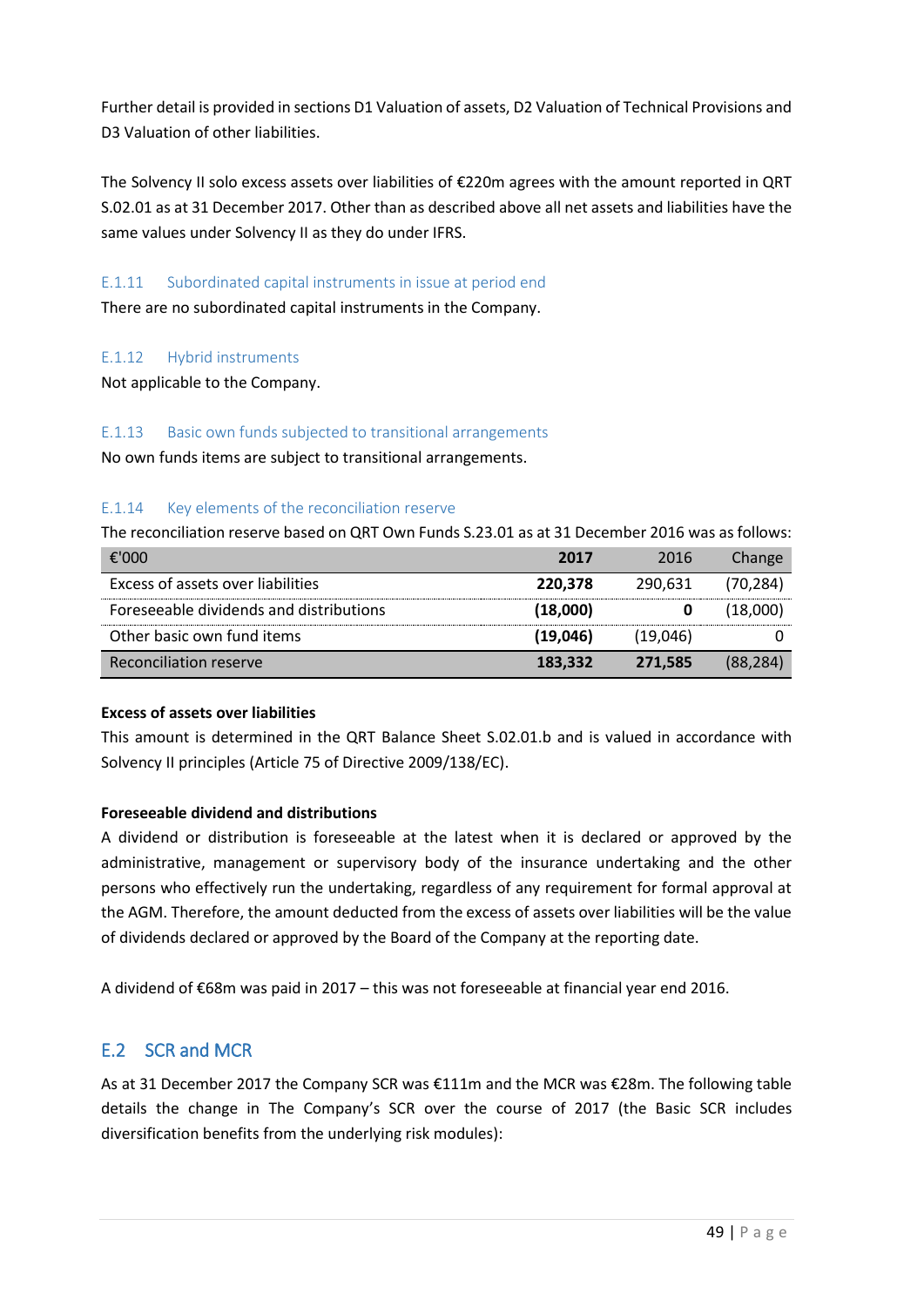Further detail is provided in sections D1 Valuation of assets, D2 Valuation of Technical Provisions and D3 Valuation of other liabilities.

The Solvency II solo excess assets over liabilities of €220m agrees with the amount reported in QRT S.02.01 as at 31 December 2017. Other than as described above all net assets and liabilities have the same values under Solvency II as they do under IFRS.

## E.1.11 Subordinated capital instruments in issue at period end

There are no subordinated capital instruments in the Company.

## E.1.12 Hybrid instruments

Not applicable to the Company.

#### E.1.13 Basic own funds subjected to transitional arrangements

No own funds items are subject to transitional arrangements.

## E.1.14 Key elements of the reconciliation reserve

The reconciliation reserve based on QRT Own Funds S.23.01 as at 31 December 2016 was as follows:

| €'000                                   | 2017     | 2016     | Change   |
|-----------------------------------------|----------|----------|----------|
| Excess of assets over liabilities       | 220,378  | 290.631  | (70,284) |
| Foreseeable dividends and distributions | (18,000) |          | (18,000) |
| Other basic own fund items              | (19,046) | (19,046) |          |
| Reconciliation reserve                  | 183,332  | 271.585  | (88,284) |

## **Excess of assets over liabilities**

This amount is determined in the QRT Balance Sheet S.02.01.b and is valued in accordance with Solvency II principles (Article 75 of Directive 2009/138/EC).

## **Foreseeable dividend and distributions**

A dividend or distribution is foreseeable at the latest when it is declared or approved by the administrative, management or supervisory body of the insurance undertaking and the other persons who effectively run the undertaking, regardless of any requirement for formal approval at the AGM. Therefore, the amount deducted from the excess of assets over liabilities will be the value of dividends declared or approved by the Board of the Company at the reporting date.

A dividend of €68m was paid in 2017 – this was not foreseeable at financial year end 2016.

# <span id="page-48-0"></span>E.2 SCR and MCR

As at 31 December 2017 the Company SCR was €111m and the MCR was €28m. The following table details the change in The Company's SCR over the course of 2017 (the Basic SCR includes diversification benefits from the underlying risk modules):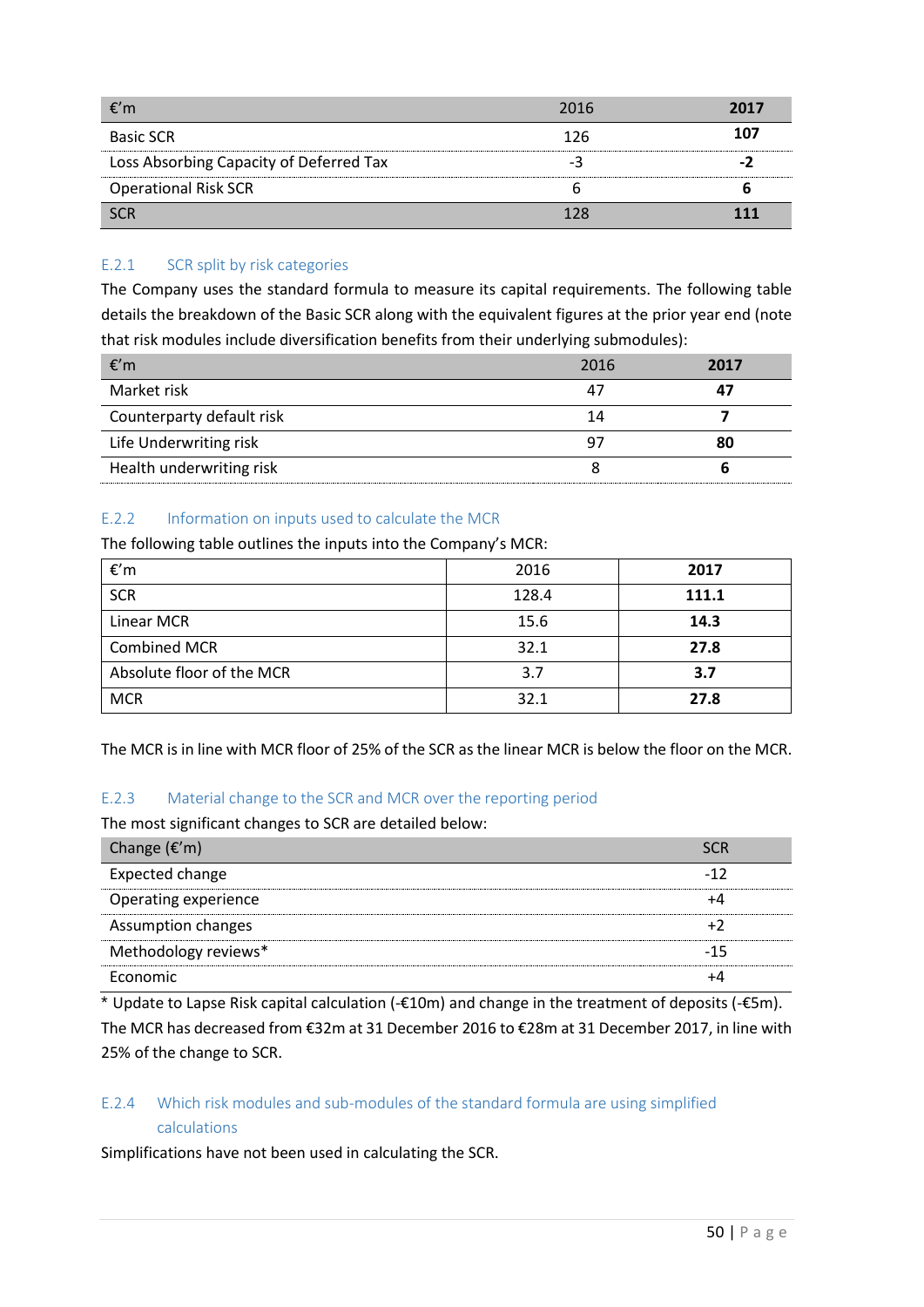| €′m                                     | 2016 | 2017 |
|-----------------------------------------|------|------|
| <b>Basic SCR</b>                        | 126  | 107  |
| Loss Absorbing Capacity of Deferred Tax |      |      |
| <b>Operational Risk SCR</b>             |      |      |
| <b>SCR</b>                              |      |      |

## E.2.1 SCR split by risk categories

The Company uses the standard formula to measure its capital requirements. The following table details the breakdown of the Basic SCR along with the equivalent figures at the prior year end (note that risk modules include diversification benefits from their underlying submodules):

| €′m                       | 2016 | 2017 |
|---------------------------|------|------|
| Market risk               | 47   |      |
| Counterparty default risk | 14   |      |
| Life Underwriting risk    | 9.   | 80   |
| Health underwriting risk  |      |      |

## E.2.2 Information on inputs used to calculate the MCR

The following table outlines the inputs into the Company's MCR:

| €'m                       | 2016  | 2017  |
|---------------------------|-------|-------|
| <b>SCR</b>                | 128.4 | 111.1 |
| Linear MCR                | 15.6  | 14.3  |
| <b>Combined MCR</b>       | 32.1  | 27.8  |
| Absolute floor of the MCR | 3.7   | 3.7   |
| <b>MCR</b>                | 32.1  | 27.8  |

The MCR is in line with MCR floor of 25% of the SCR as the linear MCR is below the floor on the MCR.

## E.2.3 Material change to the SCR and MCR over the reporting period

The most significant changes to SCR are detailed below:

| Change $(\epsilon'm)$ |     |
|-----------------------|-----|
| Expected change       |     |
| Operating experience  |     |
| Assumption changes    |     |
| Methodology reviews*  | -15 |
| Economic              |     |

\* Update to Lapse Risk capital calculation (-€10m) and change in the treatment of deposits (-€5m). The MCR has decreased from €32m at 31 December 2016 to €28m at 31 December 2017, in line with 25% of the change to SCR.

## E.2.4 Which risk modules and sub-modules of the standard formula are using simplified calculations

Simplifications have not been used in calculating the SCR.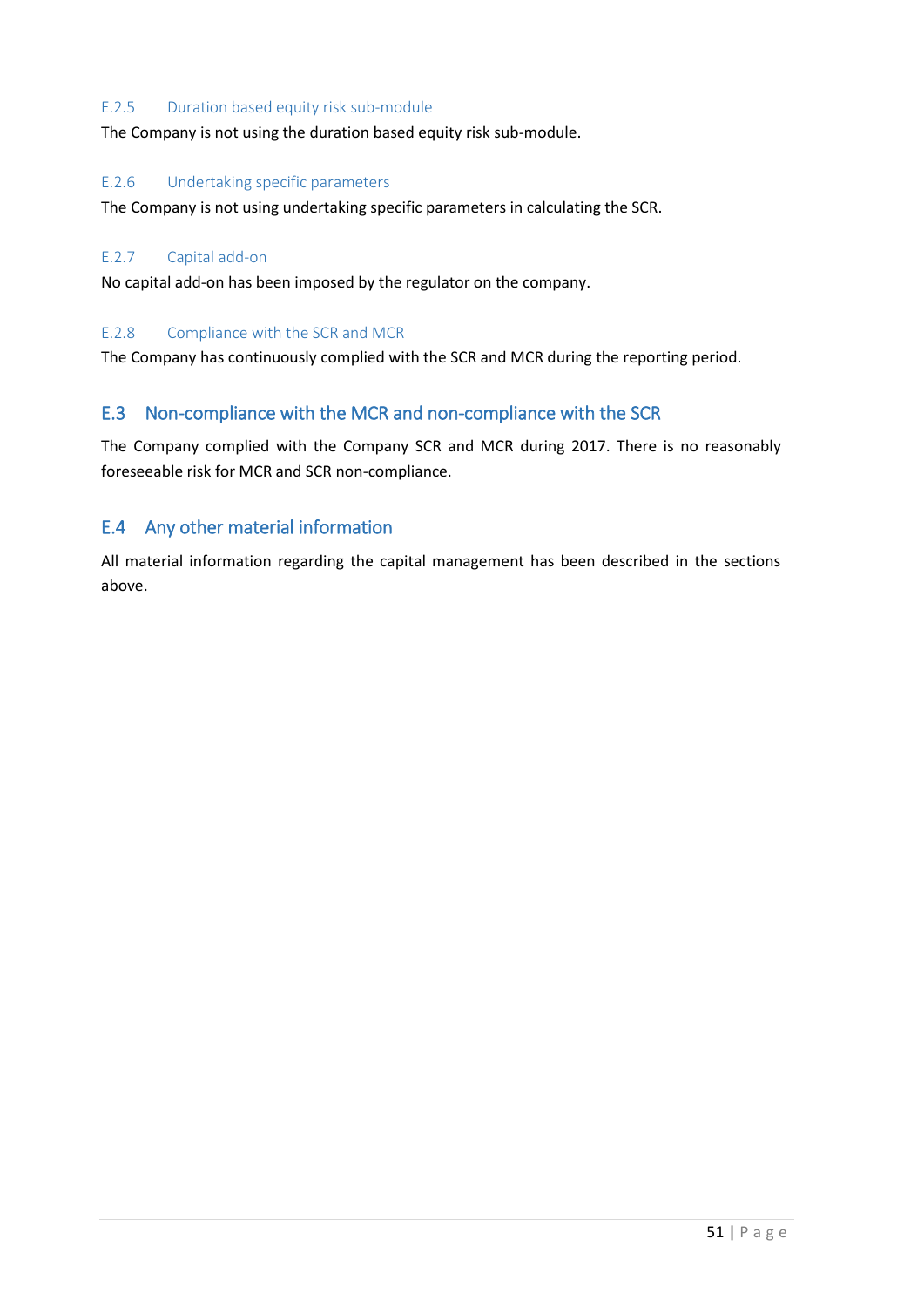#### E.2.5 Duration based equity risk sub-module

The Company is not using the duration based equity risk sub-module.

#### E.2.6 Undertaking specific parameters

The Company is not using undertaking specific parameters in calculating the SCR.

#### E.2.7 Capital add-on

No capital add-on has been imposed by the regulator on the company.

#### E.2.8 Compliance with the SCR and MCR

The Company has continuously complied with the SCR and MCR during the reporting period.

## <span id="page-50-0"></span>E.3 Non-compliance with the MCR and non-compliance with the SCR

The Company complied with the Company SCR and MCR during 2017. There is no reasonably foreseeable risk for MCR and SCR non-compliance.

## <span id="page-50-1"></span>E.4 Any other material information

All material information regarding the capital management has been described in the sections above.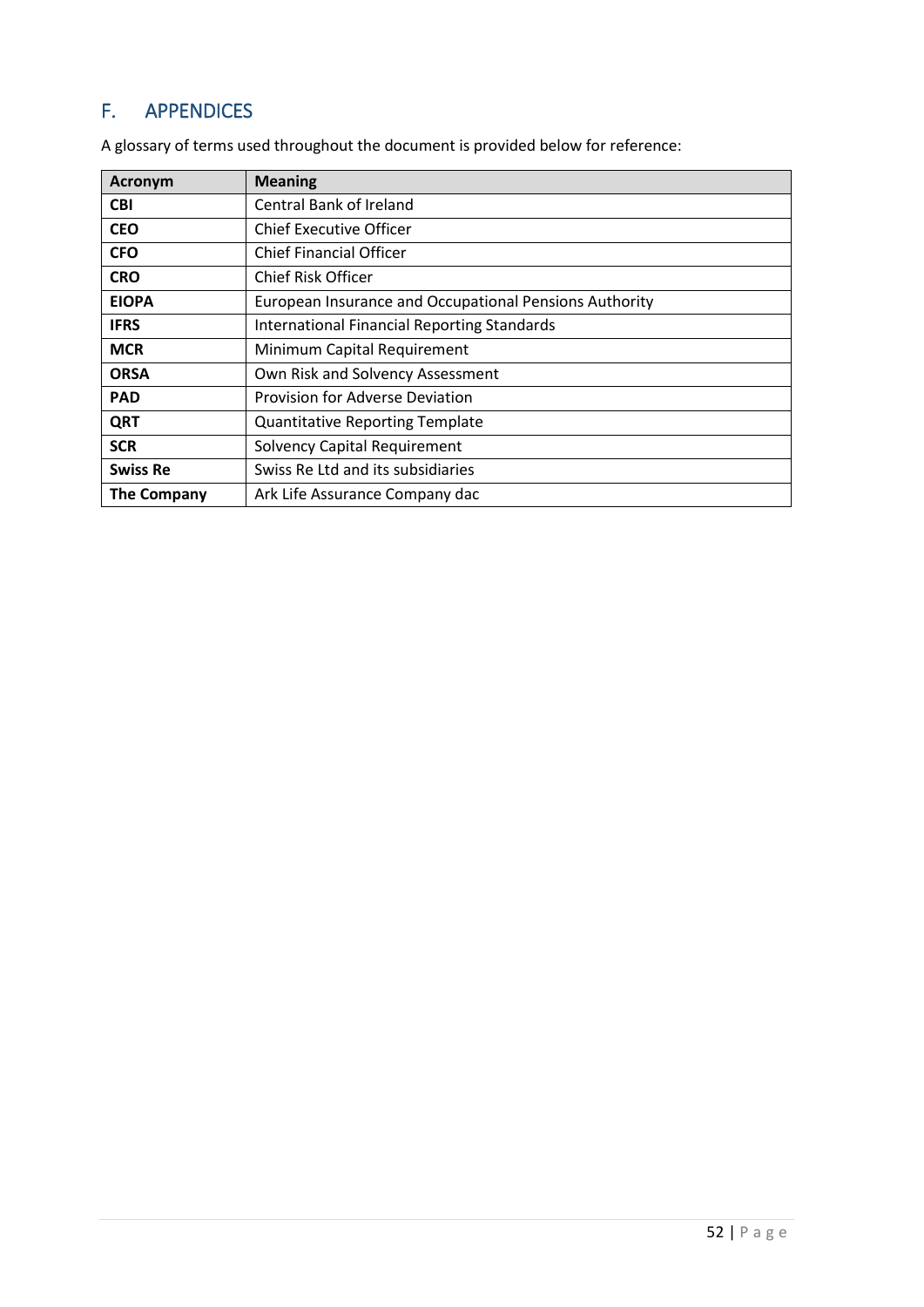# <span id="page-51-0"></span>F. APPENDICES

| Acronym            | <b>Meaning</b>                                         |
|--------------------|--------------------------------------------------------|
| <b>CBI</b>         | Central Bank of Ireland                                |
| <b>CEO</b>         | <b>Chief Executive Officer</b>                         |
| <b>CFO</b>         | <b>Chief Financial Officer</b>                         |
| <b>CRO</b>         | <b>Chief Risk Officer</b>                              |
| <b>EIOPA</b>       | European Insurance and Occupational Pensions Authority |
| <b>IFRS</b>        | International Financial Reporting Standards            |
| <b>MCR</b>         | Minimum Capital Requirement                            |
| <b>ORSA</b>        | Own Risk and Solvency Assessment                       |
| <b>PAD</b>         | Provision for Adverse Deviation                        |
| <b>QRT</b>         | <b>Quantitative Reporting Template</b>                 |
| <b>SCR</b>         | <b>Solvency Capital Requirement</b>                    |
| <b>Swiss Re</b>    | Swiss Re Ltd and its subsidiaries                      |
| <b>The Company</b> | Ark Life Assurance Company dac                         |

A glossary of terms used throughout the document is provided below for reference: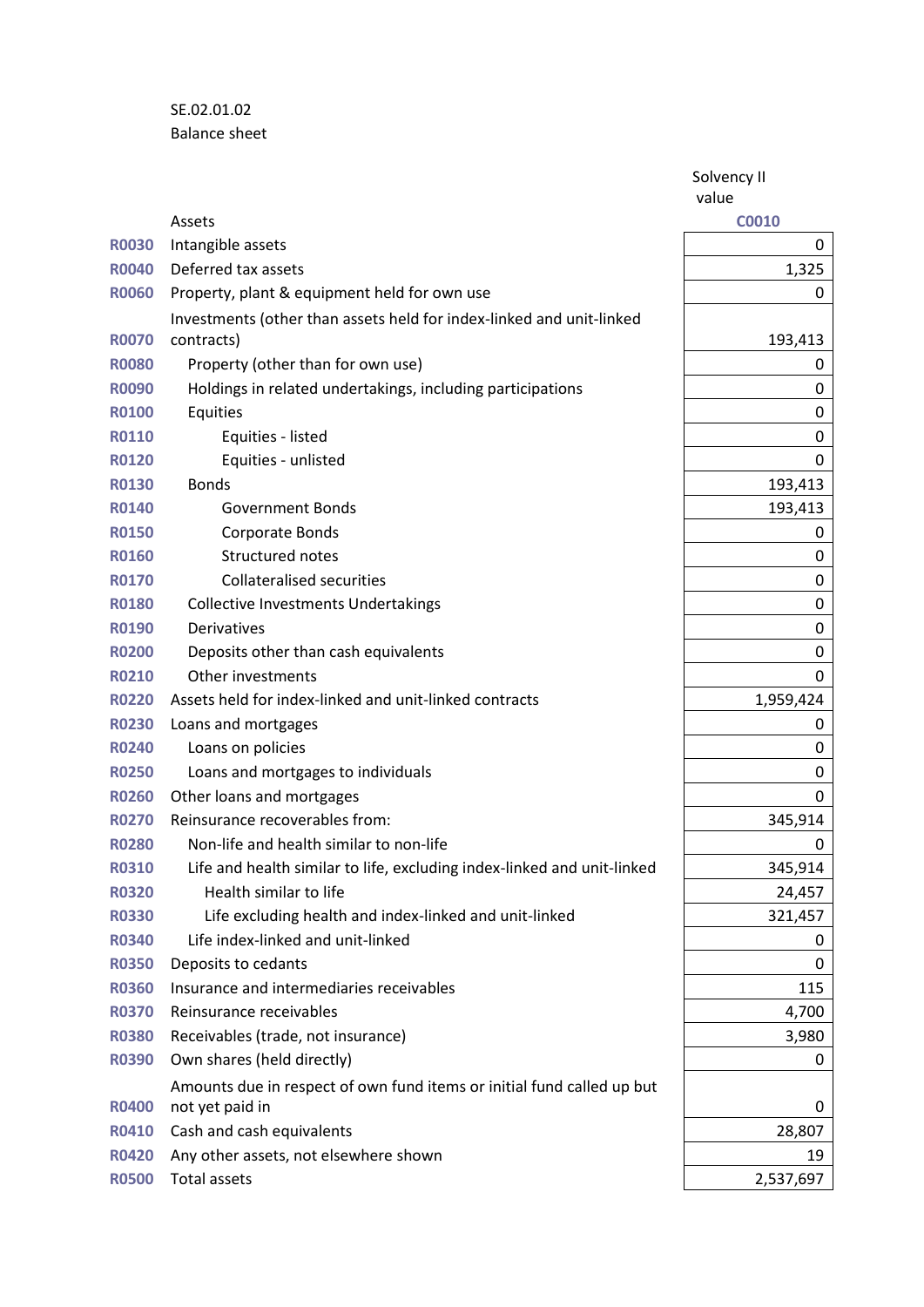SE.02.01.02 Balance sheet

> Solvency II value

|              | Assets                                                                  | <b>C0010</b> |
|--------------|-------------------------------------------------------------------------|--------------|
| <b>R0030</b> | Intangible assets                                                       | 0            |
| <b>R0040</b> | Deferred tax assets                                                     | 1,325        |
| <b>R0060</b> | Property, plant & equipment held for own use                            | 0            |
|              | Investments (other than assets held for index-linked and unit-linked    |              |
| <b>R0070</b> | contracts)                                                              | 193,413      |
| <b>R0080</b> | Property (other than for own use)                                       | 0            |
| <b>R0090</b> | Holdings in related undertakings, including participations              | 0            |
| <b>R0100</b> | Equities                                                                | 0            |
| <b>R0110</b> | Equities - listed                                                       | 0            |
| <b>R0120</b> | Equities - unlisted                                                     | 0            |
| <b>R0130</b> | <b>Bonds</b>                                                            | 193,413      |
| <b>R0140</b> | <b>Government Bonds</b>                                                 | 193,413      |
| <b>R0150</b> | Corporate Bonds                                                         | 0            |
| <b>R0160</b> | Structured notes                                                        | 0            |
| <b>R0170</b> | <b>Collateralised securities</b>                                        | 0            |
| <b>R0180</b> | <b>Collective Investments Undertakings</b>                              | 0            |
| <b>R0190</b> | <b>Derivatives</b>                                                      | 0            |
| <b>R0200</b> | Deposits other than cash equivalents                                    | 0            |
| <b>R0210</b> | Other investments                                                       | 0            |
| <b>R0220</b> | Assets held for index-linked and unit-linked contracts                  | 1,959,424    |
| <b>R0230</b> | Loans and mortgages                                                     | 0            |
| <b>R0240</b> | Loans on policies                                                       | 0            |
| <b>R0250</b> | Loans and mortgages to individuals                                      | 0            |
| <b>R0260</b> | Other loans and mortgages                                               | 0            |
| <b>R0270</b> | Reinsurance recoverables from:                                          | 345,914      |
| <b>R0280</b> | Non-life and health similar to non-life                                 | 0            |
| <b>R0310</b> | Life and health similar to life, excluding index-linked and unit-linked | 345,914      |
| <b>R0320</b> | Health similar to life                                                  | 24,457       |
| <b>R0330</b> | Life excluding health and index-linked and unit-linked                  | 321,457      |
| <b>R0340</b> | Life index-linked and unit-linked                                       | 0            |
| <b>R0350</b> | Deposits to cedants                                                     | 0            |
| <b>R0360</b> | Insurance and intermediaries receivables                                | 115          |
| <b>R0370</b> | Reinsurance receivables                                                 | 4,700        |
| <b>R0380</b> | Receivables (trade, not insurance)                                      | 3,980        |
| <b>R0390</b> | Own shares (held directly)                                              | 0            |
|              | Amounts due in respect of own fund items or initial fund called up but  |              |
| <b>R0400</b> | not yet paid in                                                         | 0            |
| <b>R0410</b> | Cash and cash equivalents                                               | 28,807       |
| <b>R0420</b> | Any other assets, not elsewhere shown                                   | 19           |
| <b>R0500</b> | Total assets                                                            | 2,537,697    |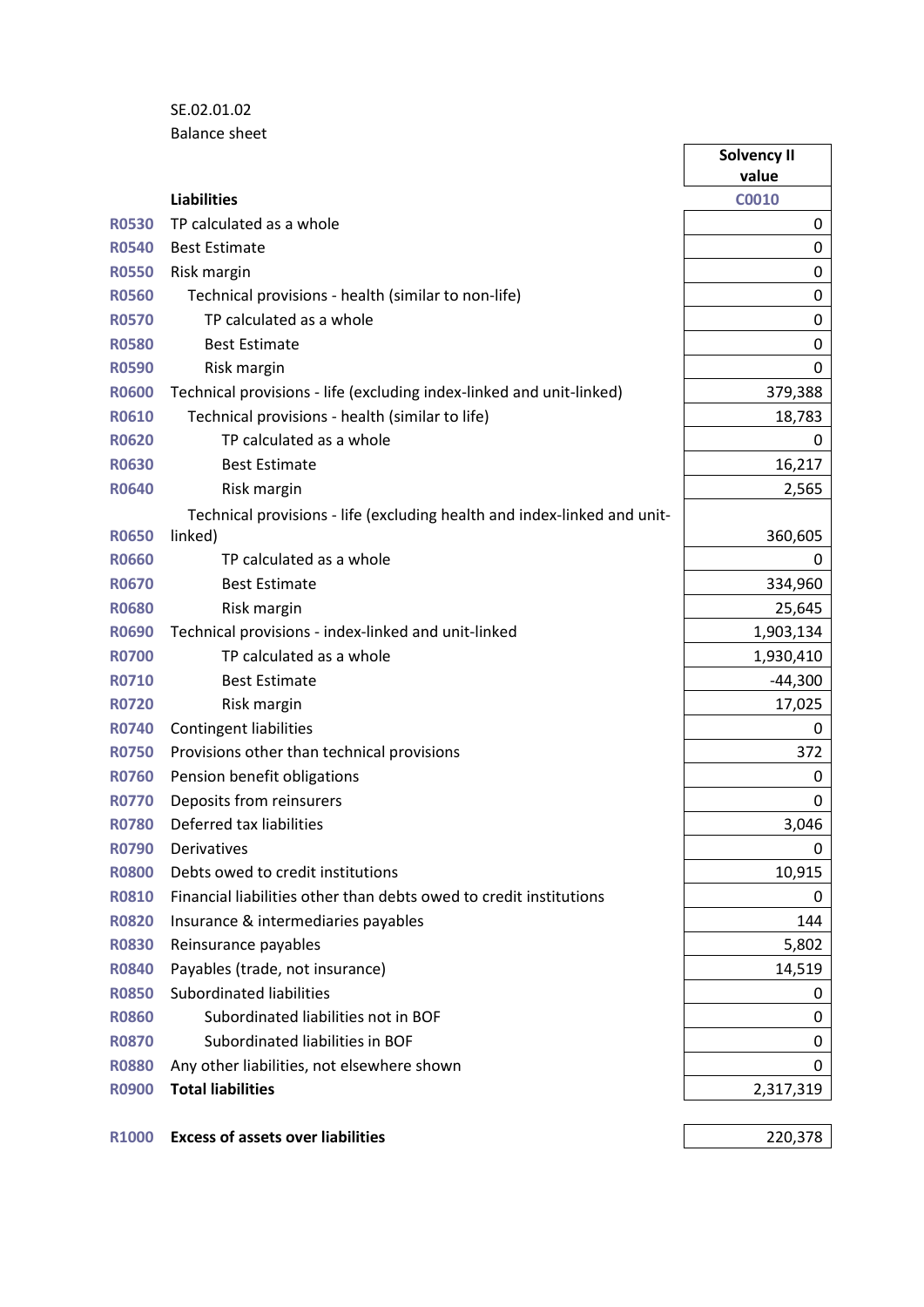## SE.02.01.02 Balance sheet

|              |                                                                          | Solvency II<br>value |
|--------------|--------------------------------------------------------------------------|----------------------|
|              | <b>Liabilities</b>                                                       | <b>C0010</b>         |
| <b>R0530</b> | TP calculated as a whole                                                 | 0                    |
| <b>R0540</b> | <b>Best Estimate</b>                                                     | 0                    |
| <b>R0550</b> | Risk margin                                                              | 0                    |
| <b>R0560</b> | Technical provisions - health (similar to non-life)                      | 0                    |
| <b>R0570</b> | TP calculated as a whole                                                 | $\boldsymbol{0}$     |
| <b>R0580</b> | <b>Best Estimate</b>                                                     | 0                    |
| <b>R0590</b> | Risk margin                                                              | 0                    |
| <b>R0600</b> | Technical provisions - life (excluding index-linked and unit-linked)     | 379,388              |
| <b>R0610</b> | Technical provisions - health (similar to life)                          | 18,783               |
| <b>R0620</b> | TP calculated as a whole                                                 | 0                    |
| <b>R0630</b> | <b>Best Estimate</b>                                                     | 16,217               |
| <b>R0640</b> | Risk margin                                                              | 2,565                |
|              | Technical provisions - life (excluding health and index-linked and unit- |                      |
| <b>R0650</b> | linked)                                                                  | 360,605              |
| <b>R0660</b> | TP calculated as a whole                                                 | 0                    |
| <b>R0670</b> | <b>Best Estimate</b>                                                     | 334,960              |
| <b>R0680</b> | Risk margin                                                              | 25,645               |
| <b>R0690</b> | Technical provisions - index-linked and unit-linked                      | 1,903,134            |
| <b>R0700</b> | TP calculated as a whole                                                 | 1,930,410            |
| <b>R0710</b> | <b>Best Estimate</b>                                                     | $-44,300$            |
| <b>R0720</b> | Risk margin                                                              | 17,025               |
| <b>R0740</b> | <b>Contingent liabilities</b>                                            | 0                    |
| <b>R0750</b> | Provisions other than technical provisions                               | 372                  |
| <b>R0760</b> | Pension benefit obligations                                              | 0                    |
| <b>R0770</b> | Deposits from reinsurers                                                 | 0                    |
| <b>R0780</b> | Deferred tax liabilities                                                 | 3,046                |
| <b>R0790</b> | Derivatives                                                              | 0                    |
| <b>R0800</b> | Debts owed to credit institutions                                        | 10,915               |
| <b>R0810</b> | Financial liabilities other than debts owed to credit institutions       | 0                    |
| <b>R0820</b> | Insurance & intermediaries payables                                      | 144                  |
| <b>R0830</b> | Reinsurance payables                                                     | 5,802                |
| <b>R0840</b> | Payables (trade, not insurance)                                          | 14,519               |
| <b>R0850</b> | Subordinated liabilities                                                 | 0                    |
| <b>R0860</b> | Subordinated liabilities not in BOF                                      | 0                    |
| <b>R0870</b> | Subordinated liabilities in BOF                                          | 0                    |
| <b>R0880</b> | Any other liabilities, not elsewhere shown                               | 0                    |
| <b>R0900</b> | <b>Total liabilities</b>                                                 | 2,317,319            |
|              |                                                                          |                      |
| <b>R1000</b> | <b>Excess of assets over liabilities</b>                                 | 220,378              |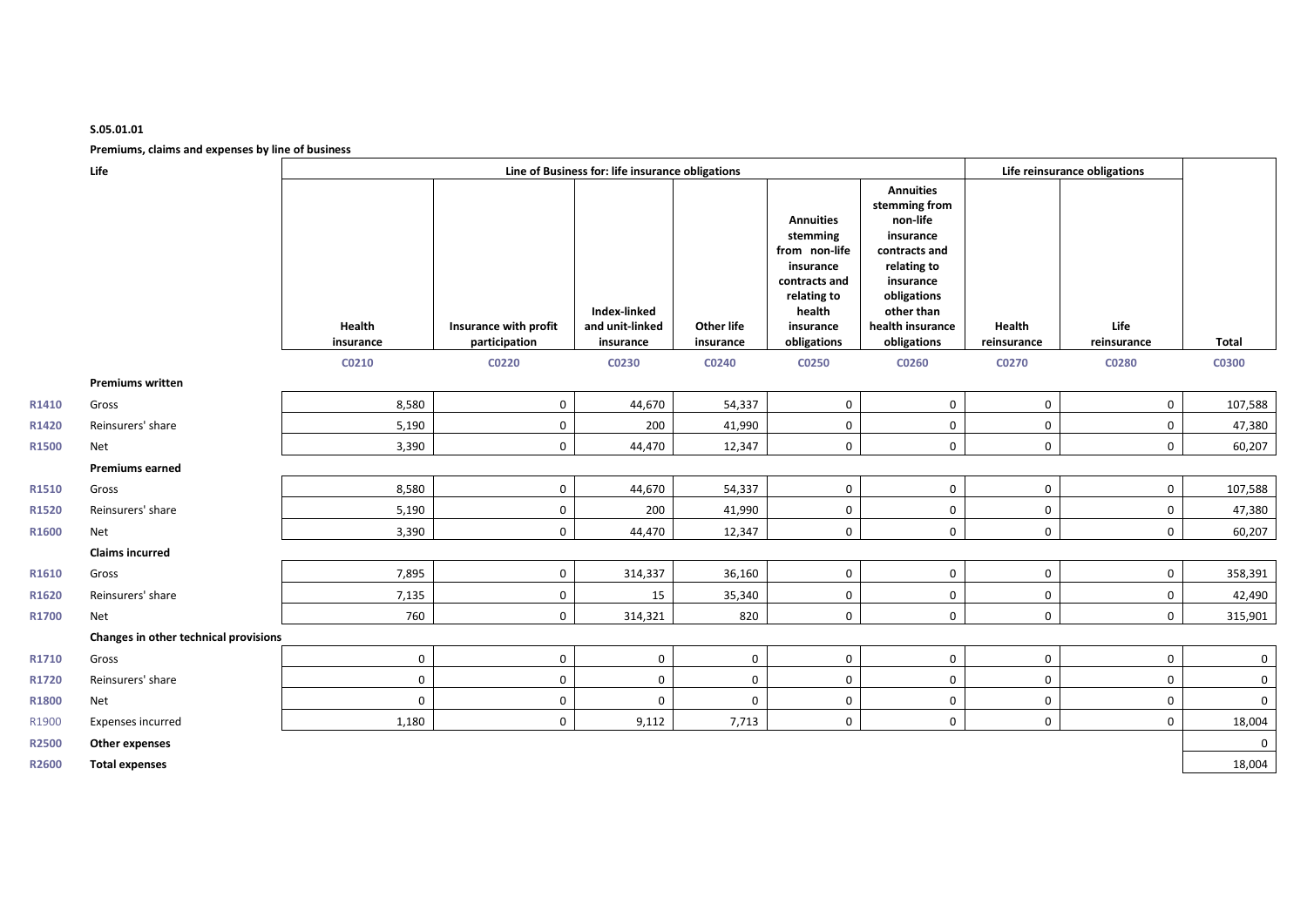#### **S.05.01.01**

#### **Premiums, claims and expenses by line of business**

|                   | Premiums, claims and expenses by line of business |                                                  |                       |                                 |             |                                                                                                                   |                                                                                                                                                          |             |                              |              |
|-------------------|---------------------------------------------------|--------------------------------------------------|-----------------------|---------------------------------|-------------|-------------------------------------------------------------------------------------------------------------------|----------------------------------------------------------------------------------------------------------------------------------------------------------|-------------|------------------------------|--------------|
|                   | Life                                              | Line of Business for: life insurance obligations |                       |                                 |             |                                                                                                                   |                                                                                                                                                          |             | Life reinsurance obligations |              |
|                   |                                                   | Health                                           | Insurance with profit | Index-linked<br>and unit-linked | Other life  | <b>Annuities</b><br>stemming<br>from non-life<br>insurance<br>contracts and<br>relating to<br>health<br>insurance | <b>Annuities</b><br>stemming from<br>non-life<br>insurance<br>contracts and<br>relating to<br>insurance<br>obligations<br>other than<br>health insurance | Health      | Life                         |              |
|                   |                                                   | insurance                                        | participation         | insurance                       | insurance   | obligations                                                                                                       | obligations                                                                                                                                              | reinsurance | reinsurance                  | <b>Total</b> |
|                   |                                                   | C0210                                            | C0220                 | C0230                           | C0240       | <b>CO250</b>                                                                                                      | C0260                                                                                                                                                    | C0270       | <b>C0280</b>                 | <b>C0300</b> |
|                   | <b>Premiums written</b>                           | 8,580                                            |                       |                                 | 54,337      |                                                                                                                   | $\mathbf 0$                                                                                                                                              |             | $\mathbf 0$                  |              |
| R1410             | Gross                                             |                                                  | 0                     | 44,670                          |             | $\mathbf 0$                                                                                                       |                                                                                                                                                          | $\mathbf 0$ |                              | 107,588      |
| R1420             | Reinsurers' share                                 | 5,190                                            | 0                     | 200                             | 41,990      | $\mathbf 0$                                                                                                       | 0                                                                                                                                                        | $\mathbf 0$ | 0                            | 47,380       |
| R1500             | Net                                               | 3,390                                            | 0                     | 44,470                          | 12,347      | $\mathbf 0$                                                                                                       | 0                                                                                                                                                        | $\mathbf 0$ | $\mathbf 0$                  | 60,207       |
|                   | <b>Premiums earned</b>                            |                                                  |                       |                                 |             |                                                                                                                   |                                                                                                                                                          |             |                              |              |
| R1510             | Gross                                             | 8,580                                            | 0                     | 44,670                          | 54,337      | $\mathbf{0}$                                                                                                      | 0                                                                                                                                                        | $\mathbf 0$ | $\mathbf 0$                  | 107,588      |
| R1520             | Reinsurers' share                                 | 5,190                                            | 0                     | 200                             | 41,990      | 0                                                                                                                 | 0                                                                                                                                                        | 0           | 0                            | 47,380       |
| R1600             | Net                                               | 3,390                                            | 0                     | 44,470                          | 12,347      | $\mathbf 0$                                                                                                       | 0                                                                                                                                                        | $\mathbf 0$ | $\mathbf 0$                  | 60,207       |
|                   | <b>Claims incurred</b>                            |                                                  |                       |                                 |             |                                                                                                                   |                                                                                                                                                          |             |                              |              |
| R1610             | Gross                                             | 7,895                                            | 0                     | 314,337                         | 36,160      | $\mathbf 0$                                                                                                       | 0                                                                                                                                                        | $\mathbf 0$ | $\mathbf 0$                  | 358,391      |
| R <sub>1620</sub> | Reinsurers' share                                 | 7,135                                            | $\mathbf 0$           | 15                              | 35,340      | $\mathbf 0$                                                                                                       | 0                                                                                                                                                        | $\mathbf 0$ | 0                            | 42,490       |
| R1700             | Net                                               | 760                                              | $\mathbf 0$           | 314,321                         | 820         | $\mathbf{0}$                                                                                                      | $\mathbf 0$                                                                                                                                              | $\mathbf 0$ | $\mathbf 0$                  | 315,901      |
|                   | Changes in other technical provisions             |                                                  |                       |                                 |             |                                                                                                                   |                                                                                                                                                          |             |                              |              |
| R1710             | Gross                                             | $\mathbf 0$                                      | 0                     | $\mathbf 0$                     | $\mathbf 0$ | $\mathbf 0$                                                                                                       | 0                                                                                                                                                        | $\mathbf 0$ | $\mathbf 0$                  | $\mathbf 0$  |
| R1720             | Reinsurers' share                                 | $\mathbf 0$                                      | 0                     | $\mathbf 0$                     | $\mathbf 0$ | $\mathbf 0$                                                                                                       | 0                                                                                                                                                        | $\mathbf 0$ | 0                            | $\mathbf 0$  |
| R1800             | Net                                               | $\mathbf 0$                                      | 0                     | $\mathbf 0$                     | $\mathbf 0$ | $\mathbf 0$                                                                                                       | 0                                                                                                                                                        | $\mathbf 0$ | 0                            | $\mathbf 0$  |
| R1900             | <b>Expenses incurred</b>                          | 1,180                                            | 0                     | 9,112                           | 7,713       | $\mathbf 0$                                                                                                       | 0                                                                                                                                                        | $\mathbf 0$ | $\mathbf 0$                  | 18,004       |
| R2500             | Other expenses                                    |                                                  |                       |                                 |             |                                                                                                                   |                                                                                                                                                          |             |                              | $\mathbf 0$  |
| R2600             | <b>Total expenses</b>                             |                                                  |                       |                                 |             |                                                                                                                   |                                                                                                                                                          |             |                              | 18,004       |
|                   |                                                   |                                                  |                       |                                 |             |                                                                                                                   |                                                                                                                                                          |             |                              |              |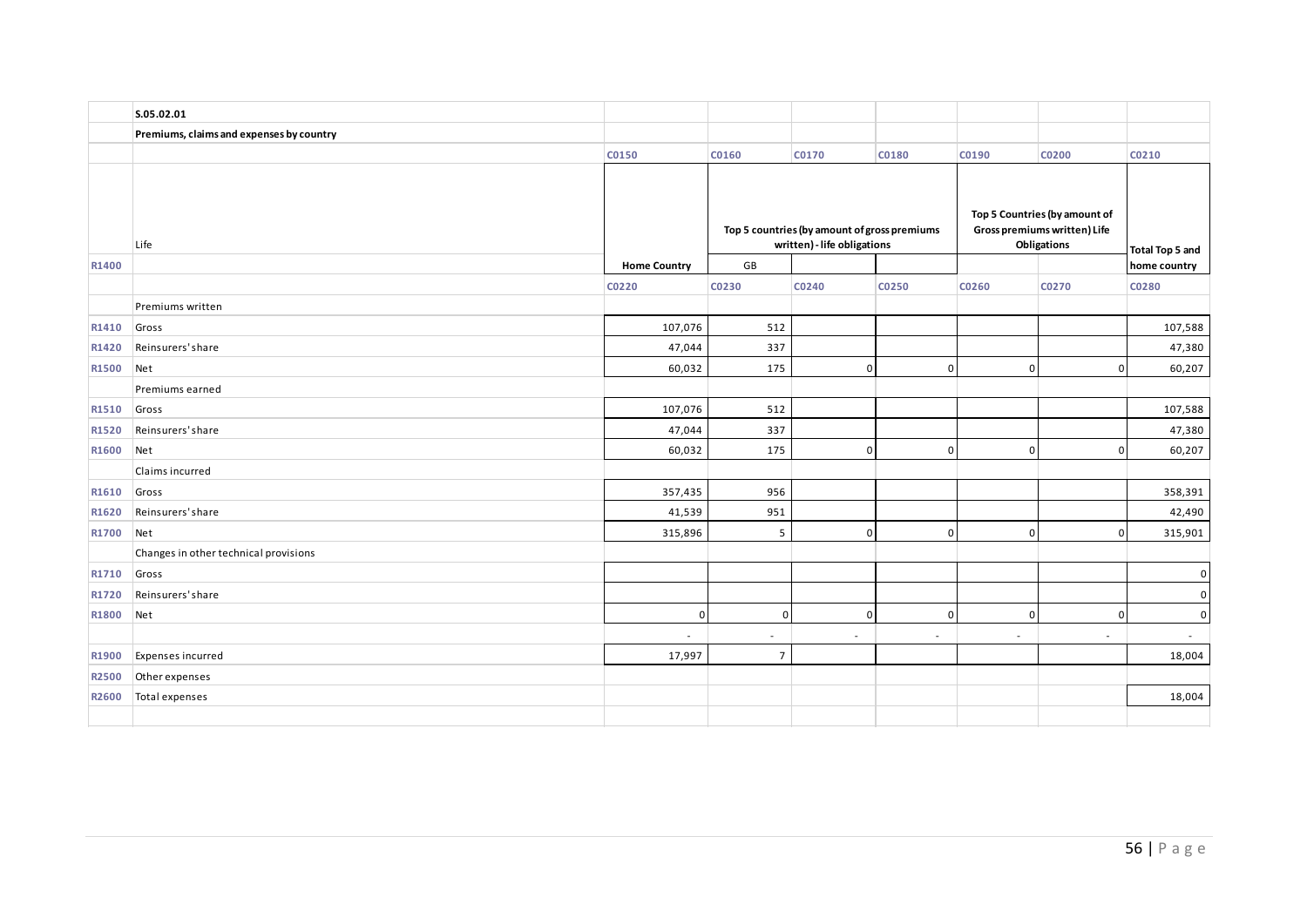|       | S.05.02.01                               |                     |                 |                                                                             |                |                                                                              |                                 |              |
|-------|------------------------------------------|---------------------|-----------------|-----------------------------------------------------------------------------|----------------|------------------------------------------------------------------------------|---------------------------------|--------------|
|       | Premiums, claims and expenses by country |                     |                 |                                                                             |                |                                                                              |                                 |              |
|       |                                          | C0150               | C0160           | C0170                                                                       | C0180          | C0190                                                                        | C0200                           | C0210        |
| R1400 | Life                                     | <b>Home Country</b> | GB              | Top 5 countries (by amount of gross premiums<br>written) - life obligations |                | Top 5 Countries (by amount of<br>Gross premiums written) Life<br>Obligations | Total Top 5 and<br>home country |              |
|       |                                          | C0220               | C0230           | C0240                                                                       | C0250          | C0260                                                                        | C0270                           | C0280        |
|       | Premiums written                         |                     |                 |                                                                             |                |                                                                              |                                 |              |
| R1410 | Gross                                    | 107,076             | 512             |                                                                             |                |                                                                              |                                 | 107,588      |
| R1420 | Reinsurers' share                        | 47,044              | 337             |                                                                             |                |                                                                              |                                 | 47,380       |
| R1500 | Net                                      | 60,032              | 175             | $\overline{0}$                                                              | $\overline{0}$ | $\overline{0}$                                                               | $\mathbf 0$                     | 60,207       |
|       | Premiums earned                          |                     |                 |                                                                             |                |                                                                              |                                 |              |
| R1510 | Gross                                    | 107,076             | 512             |                                                                             |                |                                                                              |                                 | 107,588      |
| R1520 | Reinsurers' share                        | 47,044              | 337             |                                                                             |                |                                                                              |                                 | 47,380       |
| R1600 | Net                                      | 60,032              | 175             | $\overline{0}$                                                              | $\overline{0}$ | $\mathbf{0}$                                                                 | $\Omega$                        | 60,207       |
|       | Claims incurred                          |                     |                 |                                                                             |                |                                                                              |                                 |              |
| R1610 | Gross                                    | 357,435             | 956             |                                                                             |                |                                                                              |                                 | 358,391      |
| R1620 | Reinsurers' share                        | 41,539              | 951             |                                                                             |                |                                                                              |                                 | 42,490       |
| R1700 | Net                                      | 315,896             | $5\phantom{.0}$ | $\overline{0}$                                                              | $\Omega$       | $\Omega$                                                                     | $\Omega$                        | 315,901      |
|       | Changes in other technical provisions    |                     |                 |                                                                             |                |                                                                              |                                 |              |
| R1710 | Gross                                    |                     |                 |                                                                             |                |                                                                              |                                 | $\mathbf{0}$ |
| R1720 | Reinsurers' share                        |                     |                 |                                                                             |                |                                                                              |                                 | $\mathbf 0$  |
| R1800 | Net                                      | $\Omega$            | $\mathsf 0$     | $\overline{0}$                                                              | $\Omega$       | $\Omega$                                                                     | $\Omega$                        | $\mathbf 0$  |
|       |                                          |                     | $\sim$          | $\overline{\phantom{a}}$                                                    | $\sim$         | $\overline{\phantom{a}}$                                                     | $\overline{\phantom{a}}$        | $\sim$       |
| R1900 | Expenses incurred                        | 17,997              | $\overline{7}$  |                                                                             |                |                                                                              |                                 | 18,004       |
| R2500 | Other expenses                           |                     |                 |                                                                             |                |                                                                              |                                 |              |
| R2600 | Total expenses                           |                     |                 |                                                                             |                |                                                                              |                                 | 18,004       |
|       |                                          |                     |                 |                                                                             |                |                                                                              |                                 |              |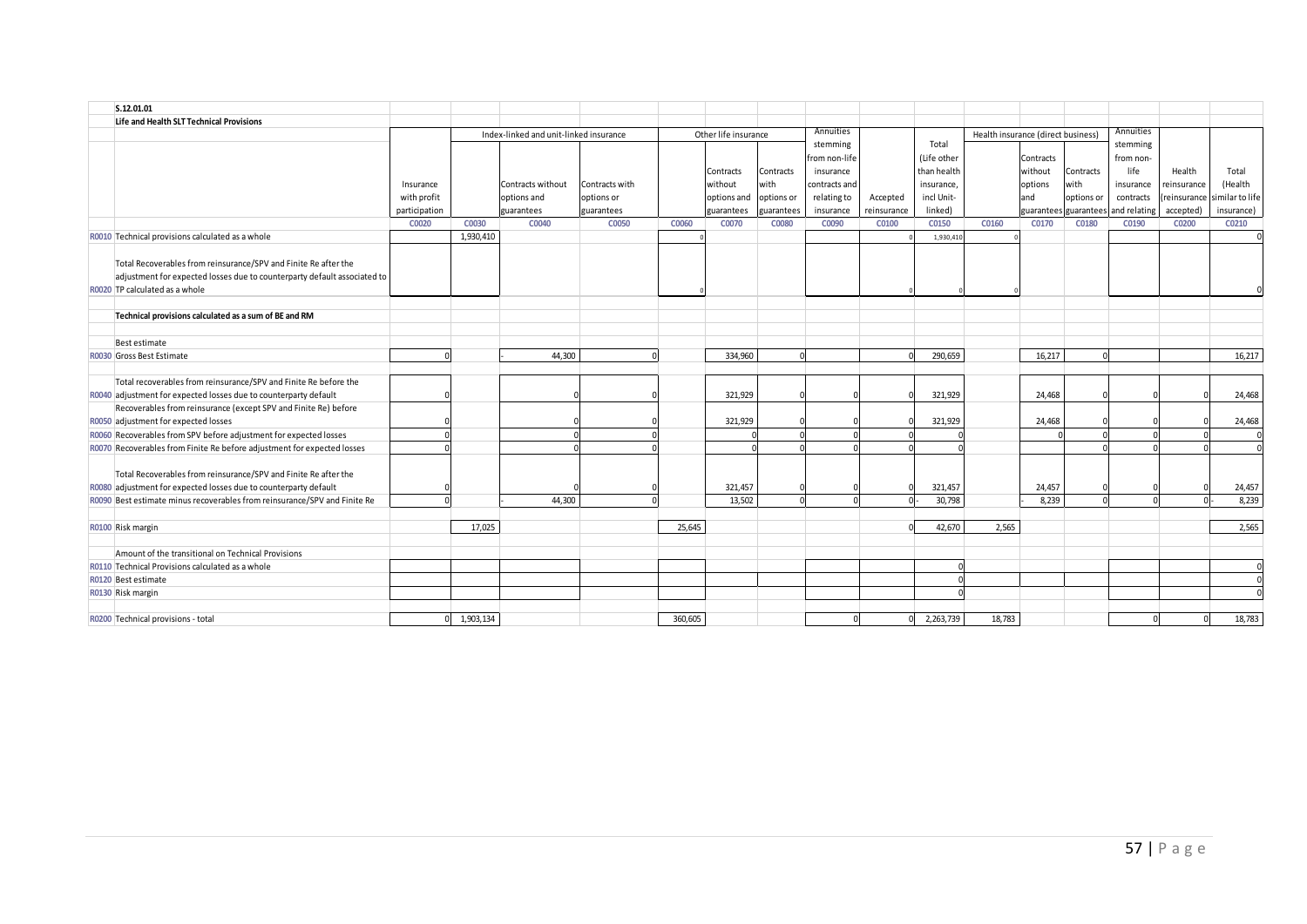| S.12.01.01          |                                                                           |               |           |                                        |                |         |                      |            |               |             |             |                                    |           |                       |              |             |                 |
|---------------------|---------------------------------------------------------------------------|---------------|-----------|----------------------------------------|----------------|---------|----------------------|------------|---------------|-------------|-------------|------------------------------------|-----------|-----------------------|--------------|-------------|-----------------|
|                     | Life and Health SLT Technical Provisions                                  |               |           |                                        |                |         |                      |            |               |             |             |                                    |           |                       |              |             |                 |
|                     |                                                                           |               |           | Index-linked and unit-linked insurance |                |         | Other life insurance |            | Annuities     |             |             | Health insurance (direct business) |           |                       | Annuities    |             |                 |
|                     |                                                                           |               |           |                                        |                |         |                      |            | stemming      |             | Total       |                                    |           |                       | stemming     |             |                 |
|                     |                                                                           |               |           |                                        |                |         |                      |            | from non-life |             | (Life other |                                    | Contracts |                       | from non-    |             |                 |
|                     |                                                                           |               |           |                                        |                |         | Contracts            | Contracts  | insurance     |             | than health |                                    | without   | Contracts             | life         | Health      | Total           |
|                     |                                                                           | Insurance     |           | Contracts without                      | Contracts with |         | without              | with       | contracts and |             | insurance,  |                                    | options   | with                  | insurance    | reinsurance | (Health         |
|                     |                                                                           | with profit   |           | options and                            | options or     |         | options and          | options or | relating to   | Accepted    | incl Unit-  |                                    | and       | options or            | contracts    | reinsurance | similar to life |
|                     |                                                                           | participation |           | guarantees                             | guarantees     |         | <b>zuarantees</b>    | guarantees | insurance     | reinsurance | linked)     |                                    |           | quarantees guarantees | and relating | accepted)   | insurance)      |
|                     |                                                                           | C0020         | C0030     | C0040                                  | C0050          | C0060   | C0070                | C0080      | C0090         | C0100       | C0150       | C0160                              | C0170     | C0180                 | C0190        | C0200       | C0210           |
|                     | R0010 Technical provisions calculated as a whole                          |               | 1,930,410 |                                        |                |         |                      |            |               |             | 1,930,41    |                                    |           |                       |              |             |                 |
|                     |                                                                           |               |           |                                        |                |         |                      |            |               |             |             |                                    |           |                       |              |             |                 |
|                     | Total Recoverables from reinsurance/SPV and Finite Re after the           |               |           |                                        |                |         |                      |            |               |             |             |                                    |           |                       |              |             |                 |
|                     | adjustment for expected losses due to counterparty default associated to  |               |           |                                        |                |         |                      |            |               |             |             |                                    |           |                       |              |             |                 |
|                     | R0020 TP calculated as a whole                                            |               |           |                                        |                |         |                      |            |               |             |             |                                    |           |                       |              |             |                 |
|                     |                                                                           |               |           |                                        |                |         |                      |            |               |             |             |                                    |           |                       |              |             |                 |
|                     | Technical provisions calculated as a sum of BE and RM                     |               |           |                                        |                |         |                      |            |               |             |             |                                    |           |                       |              |             |                 |
|                     |                                                                           |               |           |                                        |                |         |                      |            |               |             |             |                                    |           |                       |              |             |                 |
|                     | Best estimate                                                             |               |           |                                        |                |         |                      |            |               |             |             |                                    |           |                       |              |             |                 |
|                     | R0030 Gross Best Estimate                                                 |               |           | 44.300                                 |                |         | 334.960              |            |               |             | 290,659     |                                    | 16.217    |                       |              |             | 16,217          |
|                     |                                                                           |               |           |                                        |                |         |                      |            |               |             |             |                                    |           |                       |              |             |                 |
|                     | Total recoverables from reinsurance/SPV and Finite Re before the          |               |           |                                        |                |         |                      |            |               |             |             |                                    |           |                       |              |             |                 |
|                     | R0040 adjustment for expected losses due to counterparty default          |               |           |                                        |                |         | 321,929              |            |               |             | 321,929     |                                    | 24.468    |                       |              |             | 24,468          |
|                     | Recoverables from reinsurance (except SPV and Finite Re) before           |               |           |                                        |                |         |                      |            |               |             |             |                                    |           |                       |              |             |                 |
|                     | R0050 adjustment for expected losses                                      |               |           |                                        |                |         | 321,929              |            |               |             | 321,929     |                                    | 24,468    |                       |              |             | 24,468          |
|                     | R0060 Recoverables from SPV before adjustment for expected losses         |               |           |                                        |                |         |                      |            |               |             |             |                                    |           |                       |              |             |                 |
|                     | R0070 Recoverables from Finite Re before adjustment for expected losses   |               |           |                                        |                |         |                      |            |               |             |             |                                    |           |                       |              |             |                 |
|                     |                                                                           |               |           |                                        |                |         |                      |            |               |             |             |                                    |           |                       |              |             |                 |
|                     | Total Recoverables from reinsurance/SPV and Finite Re after the           |               |           |                                        |                |         |                      |            |               |             |             |                                    |           |                       |              |             |                 |
|                     | R0080 adjustment for expected losses due to counterparty default          |               |           |                                        |                |         | 321,457              |            |               |             | 321,457     |                                    | 24,457    |                       |              |             | 24,457          |
|                     | R0090 Best estimate minus recoverables from reinsurance/SPV and Finite Re |               |           | 44,300                                 |                |         | 13.502               |            |               |             | 30,798      |                                    | 8.239     |                       |              |             | 8,239           |
|                     |                                                                           |               |           |                                        |                |         |                      |            |               |             |             |                                    |           |                       |              |             |                 |
| R0100 Risk margin   |                                                                           |               | 17,025    |                                        |                | 25,645  |                      |            |               |             | 42,670      | 2,565                              |           |                       |              |             | 2,565           |
|                     |                                                                           |               |           |                                        |                |         |                      |            |               |             |             |                                    |           |                       |              |             |                 |
|                     | Amount of the transitional on Technical Provisions                        |               |           |                                        |                |         |                      |            |               |             |             |                                    |           |                       |              |             |                 |
|                     | R0110 Technical Provisions calculated as a whole                          |               |           |                                        |                |         |                      |            |               |             |             |                                    |           |                       |              |             |                 |
| R0120 Best estimate |                                                                           |               |           |                                        |                |         |                      |            |               |             |             |                                    |           |                       |              |             |                 |
| R0130 Risk margin   |                                                                           |               |           |                                        |                |         |                      |            |               |             |             |                                    |           |                       |              |             |                 |
|                     |                                                                           |               |           |                                        |                |         |                      |            |               |             |             |                                    |           |                       |              |             |                 |
|                     | R0200 Technical provisions - total                                        |               | 1,903,134 |                                        |                | 360,605 |                      |            |               |             | 2,263,739   | 18,783                             |           |                       |              |             | 18,783          |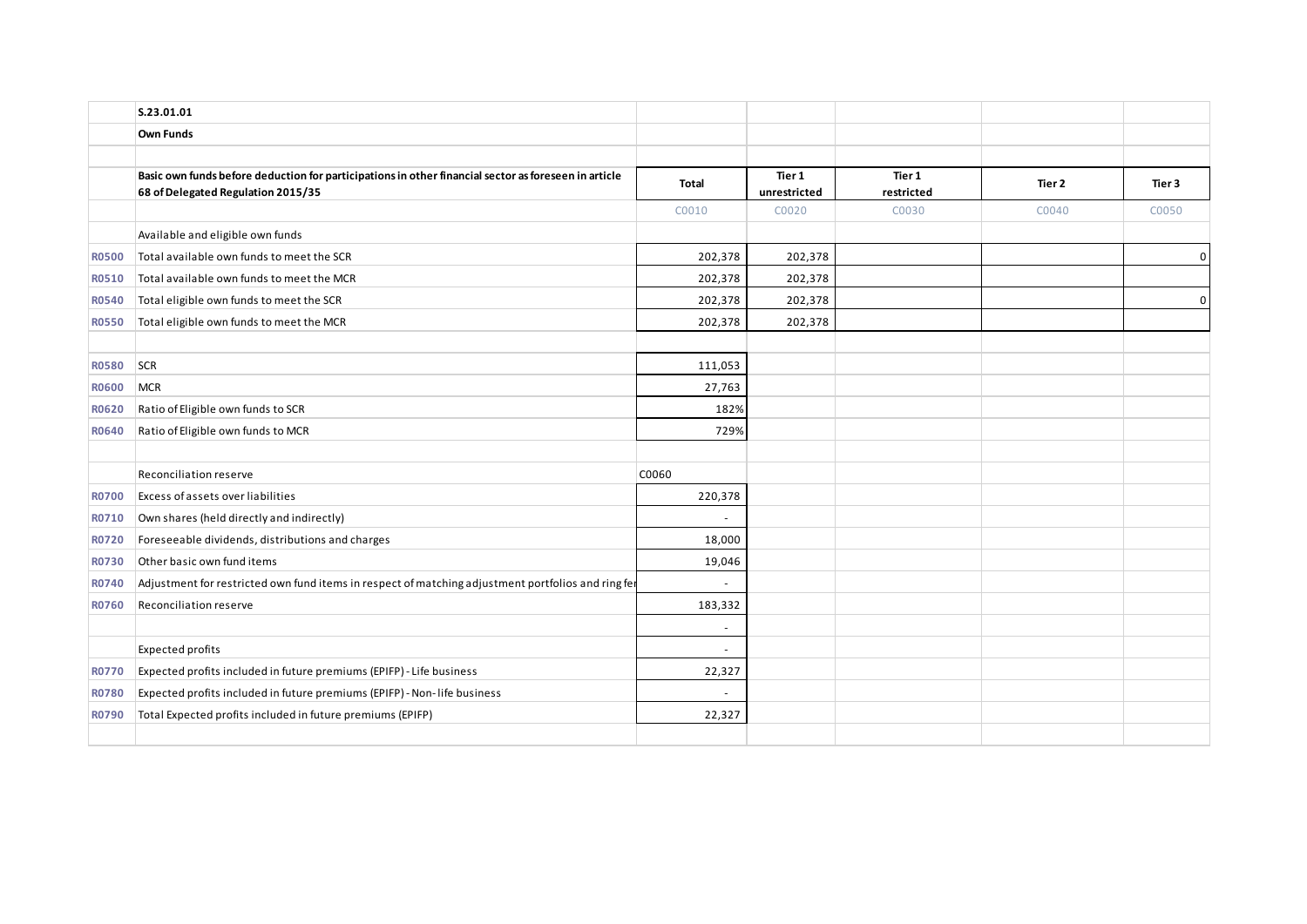|              | S.23.01.01                                                                                                                                 |              |                        |                      |        |                |
|--------------|--------------------------------------------------------------------------------------------------------------------------------------------|--------------|------------------------|----------------------|--------|----------------|
|              | Own Funds                                                                                                                                  |              |                        |                      |        |                |
|              |                                                                                                                                            |              |                        |                      |        |                |
|              | Basic own funds before deduction for participations in other financial sector as foreseen in article<br>68 of Delegated Regulation 2015/35 | <b>Total</b> | Tier 1<br>unrestricted | Tier 1<br>restricted | Tier 2 | Tier 3         |
|              |                                                                                                                                            | C0010        | C0020                  | C0030                | C0040  | C0050          |
|              | Available and eligible own funds                                                                                                           |              |                        |                      |        |                |
| <b>R0500</b> | Total available own funds to meet the SCR                                                                                                  | 202,378      | 202,378                |                      |        | $\overline{0}$ |
| <b>R0510</b> | Total available own funds to meet the MCR                                                                                                  | 202,378      | 202,378                |                      |        |                |
| <b>R0540</b> | Total eligible own funds to meet the SCR                                                                                                   | 202,378      | 202,378                |                      |        | $\mathbf 0$    |
| <b>R0550</b> | Total eligible own funds to meet the MCR                                                                                                   | 202,378      | 202,378                |                      |        |                |
|              |                                                                                                                                            |              |                        |                      |        |                |
| <b>R0580</b> | SCR                                                                                                                                        | 111,053      |                        |                      |        |                |
| <b>RO600</b> | <b>MCR</b>                                                                                                                                 | 27,763       |                        |                      |        |                |
| <b>R0620</b> | Ratio of Eligible own funds to SCR                                                                                                         | 182%         |                        |                      |        |                |
| R0640        | Ratio of Eligible own funds to MCR                                                                                                         | 729%         |                        |                      |        |                |
|              |                                                                                                                                            |              |                        |                      |        |                |
|              | Reconciliation reserve                                                                                                                     | C0060        |                        |                      |        |                |
| <b>R0700</b> | Excess of assets over liabilities                                                                                                          | 220,378      |                        |                      |        |                |
| R0710        | Own shares (held directly and indirectly)                                                                                                  | $\sim$       |                        |                      |        |                |
| R0720        | Foreseeable dividends, distributions and charges                                                                                           | 18,000       |                        |                      |        |                |
| <b>R0730</b> | Other basic own fund items                                                                                                                 | 19,046       |                        |                      |        |                |
| R0740        | Adjustment for restricted own fund items in respect of matching adjustment portfolios and ring fer                                         | $\sim$       |                        |                      |        |                |
| <b>R0760</b> | Reconciliation reserve                                                                                                                     | 183,332      |                        |                      |        |                |
|              |                                                                                                                                            | $\sim$       |                        |                      |        |                |
|              | <b>Expected profits</b>                                                                                                                    | $\sim$       |                        |                      |        |                |
| <b>R0770</b> | Expected profits included in future premiums (EPIFP) - Life business                                                                       | 22,327       |                        |                      |        |                |
| <b>R0780</b> | Expected profits included in future premiums (EPIFP) - Non-life business                                                                   | $\sim$       |                        |                      |        |                |
| <b>R0790</b> | Total Expected profits included in future premiums (EPIFP)                                                                                 | 22,327       |                        |                      |        |                |
|              |                                                                                                                                            |              |                        |                      |        |                |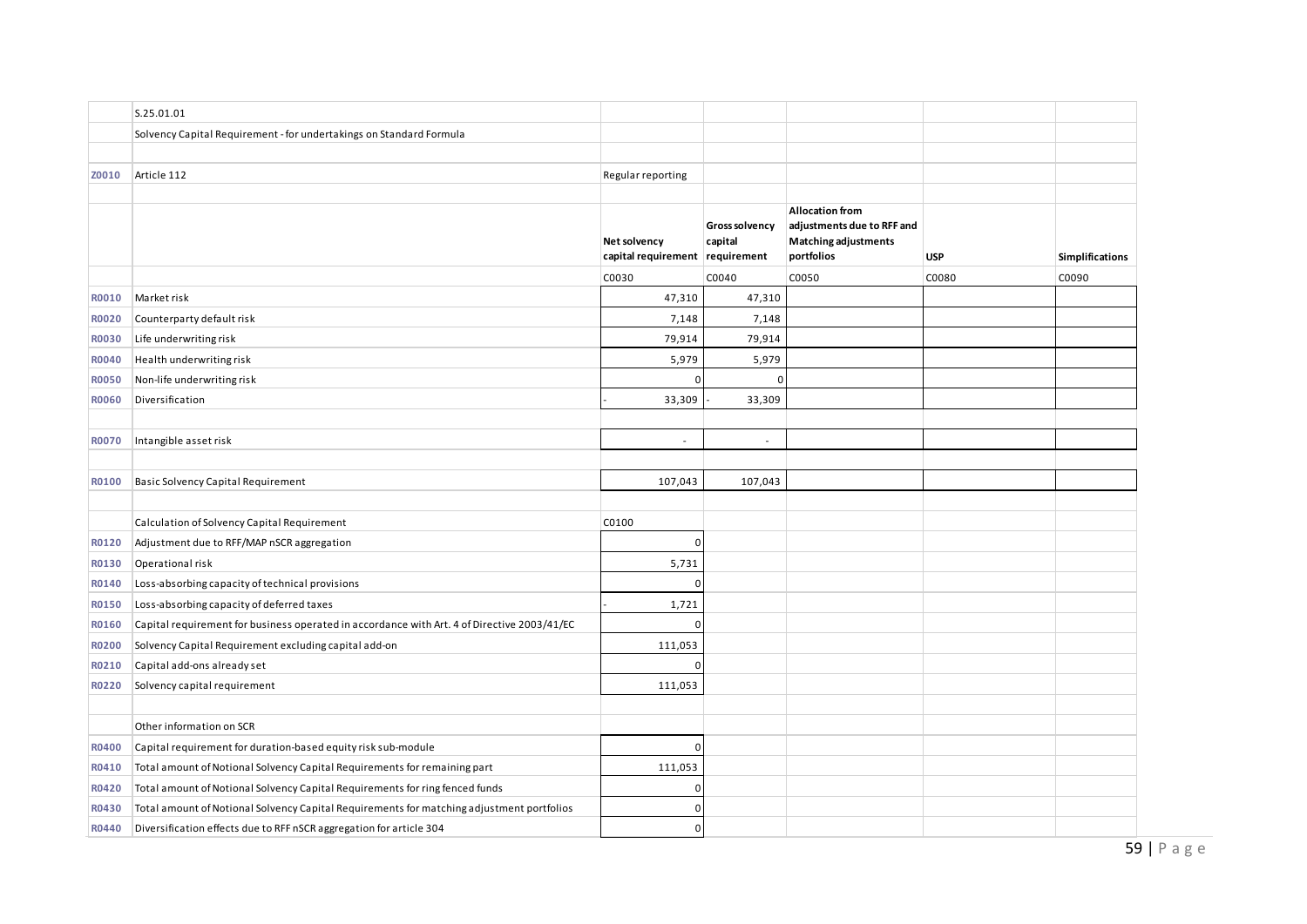|              | S.25.01.01                                                                                  |                                                 |                           |                                                                                                   |            |                        |
|--------------|---------------------------------------------------------------------------------------------|-------------------------------------------------|---------------------------|---------------------------------------------------------------------------------------------------|------------|------------------------|
|              | Solvency Capital Requirement - for undertakings on Standard Formula                         |                                                 |                           |                                                                                                   |            |                        |
|              |                                                                                             |                                                 |                           |                                                                                                   |            |                        |
| Z0010        | Article 112                                                                                 | Regular reporting                               |                           |                                                                                                   |            |                        |
|              |                                                                                             |                                                 |                           |                                                                                                   |            |                        |
|              |                                                                                             | Net solvency<br>capital requirement requirement | Gross solvency<br>capital | <b>Allocation from</b><br>adjustments due to RFF and<br><b>Matching adjustments</b><br>portfolios | <b>USP</b> | <b>Simplifications</b> |
|              |                                                                                             | C0030                                           | C0040                     | C0050                                                                                             | C0080      | C0090                  |
| R0010        | Market risk                                                                                 | 47,310                                          | 47,310                    |                                                                                                   |            |                        |
| R0020        | Counterparty default risk                                                                   | 7,148                                           | 7,148                     |                                                                                                   |            |                        |
| R0030        | Life underwriting risk                                                                      | 79,914                                          | 79,914                    |                                                                                                   |            |                        |
| R0040        | Health underwriting risk                                                                    | 5,979                                           | 5,979                     |                                                                                                   |            |                        |
| <b>R0050</b> | Non-life underwriting risk                                                                  | $\overline{0}$                                  | $\Omega$                  |                                                                                                   |            |                        |
| <b>R0060</b> | Diversification                                                                             | 33,309                                          | 33,309                    |                                                                                                   |            |                        |
|              |                                                                                             |                                                 |                           |                                                                                                   |            |                        |
| R0070        | Intangible asset risk                                                                       |                                                 | $\overline{\phantom{a}}$  |                                                                                                   |            |                        |
|              |                                                                                             |                                                 |                           |                                                                                                   |            |                        |
| R0100        | <b>Basic Solvency Capital Requirement</b>                                                   | 107,043                                         | 107,043                   |                                                                                                   |            |                        |
|              |                                                                                             |                                                 |                           |                                                                                                   |            |                        |
|              | Calculation of Solvency Capital Requirement                                                 | C0100                                           |                           |                                                                                                   |            |                        |
| R0120        | Adjustment due to RFF/MAP nSCR aggregation                                                  | $\overline{0}$                                  |                           |                                                                                                   |            |                        |
| R0130        | Operational risk                                                                            | 5,731                                           |                           |                                                                                                   |            |                        |
| R0140        | Loss-absorbing capacity of technical provisions                                             | $\Omega$                                        |                           |                                                                                                   |            |                        |
| R0150        | Loss-absorbing capacity of deferred taxes                                                   | 1,721                                           |                           |                                                                                                   |            |                        |
| R0160        | Capital requirement for business operated in accordance with Art. 4 of Directive 2003/41/EC | 0                                               |                           |                                                                                                   |            |                        |
| R0200        | Solvency Capital Requirement excluding capital add-on                                       | 111,053                                         |                           |                                                                                                   |            |                        |
| R0210        | Capital add-ons already set                                                                 | 0                                               |                           |                                                                                                   |            |                        |
| R0220        | Solvency capital requirement                                                                | 111,053                                         |                           |                                                                                                   |            |                        |
|              |                                                                                             |                                                 |                           |                                                                                                   |            |                        |
|              | Other information on SCR                                                                    |                                                 |                           |                                                                                                   |            |                        |
| R0400        | Capital requirement for duration-based equity risk sub-module                               | $\overline{0}$                                  |                           |                                                                                                   |            |                        |
| R0410        | Total amount of Notional Solvency Capital Requirements for remaining part                   | 111,053                                         |                           |                                                                                                   |            |                        |
| R0420        | Total amount of Notional Solvency Capital Requirements for ring fenced funds                | $\mathbf{0}$                                    |                           |                                                                                                   |            |                        |
| R0430        | Total amount of Notional Solvency Capital Requirements for matching adjustment portfolios   | $\Omega$                                        |                           |                                                                                                   |            |                        |
| R0440        | Diversification effects due to RFF nSCR aggregation for article 304                         | $\Omega$                                        |                           |                                                                                                   |            |                        |